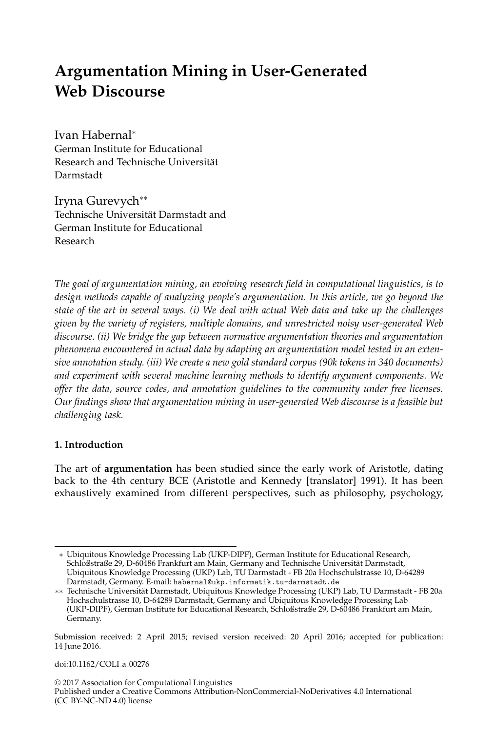# **Argumentation Mining in User-Generated Web Discourse**

Ivan Habernal<sup>∗</sup> German Institute for Educational Research and Technische Universitat¨ Darmstadt

Iryna Gurevych∗∗ Technische Universität Darmstadt and German Institute for Educational Research

*The goal of argumentation mining, an evolving research field in computational linguistics, is to design methods capable of analyzing people's argumentation. In this article, we go beyond the state of the art in several ways. (i) We deal with actual Web data and take up the challenges given by the variety of registers, multiple domains, and unrestricted noisy user-generated Web discourse. (ii) We bridge the gap between normative argumentation theories and argumentation phenomena encountered in actual data by adapting an argumentation model tested in an extensive annotation study. (iii) We create a new gold standard corpus (90k tokens in 340 documents) and experiment with several machine learning methods to identify argument components. We offer the data, source codes, and annotation guidelines to the community under free licenses. Our findings show that argumentation mining in user-generated Web discourse is a feasible but challenging task.*

# **1. Introduction**

The art of **argumentation** has been studied since the early work of Aristotle, dating back to the 4th century BCE (Aristotle and Kennedy [translator] 1991). It has been exhaustively examined from different perspectives, such as philosophy, psychology,

doi:10.1162/COLI a 00276

<sup>∗</sup> Ubiquitous Knowledge Processing Lab (UKP-DIPF), German Institute for Educational Research, Schloßstraße 29, D-60486 Frankfurt am Main, Germany and Technische Universität Darmstadt, Ubiquitous Knowledge Processing (UKP) Lab, TU Darmstadt - FB 20a Hochschulstrasse 10, D-64289 Darmstadt, Germany. E-mail: habernal@ukp.informatik.tu-darmstadt.de

<sup>∗∗</sup> Technische Universitat Darmstadt, Ubiquitous Knowledge Processing (UKP) Lab, TU Darmstadt - FB 20a ¨ Hochschulstrasse 10, D-64289 Darmstadt, Germany and Ubiquitous Knowledge Processing Lab (UKP-DIPF), German Institute for Educational Research, Schloßstraße 29, D-60486 Frankfurt am Main, Germany.

Submission received: 2 April 2015; revised version received: 20 April 2016; accepted for publication: 14 June 2016.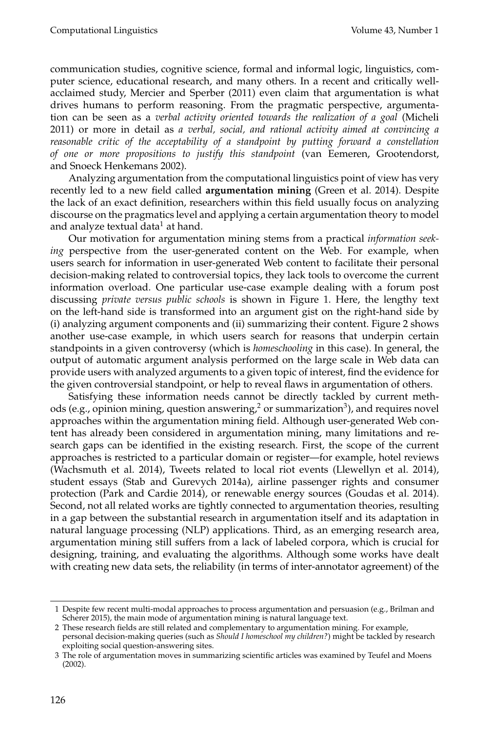communication studies, cognitive science, formal and informal logic, linguistics, computer science, educational research, and many others. In a recent and critically wellacclaimed study, Mercier and Sperber (2011) even claim that argumentation is what drives humans to perform reasoning. From the pragmatic perspective, argumentation can be seen as a *verbal activity oriented towards the realization of a goal* (Micheli 2011) or more in detail as *a verbal, social, and rational activity aimed at convincing a reasonable critic of the acceptability of a standpoint by putting forward a constellation of one or more propositions to justify this standpoint* (van Eemeren, Grootendorst, and Snoeck Henkemans 2002).

Analyzing argumentation from the computational linguistics point of view has very recently led to a new field called **argumentation mining** (Green et al. 2014). Despite the lack of an exact definition, researchers within this field usually focus on analyzing discourse on the pragmatics level and applying a certain argumentation theory to model and analyze textual data $^1$  at hand.

Our motivation for argumentation mining stems from a practical *information seeking* perspective from the user-generated content on the Web. For example, when users search for information in user-generated Web content to facilitate their personal decision-making related to controversial topics, they lack tools to overcome the current information overload. One particular use-case example dealing with a forum post discussing *private versus public schools* is shown in Figure 1. Here, the lengthy text on the left-hand side is transformed into an argument gist on the right-hand side by (i) analyzing argument components and (ii) summarizing their content. Figure 2 shows another use-case example, in which users search for reasons that underpin certain standpoints in a given controversy (which is *homeschooling* in this case). In general, the output of automatic argument analysis performed on the large scale in Web data can provide users with analyzed arguments to a given topic of interest, find the evidence for the given controversial standpoint, or help to reveal flaws in argumentation of others.

Satisfying these information needs cannot be directly tackled by current methods (e.g., opinion mining, question answering, $^2$  or summarization $^3$ ), and requires novel approaches within the argumentation mining field. Although user-generated Web content has already been considered in argumentation mining, many limitations and research gaps can be identified in the existing research. First, the scope of the current approaches is restricted to a particular domain or register—for example, hotel reviews (Wachsmuth et al. 2014), Tweets related to local riot events (Llewellyn et al. 2014), student essays (Stab and Gurevych 2014a), airline passenger rights and consumer protection (Park and Cardie 2014), or renewable energy sources (Goudas et al. 2014). Second, not all related works are tightly connected to argumentation theories, resulting in a gap between the substantial research in argumentation itself and its adaptation in natural language processing (NLP) applications. Third, as an emerging research area, argumentation mining still suffers from a lack of labeled corpora, which is crucial for designing, training, and evaluating the algorithms. Although some works have dealt with creating new data sets, the reliability (in terms of inter-annotator agreement) of the

<sup>1</sup> Despite few recent multi-modal approaches to process argumentation and persuasion (e.g., Brilman and Scherer 2015), the main mode of argumentation mining is natural language text.

<sup>2</sup> These research fields are still related and complementary to argumentation mining. For example,

personal decision-making queries (such as *Should I homeschool my children?*) might be tackled by research exploiting social question-answering sites.

<sup>3</sup> The role of argumentation moves in summarizing scientific articles was examined by Teufel and Moens (2002).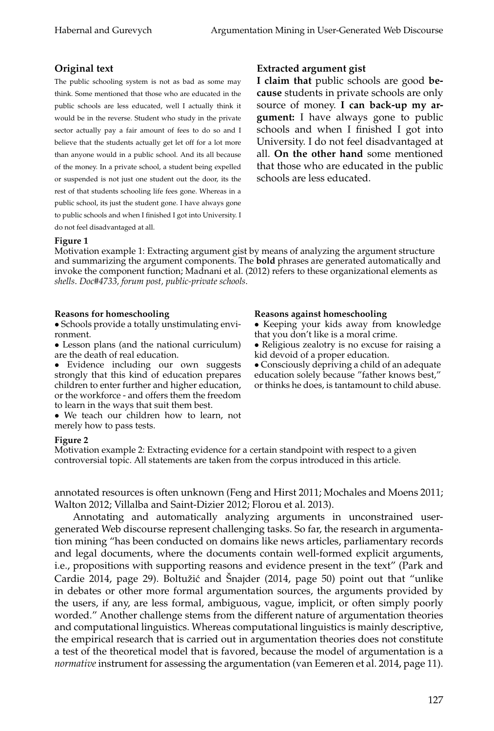# **Original text**

The public schooling system is not as bad as some may think. Some mentioned that those who are educated in the public schools are less educated, well I actually think it would be in the reverse. Student who study in the private sector actually pay a fair amount of fees to do so and I believe that the students actually get let off for a lot more than anyone would in a public school. And its all because of the money. In a private school, a student being expelled or suspended is not just one student out the door, its the rest of that students schooling life fees gone. Whereas in a public school, its just the student gone. I have always gone to public schools and when I finished I got into University. I do not feel disadvantaged at all.

### **Extracted argument gist**

**I claim that** public schools are good **because** students in private schools are only source of money. **I can back-up my argument:** I have always gone to public schools and when I finished I got into University. I do not feel disadvantaged at all. **On the other hand** some mentioned that those who are educated in the public schools are less educated.

### **Figure 1**

Motivation example 1: Extracting argument gist by means of analyzing the argument structure and summarizing the argument components. The **bold** phrases are generated automatically and invoke the component function; Madnani et al. (2012) refers to these organizational elements as *shells*. *Doc#4733, forum post, public-private schools*.

#### **Reasons for homeschooling**

• Schools provide a totally unstimulating environment.

• Lesson plans (and the national curriculum) are the death of real education.

• Evidence including our own suggests strongly that this kind of education prepares children to enter further and higher education, or the workforce - and offers them the freedom to learn in the ways that suit them best.

• We teach our children how to learn, not merely how to pass tests.

#### **Figure 2**

Motivation example 2: Extracting evidence for a certain standpoint with respect to a given controversial topic. All statements are taken from the corpus introduced in this article.

annotated resources is often unknown (Feng and Hirst 2011; Mochales and Moens 2011; Walton 2012; Villalba and Saint-Dizier 2012; Florou et al. 2013).

Annotating and automatically analyzing arguments in unconstrained usergenerated Web discourse represent challenging tasks. So far, the research in argumentation mining "has been conducted on domains like news articles, parliamentary records and legal documents, where the documents contain well-formed explicit arguments, i.e., propositions with supporting reasons and evidence present in the text" (Park and Cardie 2014, page 29). Boltužić and Šnajder (2014, page 50) point out that "unlike in debates or other more formal argumentation sources, the arguments provided by the users, if any, are less formal, ambiguous, vague, implicit, or often simply poorly worded." Another challenge stems from the different nature of argumentation theories and computational linguistics. Whereas computational linguistics is mainly descriptive, the empirical research that is carried out in argumentation theories does not constitute a test of the theoretical model that is favored, because the model of argumentation is a *normative* instrument for assessing the argumentation (van Eemeren et al. 2014, page 11).

#### **Reasons against homeschooling**

- Keeping your kids away from knowledge that you don't like is a moral crime.
- Religious zealotry is no excuse for raising a kid devoid of a proper education.
- Consciously depriving a child of an adequate education solely because "father knows best," or thinks he does, is tantamount to child abuse.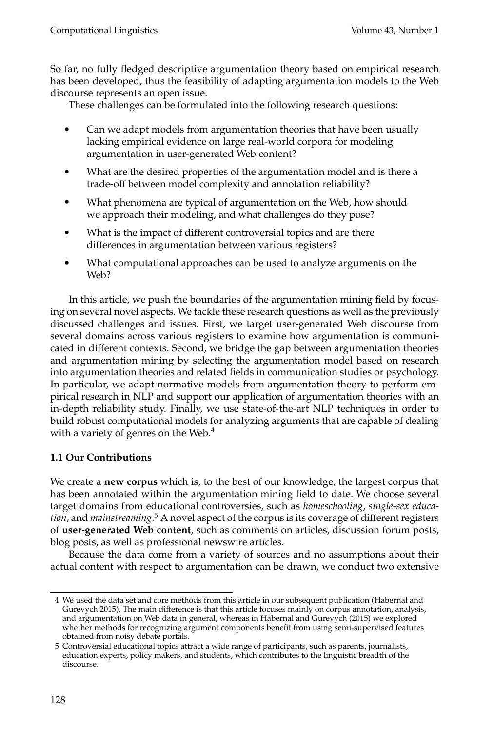So far, no fully fledged descriptive argumentation theory based on empirical research has been developed, thus the feasibility of adapting argumentation models to the Web discourse represents an open issue.

These challenges can be formulated into the following research questions:

- Can we adapt models from argumentation theories that have been usually lacking empirical evidence on large real-world corpora for modeling argumentation in user-generated Web content?
- What are the desired properties of the argumentation model and is there a trade-off between model complexity and annotation reliability?
- What phenomena are typical of argumentation on the Web, how should we approach their modeling, and what challenges do they pose?
- What is the impact of different controversial topics and are there differences in argumentation between various registers?
- What computational approaches can be used to analyze arguments on the Web?

In this article, we push the boundaries of the argumentation mining field by focusing on several novel aspects. We tackle these research questions as well as the previously discussed challenges and issues. First, we target user-generated Web discourse from several domains across various registers to examine how argumentation is communicated in different contexts. Second, we bridge the gap between argumentation theories and argumentation mining by selecting the argumentation model based on research into argumentation theories and related fields in communication studies or psychology. In particular, we adapt normative models from argumentation theory to perform empirical research in NLP and support our application of argumentation theories with an in-depth reliability study. Finally, we use state-of-the-art NLP techniques in order to build robust computational models for analyzing arguments that are capable of dealing with a variety of genres on the Web.<sup>4</sup>

# **1.1 Our Contributions**

We create a **new corpus** which is, to the best of our knowledge, the largest corpus that has been annotated within the argumentation mining field to date. We choose several target domains from educational controversies, such as *homeschooling*, *single-sex education*, and *mainstreaming*. <sup>5</sup> A novel aspect of the corpus is its coverage of different registers of **user-generated Web content**, such as comments on articles, discussion forum posts, blog posts, as well as professional newswire articles.

Because the data come from a variety of sources and no assumptions about their actual content with respect to argumentation can be drawn, we conduct two extensive

<sup>4</sup> We used the data set and core methods from this article in our subsequent publication (Habernal and Gurevych 2015). The main difference is that this article focuses mainly on corpus annotation, analysis, and argumentation on Web data in general, whereas in Habernal and Gurevych (2015) we explored whether methods for recognizing argument components benefit from using semi-supervised features obtained from noisy debate portals.

<sup>5</sup> Controversial educational topics attract a wide range of participants, such as parents, journalists, education experts, policy makers, and students, which contributes to the linguistic breadth of the discourse.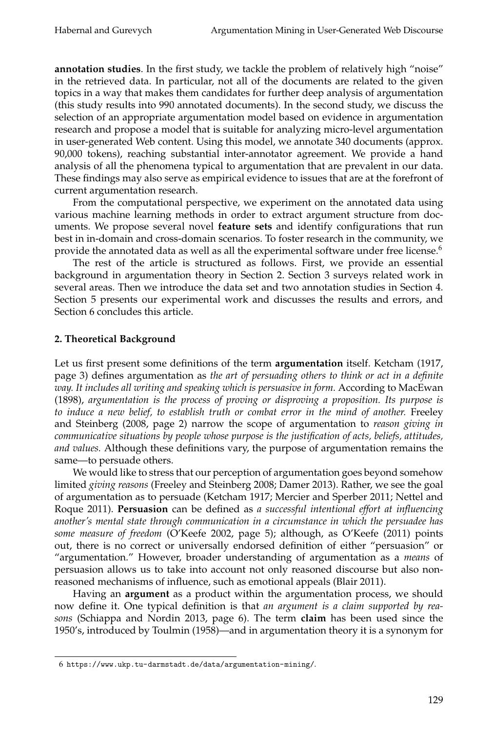**annotation studies**. In the first study, we tackle the problem of relatively high "noise" in the retrieved data. In particular, not all of the documents are related to the given topics in a way that makes them candidates for further deep analysis of argumentation (this study results into 990 annotated documents). In the second study, we discuss the selection of an appropriate argumentation model based on evidence in argumentation research and propose a model that is suitable for analyzing micro-level argumentation in user-generated Web content. Using this model, we annotate 340 documents (approx. 90,000 tokens), reaching substantial inter-annotator agreement. We provide a hand analysis of all the phenomena typical to argumentation that are prevalent in our data. These findings may also serve as empirical evidence to issues that are at the forefront of current argumentation research.

From the computational perspective, we experiment on the annotated data using various machine learning methods in order to extract argument structure from documents. We propose several novel **feature sets** and identify configurations that run best in in-domain and cross-domain scenarios. To foster research in the community, we provide the annotated data as well as all the experimental software under free license.<sup>6</sup>

The rest of the article is structured as follows. First, we provide an essential background in argumentation theory in Section 2. Section 3 surveys related work in several areas. Then we introduce the data set and two annotation studies in Section 4. Section 5 presents our experimental work and discusses the results and errors, and Section 6 concludes this article.

# **2. Theoretical Background**

Let us first present some definitions of the term **argumentation** itself. Ketcham (1917, page 3) defines argumentation as *the art of persuading others to think or act in a definite way. It includes all writing and speaking which is persuasive in form.* According to MacEwan (1898), *argumentation is the process of proving or disproving a proposition. Its purpose is to induce a new belief, to establish truth or combat error in the mind of another.* Freeley and Steinberg (2008, page 2) narrow the scope of argumentation to *reason giving in communicative situations by people whose purpose is the justification of acts, beliefs, attitudes, and values.* Although these definitions vary, the purpose of argumentation remains the same—to persuade others.

We would like to stress that our perception of argumentation goes beyond somehow limited *giving reasons* (Freeley and Steinberg 2008; Damer 2013). Rather, we see the goal of argumentation as to persuade (Ketcham 1917; Mercier and Sperber 2011; Nettel and Roque 2011). **Persuasion** can be defined as *a successful intentional effort at influencing another's mental state through communication in a circumstance in which the persuadee has some measure of freedom* (O'Keefe 2002, page 5); although, as O'Keefe (2011) points out, there is no correct or universally endorsed definition of either "persuasion" or "argumentation." However, broader understanding of argumentation as a *means* of persuasion allows us to take into account not only reasoned discourse but also nonreasoned mechanisms of influence, such as emotional appeals (Blair 2011).

Having an **argument** as a product within the argumentation process, we should now define it. One typical definition is that *an argument is a claim supported by reasons* (Schiappa and Nordin 2013, page 6). The term **claim** has been used since the 1950's, introduced by Toulmin (1958)—and in argumentation theory it is a synonym for

<sup>6</sup> https://www.ukp.tu-darmstadt.de/data/argumentation-mining/.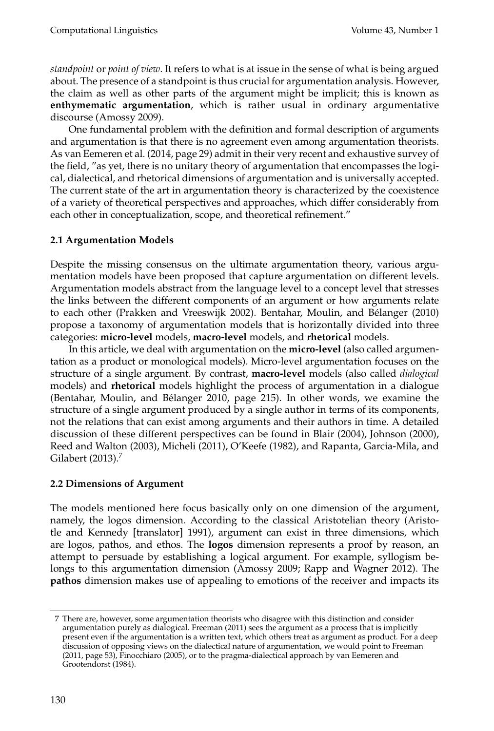*standpoint* or *point of view*. It refers to what is at issue in the sense of what is being argued about. The presence of a standpoint is thus crucial for argumentation analysis. However, the claim as well as other parts of the argument might be implicit; this is known as **enthymematic argumentation**, which is rather usual in ordinary argumentative discourse (Amossy 2009).

One fundamental problem with the definition and formal description of arguments and argumentation is that there is no agreement even among argumentation theorists. As van Eemeren et al. (2014, page 29) admit in their very recent and exhaustive survey of the field, "as yet, there is no unitary theory of argumentation that encompasses the logical, dialectical, and rhetorical dimensions of argumentation and is universally accepted. The current state of the art in argumentation theory is characterized by the coexistence of a variety of theoretical perspectives and approaches, which differ considerably from each other in conceptualization, scope, and theoretical refinement."

# **2.1 Argumentation Models**

Despite the missing consensus on the ultimate argumentation theory, various argumentation models have been proposed that capture argumentation on different levels. Argumentation models abstract from the language level to a concept level that stresses the links between the different components of an argument or how arguments relate to each other (Prakken and Vreeswijk 2002). Bentahar, Moulin, and Belanger (2010) ´ propose a taxonomy of argumentation models that is horizontally divided into three categories: **micro-level** models, **macro-level** models, and **rhetorical** models.

In this article, we deal with argumentation on the **micro-level** (also called argumentation as a product or monological models). Micro-level argumentation focuses on the structure of a single argument. By contrast, **macro-level** models (also called *dialogical* models) and **rhetorical** models highlight the process of argumentation in a dialogue (Bentahar, Moulin, and Bélanger 2010, page 215). In other words, we examine the structure of a single argument produced by a single author in terms of its components, not the relations that can exist among arguments and their authors in time. A detailed discussion of these different perspectives can be found in Blair (2004), Johnson (2000), Reed and Walton (2003), Micheli (2011), O'Keefe (1982), and Rapanta, Garcia-Mila, and Gilabert (2013).<sup>7</sup>

# **2.2 Dimensions of Argument**

The models mentioned here focus basically only on one dimension of the argument, namely, the logos dimension. According to the classical Aristotelian theory (Aristotle and Kennedy [translator] 1991), argument can exist in three dimensions, which are logos, pathos, and ethos. The **logos** dimension represents a proof by reason, an attempt to persuade by establishing a logical argument. For example, syllogism belongs to this argumentation dimension (Amossy 2009; Rapp and Wagner 2012). The **pathos** dimension makes use of appealing to emotions of the receiver and impacts its

<sup>7</sup> There are, however, some argumentation theorists who disagree with this distinction and consider argumentation purely as dialogical. Freeman (2011) sees the argument as a process that is implicitly present even if the argumentation is a written text, which others treat as argument as product. For a deep discussion of opposing views on the dialectical nature of argumentation, we would point to Freeman (2011, page 53), Finocchiaro (2005), or to the pragma-dialectical approach by van Eemeren and Grootendorst (1984).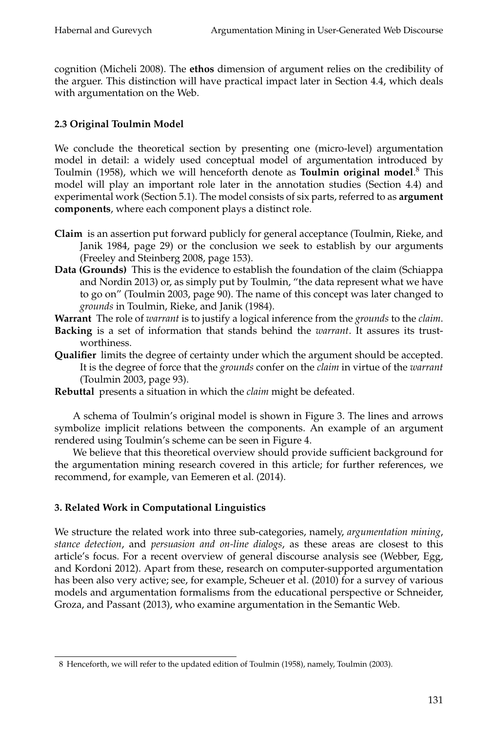cognition (Micheli 2008). The **ethos** dimension of argument relies on the credibility of the arguer. This distinction will have practical impact later in Section 4.4, which deals with argumentation on the Web.

# **2.3 Original Toulmin Model**

We conclude the theoretical section by presenting one (micro-level) argumentation model in detail: a widely used conceptual model of argumentation introduced by Toulmin (1958), which we will henceforth denote as **Toulmin original model**. <sup>8</sup> This model will play an important role later in the annotation studies (Section 4.4) and experimental work (Section 5.1). The model consists of six parts, referred to as **argument components**, where each component plays a distinct role.

- **Claim** is an assertion put forward publicly for general acceptance (Toulmin, Rieke, and Janik 1984, page 29) or the conclusion we seek to establish by our arguments (Freeley and Steinberg 2008, page 153).
- **Data (Grounds)** This is the evidence to establish the foundation of the claim (Schiappa and Nordin 2013) or, as simply put by Toulmin, "the data represent what we have to go on" (Toulmin 2003, page 90). The name of this concept was later changed to *grounds* in Toulmin, Rieke, and Janik (1984).

**Warrant** The role of *warrant* is to justify a logical inference from the *grounds* to the *claim*.

- **Backing** is a set of information that stands behind the *warrant*. It assures its trustworthiness.
- **Qualifier** limits the degree of certainty under which the argument should be accepted. It is the degree of force that the *grounds* confer on the *claim* in virtue of the *warrant* (Toulmin 2003, page 93).
- **Rebuttal** presents a situation in which the *claim* might be defeated.

A schema of Toulmin's original model is shown in Figure 3. The lines and arrows symbolize implicit relations between the components. An example of an argument rendered using Toulmin's scheme can be seen in Figure 4.

We believe that this theoretical overview should provide sufficient background for the argumentation mining research covered in this article; for further references, we recommend, for example, van Eemeren et al. (2014).

# **3. Related Work in Computational Linguistics**

We structure the related work into three sub-categories, namely, *argumentation mining*, *stance detection*, and *persuasion and on-line dialogs*, as these areas are closest to this article's focus. For a recent overview of general discourse analysis see (Webber, Egg, and Kordoni 2012). Apart from these, research on computer-supported argumentation has been also very active; see, for example, Scheuer et al. (2010) for a survey of various models and argumentation formalisms from the educational perspective or Schneider, Groza, and Passant (2013), who examine argumentation in the Semantic Web.

<sup>8</sup> Henceforth, we will refer to the updated edition of Toulmin (1958), namely, Toulmin (2003).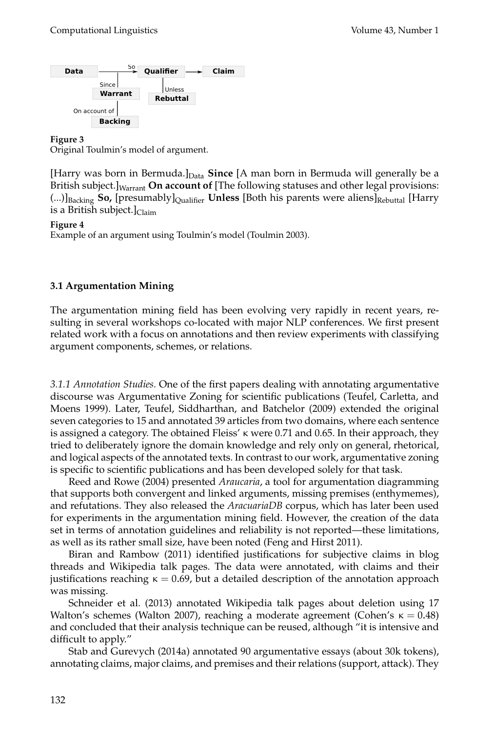#### **Data** <del>— <sup>3</sup> Qualifier —></del> Claim **Backing** So Since **Warrant Rebuttal** Unless On account of

### **Figure 3**

Original Toulmin's model of argument.

[Harry was born in Bermuda.]<sub>Data</sub> **Since** [A man born in Bermuda will generally be a British subject.]Warrant **On account of** [The following statuses and other legal provisions: (...)]<sub>Backing</sub> So, [presumably]<sub>Qualifier</sub> Unless [Both his parents were aliens]<sub>Rebuttal</sub> [Harry is a British subject.  $]_{\text{Claim}}$ 

## **Figure 4**

Example of an argument using Toulmin's model (Toulmin 2003).

# **3.1 Argumentation Mining**

The argumentation mining field has been evolving very rapidly in recent years, resulting in several workshops co-located with major NLP conferences. We first present related work with a focus on annotations and then review experiments with classifying argument components, schemes, or relations.

*3.1.1 Annotation Studies.* One of the first papers dealing with annotating argumentative discourse was Argumentative Zoning for scientific publications (Teufel, Carletta, and Moens 1999). Later, Teufel, Siddharthan, and Batchelor (2009) extended the original seven categories to 15 and annotated 39 articles from two domains, where each sentence is assigned a category. The obtained Fleiss' κ were 0.71 and 0.65. In their approach, they tried to deliberately ignore the domain knowledge and rely only on general, rhetorical, and logical aspects of the annotated texts. In contrast to our work, argumentative zoning is specific to scientific publications and has been developed solely for that task.

Reed and Rowe (2004) presented *Araucaria*, a tool for argumentation diagramming that supports both convergent and linked arguments, missing premises (enthymemes), and refutations. They also released the *AracuariaDB* corpus, which has later been used for experiments in the argumentation mining field. However, the creation of the data set in terms of annotation guidelines and reliability is not reported—these limitations, as well as its rather small size, have been noted (Feng and Hirst 2011).

Biran and Rambow (2011) identified justifications for subjective claims in blog threads and Wikipedia talk pages. The data were annotated, with claims and their justifications reaching  $\kappa = 0.69$ , but a detailed description of the annotation approach was missing.

Schneider et al. (2013) annotated Wikipedia talk pages about deletion using 17 Walton's schemes (Walton 2007), reaching a moderate agreement (Cohen's  $\kappa = 0.48$ ) and concluded that their analysis technique can be reused, although "it is intensive and difficult to apply."

Stab and Gurevych (2014a) annotated 90 argumentative essays (about 30k tokens), annotating claims, major claims, and premises and their relations (support, attack). They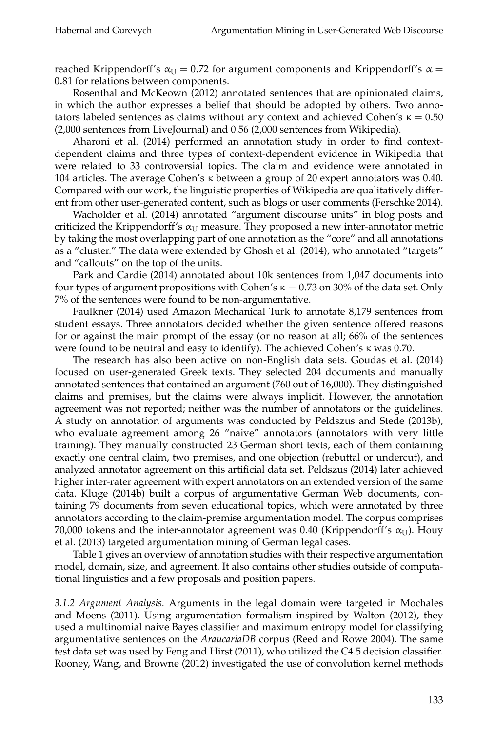reached Krippendorff's  $\alpha_U = 0.72$  for argument components and Krippendorff's  $\alpha =$ 0.81 for relations between components.

Rosenthal and McKeown (2012) annotated sentences that are opinionated claims, in which the author expresses a belief that should be adopted by others. Two annotators labeled sentences as claims without any context and achieved Cohen's  $\kappa = 0.50$ (2,000 sentences from LiveJournal) and 0.56 (2,000 sentences from Wikipedia).

Aharoni et al. (2014) performed an annotation study in order to find contextdependent claims and three types of context-dependent evidence in Wikipedia that were related to 33 controversial topics. The claim and evidence were annotated in 104 articles. The average Cohen's κ between a group of 20 expert annotators was 0.40. Compared with our work, the linguistic properties of Wikipedia are qualitatively different from other user-generated content, such as blogs or user comments (Ferschke 2014).

Wacholder et al. (2014) annotated "argument discourse units" in blog posts and criticized the Krippendorff's  $\alpha_U$  measure. They proposed a new inter-annotator metric by taking the most overlapping part of one annotation as the "core" and all annotations as a "cluster." The data were extended by Ghosh et al. (2014), who annotated "targets" and "callouts" on the top of the units.

Park and Cardie (2014) annotated about 10k sentences from 1,047 documents into four types of argument propositions with Cohen's  $\kappa = 0.73$  on 30% of the data set. Only 7% of the sentences were found to be non-argumentative.

Faulkner (2014) used Amazon Mechanical Turk to annotate 8,179 sentences from student essays. Three annotators decided whether the given sentence offered reasons for or against the main prompt of the essay (or no reason at all; 66% of the sentences were found to be neutral and easy to identify). The achieved Cohen's κ was 0.70.

The research has also been active on non-English data sets. Goudas et al. (2014) focused on user-generated Greek texts. They selected 204 documents and manually annotated sentences that contained an argument (760 out of 16,000). They distinguished claims and premises, but the claims were always implicit. However, the annotation agreement was not reported; neither was the number of annotators or the guidelines. A study on annotation of arguments was conducted by Peldszus and Stede (2013b), who evaluate agreement among 26 "naive" annotators (annotators with very little training). They manually constructed 23 German short texts, each of them containing exactly one central claim, two premises, and one objection (rebuttal or undercut), and analyzed annotator agreement on this artificial data set. Peldszus (2014) later achieved higher inter-rater agreement with expert annotators on an extended version of the same data. Kluge (2014b) built a corpus of argumentative German Web documents, containing 79 documents from seven educational topics, which were annotated by three annotators according to the claim-premise argumentation model. The corpus comprises 70,000 tokens and the inter-annotator agreement was 0.40 (Krippendorff's  $\alpha_U$ ). Houy et al. (2013) targeted argumentation mining of German legal cases.

Table 1 gives an overview of annotation studies with their respective argumentation model, domain, size, and agreement. It also contains other studies outside of computational linguistics and a few proposals and position papers.

*3.1.2 Argument Analysis.* Arguments in the legal domain were targeted in Mochales and Moens (2011). Using argumentation formalism inspired by Walton (2012), they used a multinomial naive Bayes classifier and maximum entropy model for classifying argumentative sentences on the *AraucariaDB* corpus (Reed and Rowe 2004). The same test data set was used by Feng and Hirst (2011), who utilized the C4.5 decision classifier. Rooney, Wang, and Browne (2012) investigated the use of convolution kernel methods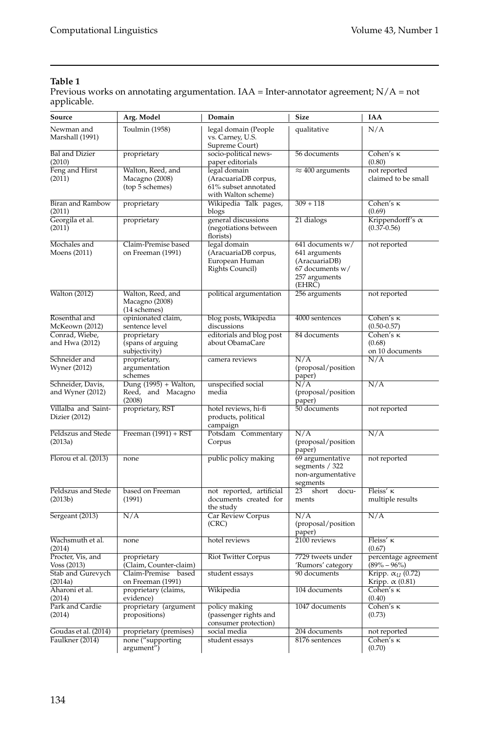# **Table 1**

Previous works on annotating argumentation. IAA = Inter-annotator agreement; N/A = not applicable.

| Source                                | Arg. Model                                             | Domain                                                                              | <b>Size</b>                                                                                        | <b>IAA</b>                                            |
|---------------------------------------|--------------------------------------------------------|-------------------------------------------------------------------------------------|----------------------------------------------------------------------------------------------------|-------------------------------------------------------|
| Newman and<br>Marshall (1991)         | Toulmin (1958)                                         | legal domain (People<br>vs. Carney, U.S.<br>Supreme Court)                          | qualitative                                                                                        | N/A                                                   |
| Bal and Dizier<br>(2010)              | proprietary                                            | socio-political news-<br>paper editorials                                           | 56 documents                                                                                       | Cohen's $\kappa$<br>(0.80)                            |
| Feng and Hirst<br>(2011)              | Walton, Reed, and<br>Macagno (2008)<br>(top 5 schemes) | legal domain<br>(AracuariaDB corpus,<br>61% subset annotated<br>with Walton scheme) | $\approx$ 400 arguments                                                                            | not reported<br>claimed to be small                   |
| Biran and Rambow<br>(2011)            | proprietary                                            | Wikipedia Talk pages,<br>blogs                                                      | $309 + 118$                                                                                        | Cohen's $\kappa$<br>(0.69)                            |
| Georgila et al.<br>(2011)             | proprietary                                            | general discussions<br>(negotiations between<br>florists)                           | 21 dialogs                                                                                         | Krippendorff's $\alpha$<br>$(0.37 - 0.56)$            |
| Mochales and<br>Moens (2011)          | Claim-Premise based<br>on Freeman (1991)               | legal domain<br>(AracuariaDB corpus,<br>European Human<br>Rights Council)           | 641 documents w/<br>641 arguments<br>(AracuariaDB)<br>$67$ documents w/<br>257 arguments<br>(EHRC) | not reported                                          |
| <b>Walton</b> (2012)                  | Walton, Reed, and<br>Macagno (2008)<br>(14 schemes)    | political argumentation                                                             | 256 arguments                                                                                      | not reported                                          |
| Rosenthal and<br>McKeown (2012)       | opinionated claim,<br>sentence level                   | blog posts, Wikipedia<br>discussions                                                | 4000 sentences                                                                                     | Cohen's $\kappa$<br>$(0.50 - 0.57)$                   |
| Conrad, Wiebe,<br>and Hwa (2012)      | proprietary<br>(spans of arguing<br>subjectivity)      | editorials and blog post<br>about ObamaCare                                         | 84 documents                                                                                       | Cohen's K<br>(0.68)<br>on 10 documents                |
| Schneider and<br>Wyner (2012)         | proprietary,<br>argumentation<br>schemes               | camera reviews                                                                      | N/A<br>(proposal/position<br>paper)                                                                | N/A                                                   |
| Schneider, Davis,<br>and Wyner (2012) | Dung $(1995) +$ Walton,<br>Reed, and Macagno<br>(2008) | unspecified social<br>media                                                         | N/A<br>(proposal/position<br>paper)                                                                | N/A                                                   |
| Villalba and Saint-<br>Dizier (2012)  | proprietary, RST                                       | hotel reviews, hi-fi<br>products, political<br>campaign                             | 50 documents                                                                                       | not reported                                          |
| Peldszus and Stede<br>(2013a)         | Freeman $(1991) + RST$                                 | Potsdam Commentary<br>Corpus                                                        | N/A<br>(proposal/position<br>paper)                                                                | N/A                                                   |
| Florou et al. (2013)                  | none                                                   | public policy making                                                                | 69 argumentative<br>segments / 322<br>non-argumentative<br>segments                                | not reported                                          |
| Peldszus and Stede<br>(2013b)         | based on Freeman<br>(1991)                             | not reported, artificial<br>documents created for<br>the study                      | 23<br>short<br>docu-<br>ments                                                                      | Fleiss' K<br>multiple results                         |
| Sergeant (2013)                       | N/A                                                    | Car Review Corpus<br>(CRC)                                                          | N/A<br>(proposal/position<br>paper)                                                                | N/A                                                   |
| Wachsmuth et al.<br>(2014)            | none                                                   | hotel reviews                                                                       | 2100 reviews                                                                                       | Fleiss' $\kappa$<br>(0.67)                            |
| Procter, Vis, and<br>Voss (2013)      | proprietary<br>(Claim, Counter-claim)                  | <b>Riot Twitter Corpus</b>                                                          | 7729 tweets under<br>'Rumors' category                                                             | percentage agreement<br>$(89\% - 96\%)$               |
| Stab and Gurevych<br>(2014a)          | Claim-Premise based<br>on Freeman (1991)               | student essays                                                                      | 90 documents                                                                                       | Kripp. $\alpha_{II}$ (0.72)<br>Kripp. $\alpha$ (0.81) |
| Aharoni et al.<br>(2014)              | proprietary (claims,<br>evidence)                      | Wikipedia                                                                           | 104 documents                                                                                      | Cohen's $\kappa$<br>(0.40)                            |
| Park and Cardie<br>(2014)             | proprietary (argument<br>propositions)                 | policy making<br>(passenger rights and<br>consumer protection)                      | 1047 documents                                                                                     | Cohen's K<br>(0.73)                                   |
| Goudas et al. (2014)                  | proprietary (premises)                                 | social media                                                                        | 204 documents                                                                                      | not reported                                          |
| Faulkner (2014)                       | none ("supporting<br>argument")                        | student essays                                                                      | 8176 sentences                                                                                     | Cohen's $\kappa$<br>(0.70)                            |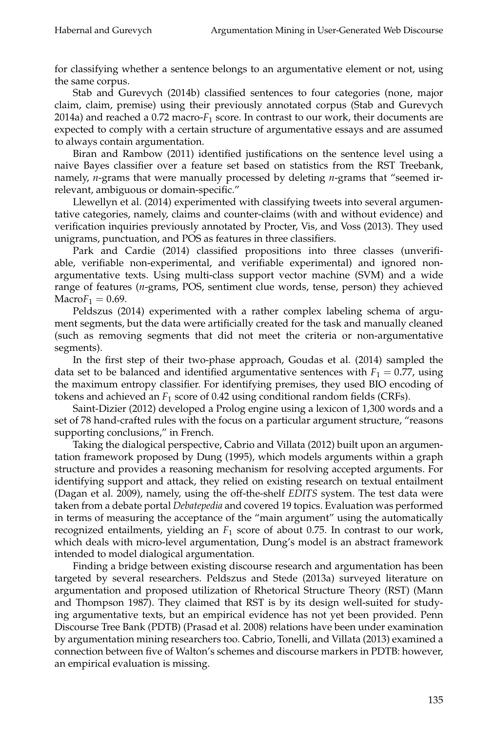for classifying whether a sentence belongs to an argumentative element or not, using the same corpus.

Stab and Gurevych (2014b) classified sentences to four categories (none, major claim, claim, premise) using their previously annotated corpus (Stab and Gurevych 2014a) and reached a 0.72 macro-*F*<sup>1</sup> score. In contrast to our work, their documents are expected to comply with a certain structure of argumentative essays and are assumed to always contain argumentation.

Biran and Rambow (2011) identified justifications on the sentence level using a naive Bayes classifier over a feature set based on statistics from the RST Treebank, namely, *n*-grams that were manually processed by deleting *n*-grams that "seemed irrelevant, ambiguous or domain-specific."

Llewellyn et al. (2014) experimented with classifying tweets into several argumentative categories, namely, claims and counter-claims (with and without evidence) and verification inquiries previously annotated by Procter, Vis, and Voss (2013). They used unigrams, punctuation, and POS as features in three classifiers.

Park and Cardie (2014) classified propositions into three classes (unverifiable, verifiable non-experimental, and verifiable experimental) and ignored nonargumentative texts. Using multi-class support vector machine (SVM) and a wide range of features (*n*-grams, POS, sentiment clue words, tense, person) they achieved  $MaccroF_1 = 0.69$ .

Peldszus (2014) experimented with a rather complex labeling schema of argument segments, but the data were artificially created for the task and manually cleaned (such as removing segments that did not meet the criteria or non-argumentative segments).

In the first step of their two-phase approach, Goudas et al. (2014) sampled the data set to be balanced and identified argumentative sentences with  $F_1 = 0.77$ , using the maximum entropy classifier. For identifying premises, they used BIO encoding of tokens and achieved an  $F_1$  score of 0.42 using conditional random fields (CRFs).

Saint-Dizier (2012) developed a Prolog engine using a lexicon of 1,300 words and a set of 78 hand-crafted rules with the focus on a particular argument structure, "reasons supporting conclusions," in French.

Taking the dialogical perspective, Cabrio and Villata (2012) built upon an argumentation framework proposed by Dung (1995), which models arguments within a graph structure and provides a reasoning mechanism for resolving accepted arguments. For identifying support and attack, they relied on existing research on textual entailment (Dagan et al. 2009), namely, using the off-the-shelf *EDITS* system. The test data were taken from a debate portal *Debatepedia* and covered 19 topics. Evaluation was performed in terms of measuring the acceptance of the "main argument" using the automatically recognized entailments, yielding an *F*<sup>1</sup> score of about 0.75. In contrast to our work, which deals with micro-level argumentation, Dung's model is an abstract framework intended to model dialogical argumentation.

Finding a bridge between existing discourse research and argumentation has been targeted by several researchers. Peldszus and Stede (2013a) surveyed literature on argumentation and proposed utilization of Rhetorical Structure Theory (RST) (Mann and Thompson 1987). They claimed that RST is by its design well-suited for studying argumentative texts, but an empirical evidence has not yet been provided. Penn Discourse Tree Bank (PDTB) (Prasad et al. 2008) relations have been under examination by argumentation mining researchers too. Cabrio, Tonelli, and Villata (2013) examined a connection between five of Walton's schemes and discourse markers in PDTB: however, an empirical evaluation is missing.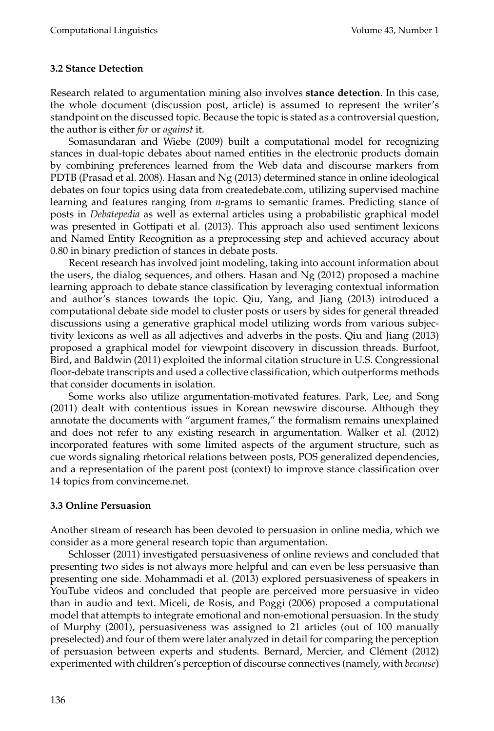### **3.2 Stance Detection**

Research related to argumentation mining also involves **stance detection**. In this case, the whole document (discussion post, article) is assumed to represent the writer's standpoint on the discussed topic. Because the topic is stated as a controversial question, the author is either *for* or *against* it.

Somasundaran and Wiebe (2009) built a computational model for recognizing stances in dual-topic debates about named entities in the electronic products domain by combining preferences learned from the Web data and discourse markers from PDTB (Prasad et al. 2008). Hasan and Ng (2013) determined stance in online ideological debates on four topics using data from createdebate.com, utilizing supervised machine learning and features ranging from *n*-grams to semantic frames. Predicting stance of posts in *Debatepedia* as well as external articles using a probabilistic graphical model was presented in Gottipati et al. (2013). This approach also used sentiment lexicons and Named Entity Recognition as a preprocessing step and achieved accuracy about 0.80 in binary prediction of stances in debate posts.

Recent research has involved joint modeling, taking into account information about the users, the dialog sequences, and others. Hasan and Ng (2012) proposed a machine learning approach to debate stance classification by leveraging contextual information and author's stances towards the topic. Qiu, Yang, and Jiang (2013) introduced a computational debate side model to cluster posts or users by sides for general threaded discussions using a generative graphical model utilizing words from various subjectivity lexicons as well as all adjectives and adverbs in the posts. Qiu and Jiang (2013) proposed a graphical model for viewpoint discovery in discussion threads. Burfoot, Bird, and Baldwin (2011) exploited the informal citation structure in U.S. Congressional floor-debate transcripts and used a collective classification, which outperforms methods that consider documents in isolation.

Some works also utilize argumentation-motivated features. Park, Lee, and Song (2011) dealt with contentious issues in Korean newswire discourse. Although they annotate the documents with "argument frames," the formalism remains unexplained and does not refer to any existing research in argumentation. Walker et al. (2012) incorporated features with some limited aspects of the argument structure, such as cue words signaling rhetorical relations between posts, POS generalized dependencies, and a representation of the parent post (context) to improve stance classification over 14 topics from convinceme.net.

### **3.3 Online Persuasion**

Another stream of research has been devoted to persuasion in online media, which we consider as a more general research topic than argumentation.

Schlosser (2011) investigated persuasiveness of online reviews and concluded that presenting two sides is not always more helpful and can even be less persuasive than presenting one side. Mohammadi et al. (2013) explored persuasiveness of speakers in YouTube videos and concluded that people are perceived more persuasive in video than in audio and text. Miceli, de Rosis, and Poggi (2006) proposed a computational model that attempts to integrate emotional and non-emotional persuasion. In the study of Murphy (2001), persuasiveness was assigned to 21 articles (out of 100 manually preselected) and four of them were later analyzed in detail for comparing the perception of persuasion between experts and students. Bernard, Mercier, and Clément (2012) experimented with children's perception of discourse connectives (namely, with *because*)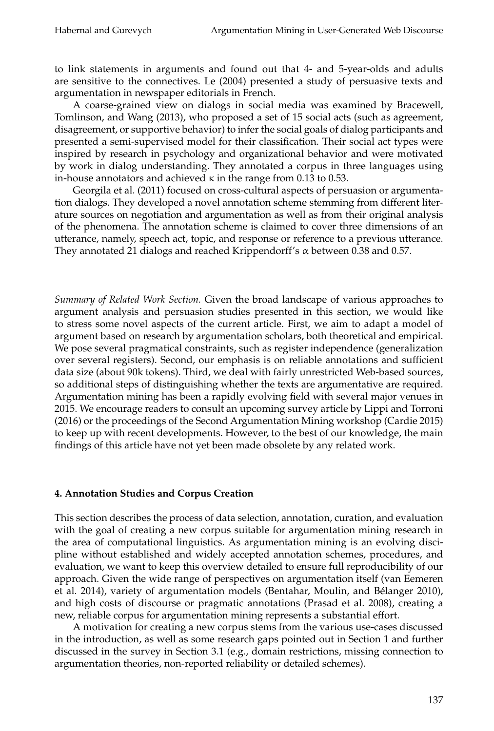to link statements in arguments and found out that 4- and 5-year-olds and adults are sensitive to the connectives. Le (2004) presented a study of persuasive texts and argumentation in newspaper editorials in French.

A coarse-grained view on dialogs in social media was examined by Bracewell, Tomlinson, and Wang (2013), who proposed a set of 15 social acts (such as agreement, disagreement, or supportive behavior) to infer the social goals of dialog participants and presented a semi-supervised model for their classification. Their social act types were inspired by research in psychology and organizational behavior and were motivated by work in dialog understanding. They annotated a corpus in three languages using in-house annotators and achieved  $\kappa$  in the range from 0.13 to 0.53.

Georgila et al. (2011) focused on cross-cultural aspects of persuasion or argumentation dialogs. They developed a novel annotation scheme stemming from different literature sources on negotiation and argumentation as well as from their original analysis of the phenomena. The annotation scheme is claimed to cover three dimensions of an utterance, namely, speech act, topic, and response or reference to a previous utterance. They annotated 21 dialogs and reached Krippendorff's  $\alpha$  between 0.38 and 0.57.

*Summary of Related Work Section.* Given the broad landscape of various approaches to argument analysis and persuasion studies presented in this section, we would like to stress some novel aspects of the current article. First, we aim to adapt a model of argument based on research by argumentation scholars, both theoretical and empirical. We pose several pragmatical constraints, such as register independence (generalization over several registers). Second, our emphasis is on reliable annotations and sufficient data size (about 90k tokens). Third, we deal with fairly unrestricted Web-based sources, so additional steps of distinguishing whether the texts are argumentative are required. Argumentation mining has been a rapidly evolving field with several major venues in 2015. We encourage readers to consult an upcoming survey article by Lippi and Torroni (2016) or the proceedings of the Second Argumentation Mining workshop (Cardie 2015) to keep up with recent developments. However, to the best of our knowledge, the main findings of this article have not yet been made obsolete by any related work.

### **4. Annotation Studies and Corpus Creation**

This section describes the process of data selection, annotation, curation, and evaluation with the goal of creating a new corpus suitable for argumentation mining research in the area of computational linguistics. As argumentation mining is an evolving discipline without established and widely accepted annotation schemes, procedures, and evaluation, we want to keep this overview detailed to ensure full reproducibility of our approach. Given the wide range of perspectives on argumentation itself (van Eemeren et al. 2014), variety of argumentation models (Bentahar, Moulin, and Belanger 2010), ´ and high costs of discourse or pragmatic annotations (Prasad et al. 2008), creating a new, reliable corpus for argumentation mining represents a substantial effort.

A motivation for creating a new corpus stems from the various use-cases discussed in the introduction, as well as some research gaps pointed out in Section 1 and further discussed in the survey in Section 3.1 (e.g., domain restrictions, missing connection to argumentation theories, non-reported reliability or detailed schemes).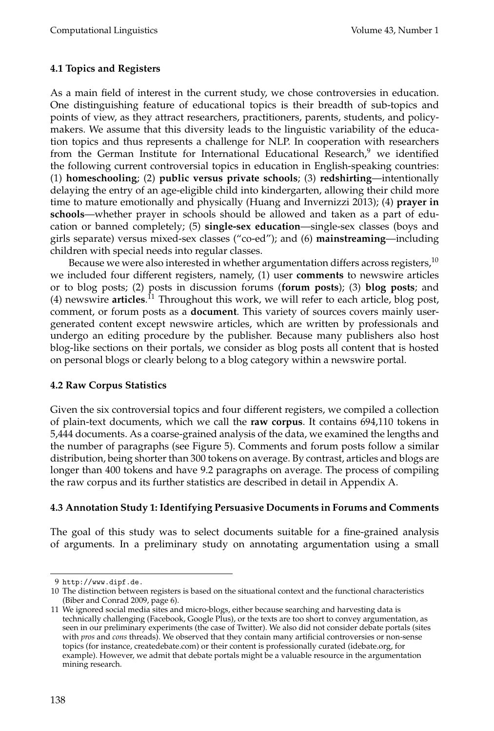# **4.1 Topics and Registers**

As a main field of interest in the current study, we chose controversies in education. One distinguishing feature of educational topics is their breadth of sub-topics and points of view, as they attract researchers, practitioners, parents, students, and policymakers. We assume that this diversity leads to the linguistic variability of the education topics and thus represents a challenge for NLP. In cooperation with researchers from the German Institute for International Educational Research, $9$  we identified the following current controversial topics in education in English-speaking countries: (1) **homeschooling**; (2) **public versus private schools**; (3) **redshirting**—intentionally delaying the entry of an age-eligible child into kindergarten, allowing their child more time to mature emotionally and physically (Huang and Invernizzi 2013); (4) **prayer in schools**—whether prayer in schools should be allowed and taken as a part of education or banned completely; (5) **single-sex education**—single-sex classes (boys and girls separate) versus mixed-sex classes ("co-ed"); and (6) **mainstreaming**—including children with special needs into regular classes.

Because we were also interested in whether argumentation differs across registers,  $10$ we included four different registers, namely, (1) user **comments** to newswire articles or to blog posts; (2) posts in discussion forums (**forum posts**); (3) **blog posts**; and (4) newswire **articles**. <sup>11</sup> Throughout this work, we will refer to each article, blog post, comment, or forum posts as a **document**. This variety of sources covers mainly usergenerated content except newswire articles, which are written by professionals and undergo an editing procedure by the publisher. Because many publishers also host blog-like sections on their portals, we consider as blog posts all content that is hosted on personal blogs or clearly belong to a blog category within a newswire portal.

### **4.2 Raw Corpus Statistics**

Given the six controversial topics and four different registers, we compiled a collection of plain-text documents, which we call the **raw corpus**. It contains 694,110 tokens in 5,444 documents. As a coarse-grained analysis of the data, we examined the lengths and the number of paragraphs (see Figure 5). Comments and forum posts follow a similar distribution, being shorter than 300 tokens on average. By contrast, articles and blogs are longer than 400 tokens and have 9.2 paragraphs on average. The process of compiling the raw corpus and its further statistics are described in detail in Appendix A.

# **4.3 Annotation Study 1: Identifying Persuasive Documents in Forums and Comments**

The goal of this study was to select documents suitable for a fine-grained analysis of arguments. In a preliminary study on annotating argumentation using a small

<sup>9</sup> http://www.dipf.de.

<sup>10</sup> The distinction between registers is based on the situational context and the functional characteristics (Biber and Conrad 2009, page 6).

<sup>11</sup> We ignored social media sites and micro-blogs, either because searching and harvesting data is technically challenging (Facebook, Google Plus), or the texts are too short to convey argumentation, as seen in our preliminary experiments (the case of Twitter). We also did not consider debate portals (sites with *pros* and *cons* threads). We observed that they contain many artificial controversies or non-sense topics (for instance, createdebate.com) or their content is professionally curated (idebate.org, for example). However, we admit that debate portals might be a valuable resource in the argumentation mining research.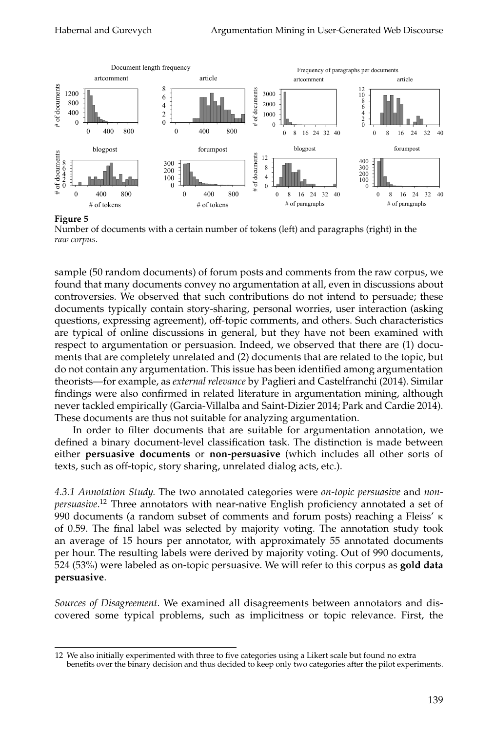

**Figure 5**



sample (50 random documents) of forum posts and comments from the raw corpus, we found that many documents convey no argumentation at all, even in discussions about controversies. We observed that such contributions do not intend to persuade; these documents typically contain story-sharing, personal worries, user interaction (asking questions, expressing agreement), off-topic comments, and others. Such characteristics are typical of online discussions in general, but they have not been examined with respect to argumentation or persuasion. Indeed, we observed that there are (1) documents that are completely unrelated and (2) documents that are related to the topic, but do not contain any argumentation. This issue has been identified among argumentation theorists—for example, as *external relevance* by Paglieri and Castelfranchi (2014). Similar findings were also confirmed in related literature in argumentation mining, although never tackled empirically (Garcia-Villalba and Saint-Dizier 2014; Park and Cardie 2014). These documents are thus not suitable for analyzing argumentation.

In order to filter documents that are suitable for argumentation annotation, we defined a binary document-level classification task. The distinction is made between either **persuasive documents** or **non-persuasive** (which includes all other sorts of texts, such as off-topic, story sharing, unrelated dialog acts, etc.).

*4.3.1 Annotation Study.* The two annotated categories were *on-topic persuasive* and *nonpersuasive*. <sup>12</sup> Three annotators with near-native English proficiency annotated a set of 990 documents (a random subset of comments and forum posts) reaching a Fleiss' κ of 0.59. The final label was selected by majority voting. The annotation study took an average of 15 hours per annotator, with approximately 55 annotated documents per hour. The resulting labels were derived by majority voting. Out of 990 documents, 524 (53%) were labeled as on-topic persuasive. We will refer to this corpus as **gold data persuasive**.

*Sources of Disagreement.* We examined all disagreements between annotators and discovered some typical problems, such as implicitness or topic relevance. First, the

<sup>12</sup> We also initially experimented with three to five categories using a Likert scale but found no extra

benefits over the binary decision and thus decided to keep only two categories after the pilot experiments.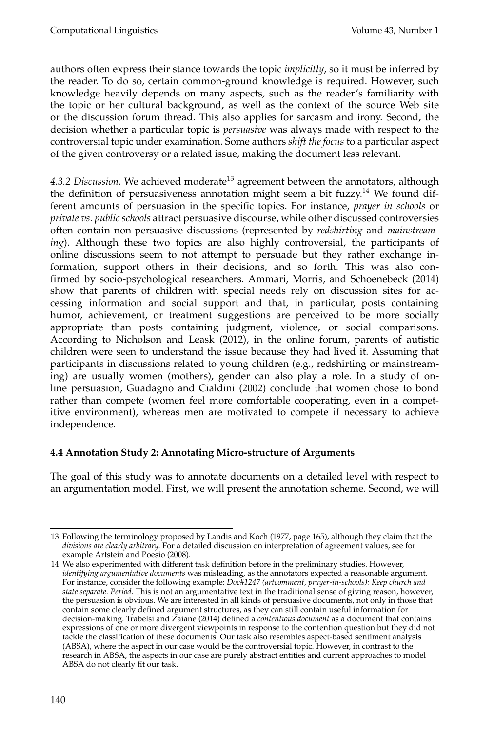authors often express their stance towards the topic *implicitly*, so it must be inferred by the reader. To do so, certain common-ground knowledge is required. However, such knowledge heavily depends on many aspects, such as the reader's familiarity with the topic or her cultural background, as well as the context of the source Web site or the discussion forum thread. This also applies for sarcasm and irony. Second, the decision whether a particular topic is *persuasive* was always made with respect to the controversial topic under examination. Some authors *shift the focus* to a particular aspect of the given controversy or a related issue, making the document less relevant.

4.3.2 Discussion. We achieved moderate<sup>13</sup> agreement between the annotators, although the definition of persuasiveness annotation might seem a bit fuzzy.<sup>14</sup> We found different amounts of persuasion in the specific topics. For instance, *prayer in schools* or *private vs. public schools* attract persuasive discourse, while other discussed controversies often contain non-persuasive discussions (represented by *redshirting* and *mainstreaming*). Although these two topics are also highly controversial, the participants of online discussions seem to not attempt to persuade but they rather exchange information, support others in their decisions, and so forth. This was also confirmed by socio-psychological researchers. Ammari, Morris, and Schoenebeck (2014) show that parents of children with special needs rely on discussion sites for accessing information and social support and that, in particular, posts containing humor, achievement, or treatment suggestions are perceived to be more socially appropriate than posts containing judgment, violence, or social comparisons. According to Nicholson and Leask (2012), in the online forum, parents of autistic children were seen to understand the issue because they had lived it. Assuming that participants in discussions related to young children (e.g., redshirting or mainstreaming) are usually women (mothers), gender can also play a role. In a study of online persuasion, Guadagno and Cialdini (2002) conclude that women chose to bond rather than compete (women feel more comfortable cooperating, even in a competitive environment), whereas men are motivated to compete if necessary to achieve independence.

# **4.4 Annotation Study 2: Annotating Micro-structure of Arguments**

The goal of this study was to annotate documents on a detailed level with respect to an argumentation model. First, we will present the annotation scheme. Second, we will

<sup>13</sup> Following the terminology proposed by Landis and Koch (1977, page 165), although they claim that the *divisions are clearly arbitrary.* For a detailed discussion on interpretation of agreement values, see for example Artstein and Poesio (2008).

<sup>14</sup> We also experimented with different task definition before in the preliminary studies. However, *identifying argumentative documents* was misleading, as the annotators expected a reasonable argument. For instance, consider the following example: *Doc#1247 (artcomment, prayer-in-schools): Keep church and state separate. Period.* This is not an argumentative text in the traditional sense of giving reason, however, the persuasion is obvious. We are interested in all kinds of persuasive documents, not only in those that contain some clearly defined argument structures, as they can still contain useful information for decision-making. Trabelsi and Zaiane (2014) defined a *contentious document* as a document that contains expressions of one or more divergent viewpoints in response to the contention question but they did not tackle the classification of these documents. Our task also resembles aspect-based sentiment analysis (ABSA), where the aspect in our case would be the controversial topic. However, in contrast to the research in ABSA, the aspects in our case are purely abstract entities and current approaches to model ABSA do not clearly fit our task.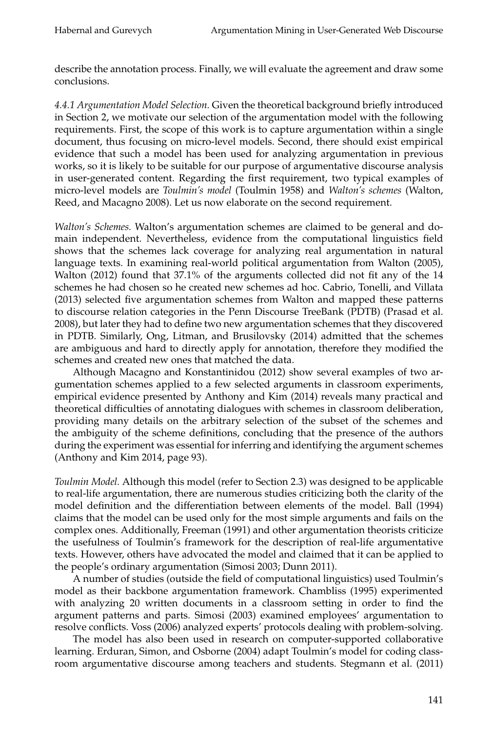describe the annotation process. Finally, we will evaluate the agreement and draw some conclusions.

*4.4.1 Argumentation Model Selection.* Given the theoretical background briefly introduced in Section 2, we motivate our selection of the argumentation model with the following requirements. First, the scope of this work is to capture argumentation within a single document, thus focusing on micro-level models. Second, there should exist empirical evidence that such a model has been used for analyzing argumentation in previous works, so it is likely to be suitable for our purpose of argumentative discourse analysis in user-generated content. Regarding the first requirement, two typical examples of micro-level models are *Toulmin's model* (Toulmin 1958) and *Walton's schemes* (Walton, Reed, and Macagno 2008). Let us now elaborate on the second requirement.

*Walton's Schemes.* Walton's argumentation schemes are claimed to be general and domain independent. Nevertheless, evidence from the computational linguistics field shows that the schemes lack coverage for analyzing real argumentation in natural language texts. In examining real-world political argumentation from Walton (2005), Walton (2012) found that 37.1% of the arguments collected did not fit any of the 14 schemes he had chosen so he created new schemes ad hoc. Cabrio, Tonelli, and Villata (2013) selected five argumentation schemes from Walton and mapped these patterns to discourse relation categories in the Penn Discourse TreeBank (PDTB) (Prasad et al. 2008), but later they had to define two new argumentation schemes that they discovered in PDTB. Similarly, Ong, Litman, and Brusilovsky (2014) admitted that the schemes are ambiguous and hard to directly apply for annotation, therefore they modified the schemes and created new ones that matched the data.

Although Macagno and Konstantinidou (2012) show several examples of two argumentation schemes applied to a few selected arguments in classroom experiments, empirical evidence presented by Anthony and Kim (2014) reveals many practical and theoretical difficulties of annotating dialogues with schemes in classroom deliberation, providing many details on the arbitrary selection of the subset of the schemes and the ambiguity of the scheme definitions, concluding that the presence of the authors during the experiment was essential for inferring and identifying the argument schemes (Anthony and Kim 2014, page 93).

*Toulmin Model.* Although this model (refer to Section 2.3) was designed to be applicable to real-life argumentation, there are numerous studies criticizing both the clarity of the model definition and the differentiation between elements of the model. Ball (1994) claims that the model can be used only for the most simple arguments and fails on the complex ones. Additionally, Freeman (1991) and other argumentation theorists criticize the usefulness of Toulmin's framework for the description of real-life argumentative texts. However, others have advocated the model and claimed that it can be applied to the people's ordinary argumentation (Simosi 2003; Dunn 2011).

A number of studies (outside the field of computational linguistics) used Toulmin's model as their backbone argumentation framework. Chambliss (1995) experimented with analyzing 20 written documents in a classroom setting in order to find the argument patterns and parts. Simosi (2003) examined employees' argumentation to resolve conflicts. Voss (2006) analyzed experts' protocols dealing with problem-solving.

The model has also been used in research on computer-supported collaborative learning. Erduran, Simon, and Osborne (2004) adapt Toulmin's model for coding classroom argumentative discourse among teachers and students. Stegmann et al. (2011)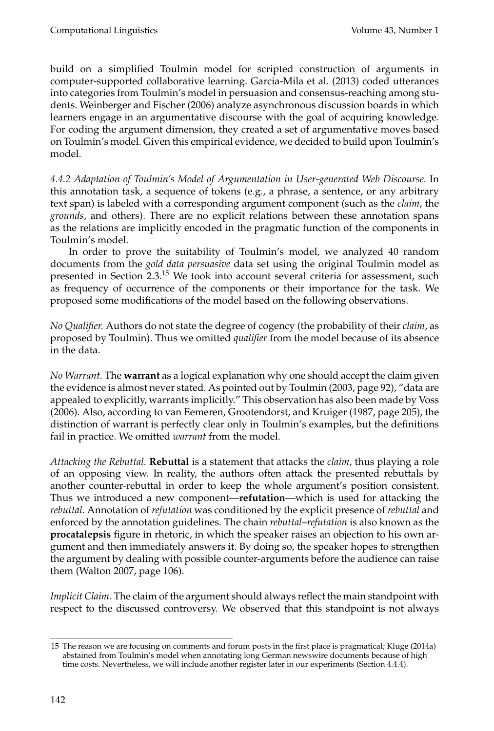build on a simplified Toulmin model for scripted construction of arguments in computer-supported collaborative learning. Garcia-Mila et al. (2013) coded utterances into categories from Toulmin's model in persuasion and consensus-reaching among students. Weinberger and Fischer (2006) analyze asynchronous discussion boards in which learners engage in an argumentative discourse with the goal of acquiring knowledge. For coding the argument dimension, they created a set of argumentative moves based on Toulmin's model. Given this empirical evidence, we decided to build upon Toulmin's model.

*4.4.2 Adaptation of Toulmin's Model of Argumentation in User-generated Web Discourse.* In this annotation task, a sequence of tokens (e.g., a phrase, a sentence, or any arbitrary text span) is labeled with a corresponding argument component (such as the *claim*, the *grounds*, and others). There are no explicit relations between these annotation spans as the relations are implicitly encoded in the pragmatic function of the components in Toulmin's model.

In order to prove the suitability of Toulmin's model, we analyzed 40 random documents from the *gold data persuasive* data set using the original Toulmin model as presented in Section 2.3.<sup>15</sup> We took into account several criteria for assessment, such as frequency of occurrence of the components or their importance for the task. We proposed some modifications of the model based on the following observations.

*No Qualifier.* Authors do not state the degree of cogency (the probability of their *claim*, as proposed by Toulmin). Thus we omitted *qualifier* from the model because of its absence in the data.

*No Warrant.* The **warrant** as a logical explanation why one should accept the claim given the evidence is almost never stated. As pointed out by Toulmin (2003, page 92), "data are appealed to explicitly, warrants implicitly." This observation has also been made by Voss (2006). Also, according to van Eemeren, Grootendorst, and Kruiger (1987, page 205), the distinction of warrant is perfectly clear only in Toulmin's examples, but the definitions fail in practice. We omitted *warrant* from the model.

*Attacking the Rebuttal.* **Rebuttal** is a statement that attacks the *claim*, thus playing a role of an opposing view. In reality, the authors often attack the presented rebuttals by another counter-rebuttal in order to keep the whole argument's position consistent. Thus we introduced a new component—**refutation**—which is used for attacking the *rebuttal*. Annotation of *refutation* was conditioned by the explicit presence of *rebuttal* and enforced by the annotation guidelines. The chain *rebuttal–refutation* is also known as the **procatalepsis** figure in rhetoric, in which the speaker raises an objection to his own argument and then immediately answers it. By doing so, the speaker hopes to strengthen the argument by dealing with possible counter-arguments before the audience can raise them (Walton 2007, page 106).

*Implicit Claim.* The claim of the argument should always reflect the main standpoint with respect to the discussed controversy. We observed that this standpoint is not always

<sup>15</sup> The reason we are focusing on comments and forum posts in the first place is pragmatical; Kluge (2014a) abstained from Toulmin's model when annotating long German newswire documents because of high time costs. Nevertheless, we will include another register later in our experiments (Section 4.4.4).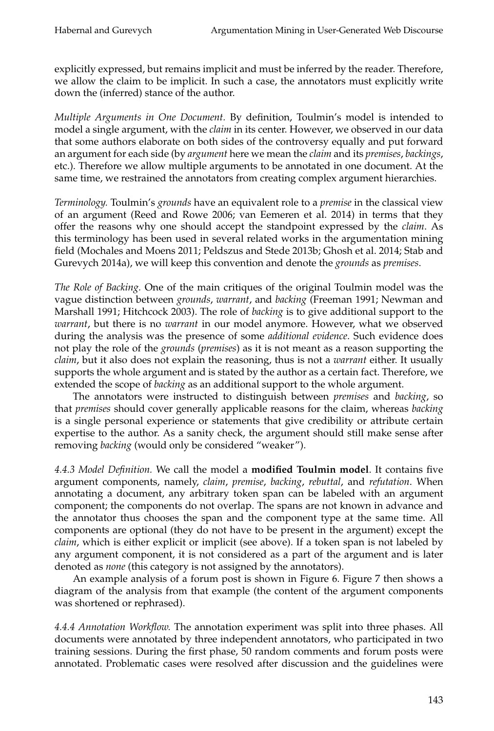explicitly expressed, but remains implicit and must be inferred by the reader. Therefore, we allow the claim to be implicit. In such a case, the annotators must explicitly write down the (inferred) stance of the author.

*Multiple Arguments in One Document.* By definition, Toulmin's model is intended to model a single argument, with the *claim* in its center. However, we observed in our data that some authors elaborate on both sides of the controversy equally and put forward an argument for each side (by *argument* here we mean the *claim* and its *premises*, *backings*, etc.). Therefore we allow multiple arguments to be annotated in one document. At the same time, we restrained the annotators from creating complex argument hierarchies.

*Terminology.* Toulmin's *grounds* have an equivalent role to a *premise* in the classical view of an argument (Reed and Rowe 2006; van Eemeren et al. 2014) in terms that they offer the reasons why one should accept the standpoint expressed by the *claim*. As this terminology has been used in several related works in the argumentation mining field (Mochales and Moens 2011; Peldszus and Stede 2013b; Ghosh et al. 2014; Stab and Gurevych 2014a), we will keep this convention and denote the *grounds* as *premises*.

*The Role of Backing.* One of the main critiques of the original Toulmin model was the vague distinction between *grounds*, *warrant*, and *backing* (Freeman 1991; Newman and Marshall 1991; Hitchcock 2003). The role of *backing* is to give additional support to the *warrant*, but there is no *warrant* in our model anymore. However, what we observed during the analysis was the presence of some *additional evidence*. Such evidence does not play the role of the *grounds* (*premises*) as it is not meant as a reason supporting the *claim*, but it also does not explain the reasoning, thus is not a *warrant* either. It usually supports the whole argument and is stated by the author as a certain fact. Therefore, we extended the scope of *backing* as an additional support to the whole argument.

The annotators were instructed to distinguish between *premises* and *backing*, so that *premises* should cover generally applicable reasons for the claim, whereas *backing* is a single personal experience or statements that give credibility or attribute certain expertise to the author. As a sanity check, the argument should still make sense after removing *backing* (would only be considered "weaker").

*4.4.3 Model Definition.* We call the model a **modified Toulmin model**. It contains five argument components, namely, *claim*, *premise*, *backing*, *rebuttal*, and *refutation*. When annotating a document, any arbitrary token span can be labeled with an argument component; the components do not overlap. The spans are not known in advance and the annotator thus chooses the span and the component type at the same time. All components are optional (they do not have to be present in the argument) except the *claim*, which is either explicit or implicit (see above). If a token span is not labeled by any argument component, it is not considered as a part of the argument and is later denoted as *none* (this category is not assigned by the annotators).

An example analysis of a forum post is shown in Figure 6. Figure 7 then shows a diagram of the analysis from that example (the content of the argument components was shortened or rephrased).

*4.4.4 Annotation Workflow.* The annotation experiment was split into three phases. All documents were annotated by three independent annotators, who participated in two training sessions. During the first phase, 50 random comments and forum posts were annotated. Problematic cases were resolved after discussion and the guidelines were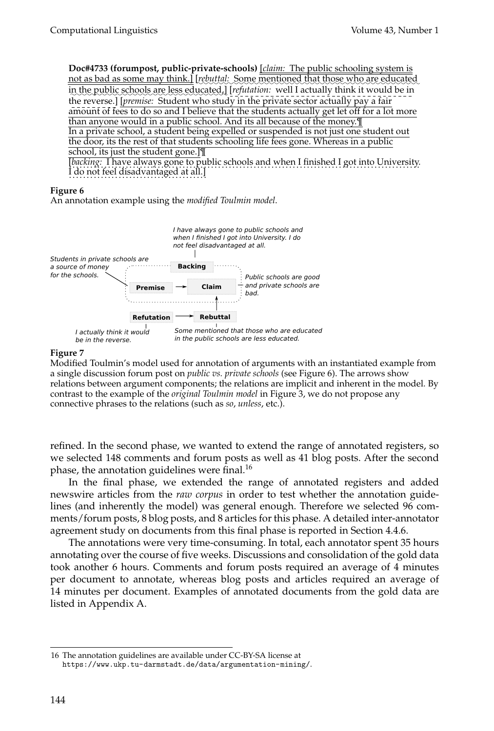**Doc#4733 (forumpost, public-private-schools)** [*claim:* The public schooling system is not as bad as some may think.] [*rebuttal:* Some mentioned that those who are educated in the public schools are less educated,] [*refutation:* well I actually think it would be in the reverse.] [*premise:* Student who study in the private sector actually pay a fair amount of fees to do so and I believe that the students actually get let off for a lot more than anyone would in a public school. And its all because of the money.¶ In a private school, a student being expelled or suspended is not just one student out the door, its the rest of that students schooling life fees gone. Whereas in a public school, its just the student gone.]¶

[backing: I have always gone to public schools and when I finished I got into University. . I . . . . do . . . . not . . . . . feel . . . . . . . . . . . . . . . . . disadvantaged. . . at . . . . . all.]

#### **Figure 6**

An annotation example using the *modified Toulmin model*.



#### **Figure 7**

Modified Toulmin's model used for annotation of arguments with an instantiated example from a single discussion forum post on *public vs. private schools* (see Figure 6). The arrows show relations between argument components; the relations are implicit and inherent in the model. By contrast to the example of the *original Toulmin model* in Figure 3, we do not propose any connective phrases to the relations (such as *so*, *unless*, etc.).

refined. In the second phase, we wanted to extend the range of annotated registers, so we selected 148 comments and forum posts as well as 41 blog posts. After the second phase, the annotation guidelines were final.<sup>16</sup>

In the final phase, we extended the range of annotated registers and added newswire articles from the *raw corpus* in order to test whether the annotation guidelines (and inherently the model) was general enough. Therefore we selected 96 comments/forum posts, 8 blog posts, and 8 articles for this phase. A detailed inter-annotator agreement study on documents from this final phase is reported in Section 4.4.6.

The annotations were very time-consuming. In total, each annotator spent 35 hours annotating over the course of five weeks. Discussions and consolidation of the gold data took another 6 hours. Comments and forum posts required an average of 4 minutes per document to annotate, whereas blog posts and articles required an average of 14 minutes per document. Examples of annotated documents from the gold data are listed in Appendix A.

<sup>16</sup> The annotation guidelines are available under CC-BY-SA license at https://www.ukp.tu-darmstadt.de/data/argumentation-mining/.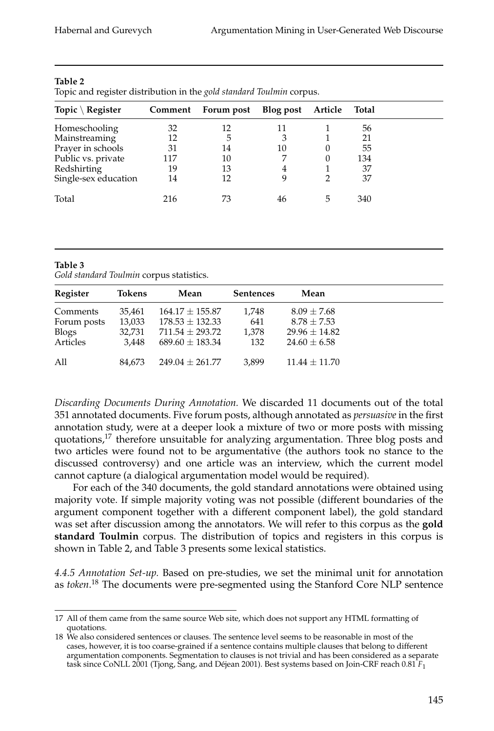| $\cdot$                    |         | $\cdot$    |           |         |              |  |
|----------------------------|---------|------------|-----------|---------|--------------|--|
| Topic $\setminus$ Register | Comment | Forum post | Blog post | Article | <b>Total</b> |  |
| Homeschooling              | 32      |            | 11        |         | 56           |  |
| Mainstreaming              | 12      | 5          | 3         |         | 21           |  |
| Prayer in schools          | 31      | 14         | 10        | O       | 55           |  |
| Public vs. private         | 117     | 10         | 7         | 0       | 134          |  |
| Redshirting                | 19      | 13         | 4         |         | 37           |  |
| Single-sex education       | 14      | 12         | 9         |         | 37           |  |
| Total                      | 216     |            | 46        | 5       | 340          |  |

#### **Table 2**

Topic and register distribution in the *gold standard Toulmin* corpus.

**Table 3** *Gold standard Toulmin* corpus statistics.

| Tokens | Mean                | <b>Sentences</b> | Mean              |
|--------|---------------------|------------------|-------------------|
| 35.461 | $164.17 \pm 155.87$ | 1.748            | $8.09 \pm 7.68$   |
| 13,033 | $178.53 \pm 132.33$ | 641              | $8.78 \pm 7.53$   |
| 32,731 | $711.54 \pm 293.72$ | 1.378            | $29.96 \pm 14.82$ |
| 3.448  | $689.60 \pm 183.34$ | 132              | $24.60 \pm 6.58$  |
| 84.673 | $249.04 \pm 261.77$ | 3,899            | $11.44 \pm 11.70$ |
|        |                     |                  |                   |

*Discarding Documents During Annotation.* We discarded 11 documents out of the total 351 annotated documents. Five forum posts, although annotated as *persuasive* in the first annotation study, were at a deeper look a mixture of two or more posts with missing quotations, $^{17}$  therefore unsuitable for analyzing argumentation. Three blog posts and two articles were found not to be argumentative (the authors took no stance to the discussed controversy) and one article was an interview, which the current model cannot capture (a dialogical argumentation model would be required).

For each of the 340 documents, the gold standard annotations were obtained using majority vote. If simple majority voting was not possible (different boundaries of the argument component together with a different component label), the gold standard was set after discussion among the annotators. We will refer to this corpus as the **gold standard Toulmin** corpus. The distribution of topics and registers in this corpus is shown in Table 2, and Table 3 presents some lexical statistics.

*4.4.5 Annotation Set-up.* Based on pre-studies, we set the minimal unit for annotation as *token*. <sup>18</sup> The documents were pre-segmented using the Stanford Core NLP sentence

<sup>17</sup> All of them came from the same source Web site, which does not support any HTML formatting of quotations.

<sup>18</sup> We also considered sentences or clauses. The sentence level seems to be reasonable in most of the cases, however, it is too coarse-grained if a sentence contains multiple clauses that belong to different argumentation components. Segmentation to clauses is not trivial and has been considered as a separate task since CoNLL 2001 (Tjong, Sang, and Déjean 2001). Best systems based on Join-CRF reach 0.81  $F_1$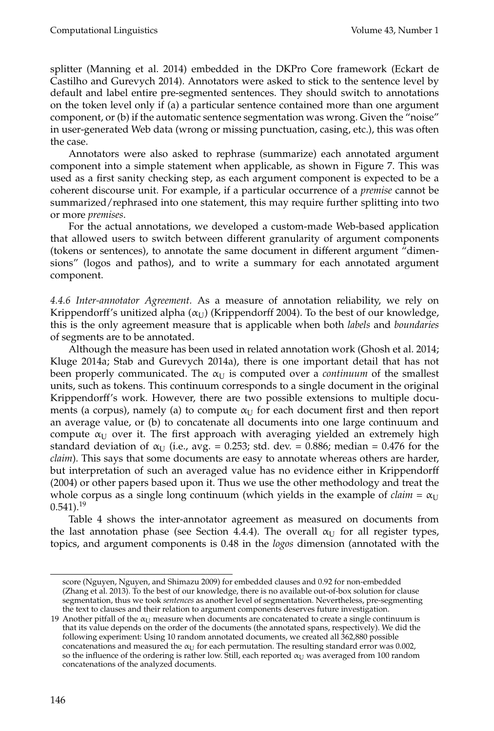splitter (Manning et al. 2014) embedded in the DKPro Core framework (Eckart de Castilho and Gurevych 2014). Annotators were asked to stick to the sentence level by default and label entire pre-segmented sentences. They should switch to annotations on the token level only if (a) a particular sentence contained more than one argument component, or (b) if the automatic sentence segmentation was wrong. Given the "noise" in user-generated Web data (wrong or missing punctuation, casing, etc.), this was often the case.

Annotators were also asked to rephrase (summarize) each annotated argument component into a simple statement when applicable, as shown in Figure 7. This was used as a first sanity checking step, as each argument component is expected to be a coherent discourse unit. For example, if a particular occurrence of a *premise* cannot be summarized/rephrased into one statement, this may require further splitting into two or more *premises*.

For the actual annotations, we developed a custom-made Web-based application that allowed users to switch between different granularity of argument components (tokens or sentences), to annotate the same document in different argument "dimensions" (logos and pathos), and to write a summary for each annotated argument component.

*4.4.6 Inter-annotator Agreement.* As a measure of annotation reliability, we rely on Krippendorff's unitized alpha ( $\alpha_{\text{U}}$ ) (Krippendorff 2004). To the best of our knowledge, this is the only agreement measure that is applicable when both *labels* and *boundaries* of segments are to be annotated.

Although the measure has been used in related annotation work (Ghosh et al. 2014; Kluge 2014a; Stab and Gurevych 2014a), there is one important detail that has not been properly communicated. The  $\alpha_U$  is computed over a *continuum* of the smallest units, such as tokens. This continuum corresponds to a single document in the original Krippendorff's work. However, there are two possible extensions to multiple documents (a corpus), namely (a) to compute  $\alpha_U$  for each document first and then report an average value, or (b) to concatenate all documents into one large continuum and compute  $\alpha_U$  over it. The first approach with averaging yielded an extremely high standard deviation of  $\alpha_U$  (i.e., avg. = 0.253; std. dev. = 0.886; median = 0.476 for the *claim*). This says that some documents are easy to annotate whereas others are harder, but interpretation of such an averaged value has no evidence either in Krippendorff (2004) or other papers based upon it. Thus we use the other methodology and treat the whole corpus as a single long continuum (which yields in the example of *claim* =  $\alpha_{\text{U}}$  $0.541$ ).<sup>19</sup>

Table 4 shows the inter-annotator agreement as measured on documents from the last annotation phase (see Section 4.4.4). The overall  $\alpha_{\text{U}}$  for all register types, topics, and argument components is 0.48 in the *logos* dimension (annotated with the

score (Nguyen, Nguyen, and Shimazu 2009) for embedded clauses and 0.92 for non-embedded (Zhang et al. 2013). To the best of our knowledge, there is no available out-of-box solution for clause segmentation, thus we took *sentences* as another level of segmentation. Nevertheless, pre-segmenting the text to clauses and their relation to argument components deserves future investigation.

<sup>19</sup> Another pitfall of the  $\alpha_U$  measure when documents are concatenated to create a single continuum is that its value depends on the order of the documents (the annotated spans, respectively). We did the following experiment: Using 10 random annotated documents, we created all 362,880 possible concatenations and measured the  $\alpha_U$  for each permutation. The resulting standard error was 0.002, so the influence of the ordering is rather low. Still, each reported  $\alpha_U$  was averaged from 100 random concatenations of the analyzed documents.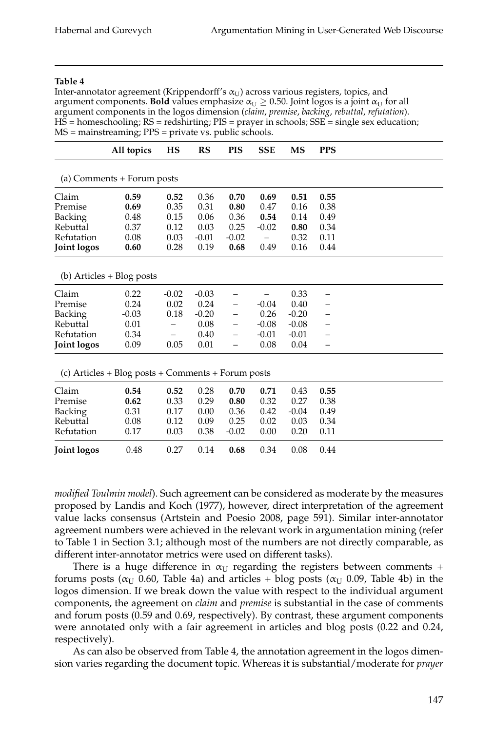#### **Table 4**

Inter-annotator agreement (Krippendorff's  $\alpha_U$ ) across various registers, topics, and argument components. **Bold** values emphasize  $\alpha_U \geq 0.50$ . Joint logos is a joint  $\alpha_U$  for all argument components in the logos dimension (*claim*, *premise*, *backing*, *rebuttal*, *refutation*).  $H\overline{S}$  = homeschooling; RS = redshirting; PIS = prayer in schools;  $SSE$  = single sex education; MS = mainstreaming; PPS = private vs. public schools.

|                | All topics                                         | HS      | RS      | <b>PIS</b>               | <b>SSE</b> | MS      | <b>PPS</b> |  |
|----------------|----------------------------------------------------|---------|---------|--------------------------|------------|---------|------------|--|
|                | (a) Comments + Forum posts                         |         |         |                          |            |         |            |  |
| Claim          | 0.59                                               | 0.52    | 0.36    | 0.70                     | 0.69       | 0.51    | 0.55       |  |
| Premise        | 0.69                                               | 0.35    | 0.31    | 0.80                     | 0.47       | 0.16    | 0.38       |  |
| Backing        | 0.48                                               | 0.15    | 0.06    | 0.36                     | 0.54       | 0.14    | 0.49       |  |
| Rebuttal       | 0.37                                               | 0.12    | 0.03    | 0.25                     | $-0.02$    | 0.80    | 0.34       |  |
| Refutation     | 0.08                                               | 0.03    | $-0.01$ | $-0.02$                  |            | 0.32    | 0.11       |  |
| Joint logos    | 0.60                                               | 0.28    | 0.19    | 0.68                     | 0.49       | 0.16    | 0.44       |  |
|                | (b) Articles + Blog posts                          |         |         |                          |            |         |            |  |
| Claim          | 0.22                                               | $-0.02$ | $-0.03$ | -                        |            | 0.33    |            |  |
| Premise        | 0.24                                               | 0.02    | 0.24    | $\overline{\phantom{0}}$ | $-0.04$    | 0.40    |            |  |
| <b>Backing</b> | $-0.03$                                            | 0.18    | $-0.20$ | -                        | 0.26       | $-0.20$ |            |  |
| Rebuttal       | 0.01                                               |         | 0.08    | $\overline{\phantom{0}}$ | $-0.08$    | $-0.08$ |            |  |
| Refutation     | 0.34                                               | -       | 0.40    | $\qquad \qquad -$        | $-0.01$    | $-0.01$ | -          |  |
| Joint logos    | 0.09                                               | 0.05    | 0.01    |                          | 0.08       | 0.04    |            |  |
|                | (c) Articles + Blog posts + Comments + Forum posts |         |         |                          |            |         |            |  |
| Claim          | 0.54                                               | 0.52    | 0.28    | 0.70                     | 0.71       | 0.43    | 0.55       |  |
| Premise        | 0.62                                               | 0.33    | 0.29    | 0.80                     | 0.32       | 0.27    | 0.38       |  |
| <b>Backing</b> | 0.31                                               | 0.17    | 0.00    | 0.36                     | 0.42       | $-0.04$ | 0.49       |  |

| Refutation            0.17           0.03      0.38     -0.02      0.00      0.20     0.11 |      |  |                                           |  |  |
|--------------------------------------------------------------------------------------------|------|--|-------------------------------------------|--|--|
| Joint logos                                                                                | 0.48 |  | $0.27$ $0.14$ $0.68$ $0.34$ $0.08$ $0.44$ |  |  |

Rebuttal 0.08 0.12 0.09 0.25 0.02 0.03 0.34

*modified Toulmin model*). Such agreement can be considered as moderate by the measures proposed by Landis and Koch (1977), however, direct interpretation of the agreement value lacks consensus (Artstein and Poesio 2008, page 591). Similar inter-annotator agreement numbers were achieved in the relevant work in argumentation mining (refer to Table 1 in Section 3.1; although most of the numbers are not directly comparable, as different inter-annotator metrics were used on different tasks).

There is a huge difference in  $\alpha_{\text{U}}$  regarding the registers between comments + forums posts ( $\alpha_{\text{U}}$  0.60, Table 4a) and articles + blog posts ( $\alpha_{\text{U}}$  0.09, Table 4b) in the logos dimension. If we break down the value with respect to the individual argument components, the agreement on *claim* and *premise* is substantial in the case of comments and forum posts (0.59 and 0.69, respectively). By contrast, these argument components were annotated only with a fair agreement in articles and blog posts (0.22 and 0.24, respectively).

As can also be observed from Table 4, the annotation agreement in the logos dimension varies regarding the document topic. Whereas it is substantial/moderate for *prayer*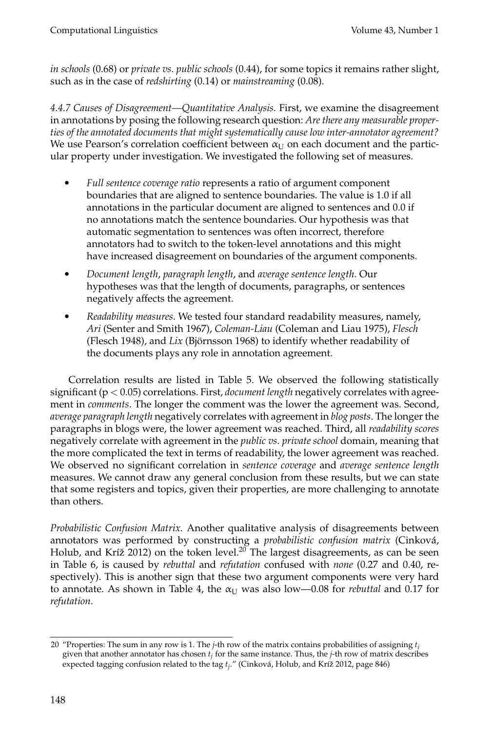*in schools* (0.68) or *private vs. public schools* (0.44), for some topics it remains rather slight, such as in the case of *redshirting* (0.14) or *mainstreaming* (0.08).

*4.4.7 Causes of Disagreement—Quantitative Analysis.* First, we examine the disagreement in annotations by posing the following research question: *Are there any measurable properties of the annotated documents that might systematically cause low inter-annotator agreement?* We use Pearson's correlation coefficient between  $\alpha_{U}$  on each document and the particular property under investigation. We investigated the following set of measures.

- Full sentence coverage ratio represents a ratio of argument component boundaries that are aligned to sentence boundaries. The value is 1.0 if all annotations in the particular document are aligned to sentences and 0.0 if no annotations match the sentence boundaries. Our hypothesis was that automatic segmentation to sentences was often incorrect, therefore annotators had to switch to the token-level annotations and this might have increased disagreement on boundaries of the argument components.
- r *Document length*, *paragraph length*, and *average sentence length*. Our hypotheses was that the length of documents, paragraphs, or sentences negatively affects the agreement.
- r *Readability measures*. We tested four standard readability measures, namely, *Ari* (Senter and Smith 1967), *Coleman-Liau* (Coleman and Liau 1975), *Flesch* (Flesch 1948), and *Lix* (Björnsson 1968) to identify whether readability of the documents plays any role in annotation agreement.

Correlation results are listed in Table 5. We observed the following statistically significant (p < 0.05) correlations. First, *document length* negatively correlates with agreement in *comments*. The longer the comment was the lower the agreement was. Second, *average paragraph length* negatively correlates with agreement in *blog posts*. The longer the paragraphs in blogs were, the lower agreement was reached. Third, all *readability scores* negatively correlate with agreement in the *public vs. private school* domain, meaning that the more complicated the text in terms of readability, the lower agreement was reached. We observed no significant correlation in *sentence coverage* and *average sentence length* measures. We cannot draw any general conclusion from these results, but we can state that some registers and topics, given their properties, are more challenging to annotate than others.

*Probabilistic Confusion Matrix.* Another qualitative analysis of disagreements between annotators was performed by constructing a *probabilistic confusion matrix* (Cinkova,´ Holub, and Kríž 2012) on the token level. $^{20}$  The largest disagreements, as can be seen in Table 6, is caused by *rebuttal* and *refutation* confused with *none* (0.27 and 0.40, respectively). This is another sign that these two argument components were very hard to annotate. As shown in Table 4, the  $\alpha_U$  was also low—0.08 for *rebuttal* and 0.17 for *refutation*.

<sup>20 &</sup>quot;Properties: The sum in any row is 1. The *j*-th row of the matrix contains probabilities of assigning *t<sup>i</sup>* given that another annotator has chosen *t<sup>j</sup>* for the same instance. Thus, the *j*-th row of matrix describes expected tagging confusion related to the tag *t<sub>j</sub>.''* (Cinková, Holub, and Kríž 2012, page 846)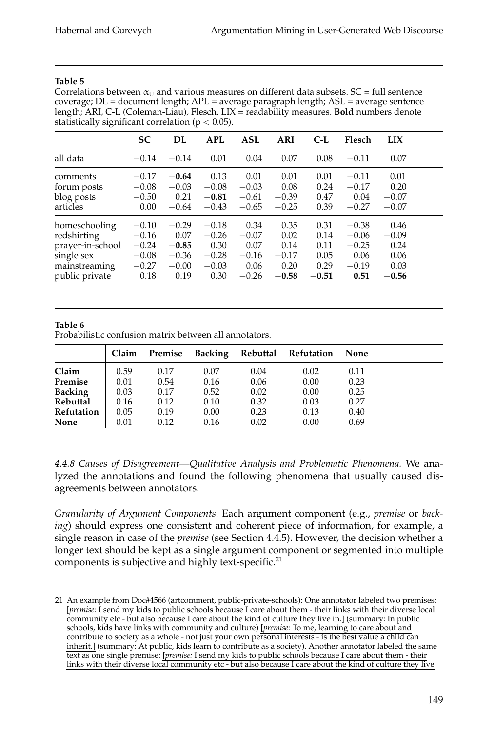### **Table 5**

Correlations between  $\alpha_U$  and various measures on different data subsets. SC = full sentence coverage; DL = document length; APL = average paragraph length; ASL = average sentence length; ARI, C-L (Coleman-Liau), Flesch, LIX = readability measures. **Bold** numbers denote statistically significant correlation ( $p < 0.05$ ).

|                  | <b>SC</b> | DL      | <b>APL</b> | <b>ASL</b> | ARI     | $C-L$   | Flesch  | <b>LIX</b> |  |
|------------------|-----------|---------|------------|------------|---------|---------|---------|------------|--|
| all data         | $-0.14$   | $-0.14$ | 0.01       | 0.04       | 0.07    | 0.08    | $-0.11$ | 0.07       |  |
| comments         | $-0.17$   | $-0.64$ | 0.13       | 0.01       | 0.01    | 0.01    | $-0.11$ | 0.01       |  |
| forum posts      | $-0.08$   | $-0.03$ | $-0.08$    | $-0.03$    | 0.08    | 0.24    | $-0.17$ | 0.20       |  |
| blog posts       | $-0.50$   | 0.21    | $-0.81$    | $-0.61$    | $-0.39$ | 0.47    | 0.04    | $-0.07$    |  |
| articles         | 0.00      | $-0.64$ | $-0.43$    | $-0.65$    | $-0.25$ | 0.39    | $-0.27$ | $-0.07$    |  |
| homeschooling    | $-0.10$   | $-0.29$ | $-0.18$    | 0.34       | 0.35    | 0.31    | $-0.38$ | 0.46       |  |
| redshirting      | $-0.16$   | 0.07    | $-0.26$    | $-0.07$    | 0.02    | 0.14    | $-0.06$ | $-0.09$    |  |
| prayer-in-school | $-0.24$   | $-0.85$ | 0.30       | 0.07       | 0.14    | 0.11    | $-0.25$ | 0.24       |  |
| single sex       | $-0.08$   | $-0.36$ | $-0.28$    | $-0.16$    | $-0.17$ | 0.05    | 0.06    | 0.06       |  |
| mainstreaming    | $-0.27$   | $-0.00$ | $-0.03$    | 0.06       | 0.20    | 0.29    | $-0.19$ | 0.03       |  |
| public private   | 0.18      | 0.19    | 0.30       | $-0.26$    | $-0.58$ | $-0.51$ | 0.51    | $-0.56$    |  |

#### **Table 6**

Probabilistic confusion matrix between all annotators.

|                | Claim | Premise |      |      | Backing Rebuttal Refutation | <b>None</b> |  |
|----------------|-------|---------|------|------|-----------------------------|-------------|--|
| Claim          | 0.59  | 0.17    | 0.07 | 0.04 | 0.02                        | 0.11        |  |
| Premise        | 0.01  | 0.54    | 0.16 | 0.06 | 0.00                        | 0.23        |  |
| <b>Backing</b> | 0.03  | 0.17    | 0.52 | 0.02 | 0.00                        | 0.25        |  |
| Rebuttal       | 0.16  | 0.12    | 0.10 | 0.32 | 0.03                        | 0.27        |  |
| Refutation     | 0.05  | 0.19    | 0.00 | 0.23 | 0.13                        | 0.40        |  |
| None           | 0.01  | 0.12    | 0.16 | 0.02 | 0.00                        | 0.69        |  |

*4.4.8 Causes of Disagreement—Qualitative Analysis and Problematic Phenomena.* We analyzed the annotations and found the following phenomena that usually caused disagreements between annotators.

*Granularity of Argument Components.* Each argument component (e.g., *premise* or *backing*) should express one consistent and coherent piece of information, for example, a single reason in case of the *premise* (see Section 4.4.5). However, the decision whether a longer text should be kept as a single argument component or segmented into multiple components is subjective and highly text-specific.<sup>21</sup>

<sup>21</sup> An example from Doc#4566 (artcomment, public-private-schools): One annotator labeled two premises: [*premise:* I send my kids to public schools because I care about them - their links with their diverse local community etc - but also because I care about the kind of culture they live in.] (summary: In public schools, kids have links with community and culture) [*premise:* To me, learning to care about and contribute to society as a whole - not just your own personal interests - is the best value a child can inherit.] (summary: At public, kids learn to contribute as a society). Another annotator labeled the same text as one single premise: [*premise:* I send my kids to public schools because I care about them - their links with their diverse local community etc - but also because I care about the kind of culture they live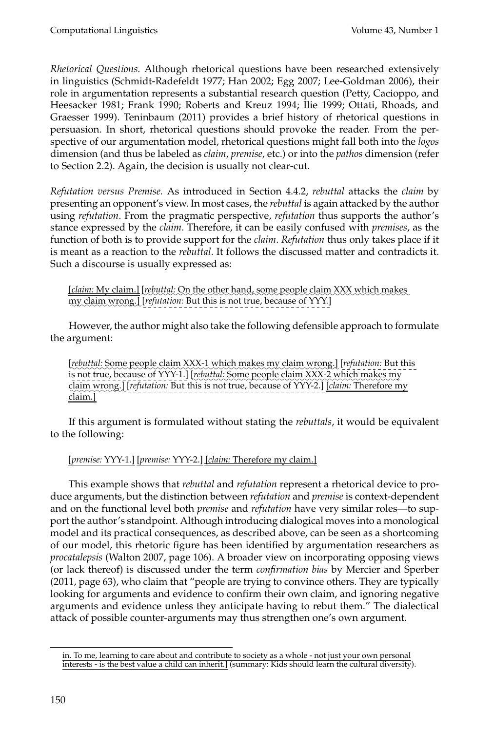*Rhetorical Questions.* Although rhetorical questions have been researched extensively in linguistics (Schmidt-Radefeldt 1977; Han 2002; Egg 2007; Lee-Goldman 2006), their role in argumentation represents a substantial research question (Petty, Cacioppo, and Heesacker 1981; Frank 1990; Roberts and Kreuz 1994; Ilie 1999; Ottati, Rhoads, and Graesser 1999). Teninbaum (2011) provides a brief history of rhetorical questions in persuasion. In short, rhetorical questions should provoke the reader. From the perspective of our argumentation model, rhetorical questions might fall both into the *logos* dimension (and thus be labeled as *claim*, *premise*, etc.) or into the *pathos* dimension (refer to Section 2.2). Again, the decision is usually not clear-cut.

*Refutation versus Premise.* As introduced in Section 4.4.2, *rebuttal* attacks the *claim* by presenting an opponent's view. In most cases, the *rebuttal* is again attacked by the author using *refutation*. From the pragmatic perspective, *refutation* thus supports the author's stance expressed by the *claim*. Therefore, it can be easily confused with *premises*, as the function of both is to provide support for the *claim*. *Refutation* thus only takes place if it is meant as a reaction to the *rebuttal*. It follows the discussed matter and contradicts it. Such a discourse is usually expressed as:

<u>[claim: My claim.]</u> [*rebuttal: On the other hand, some people claim XXX which makes* my claim wrong.] [*refutation:* But this is not true, because of YYY.]

However, the author might also take the following defensible approach to formulate the argument:

✿✿✿✿✿✿ [*rebuttal:*✿✿✿✿✿ Some✿✿✿✿✿✿ people✿✿✿✿✿ claim✿✿✿✿✿ XXX-1✿✿✿✿✿✿ which ✿✿✿✿✿ makes✿✿✿my✿✿✿✿✿ claim✿✿✿✿✿✿✿ wrong.] [*refutation:* But this is not true, because of YYY-1.] [*rebuttal:* Some people claim XXX-2 which makes my ✿✿✿✿ claim✿✿✿✿✿✿✿ wrong.] [*refutation:* But this is not true, because of YYY-2.] [*claim:* Therefore my claim.]

If this argument is formulated without stating the *rebuttals*, it would be equivalent to the following:

# [*premise:* YYY-1.] [*premise:* YYY-2.] [*claim:* Therefore my claim.]

This example shows that *rebuttal* and *refutation* represent a rhetorical device to produce arguments, but the distinction between *refutation* and *premise* is context-dependent and on the functional level both *premise* and *refutation* have very similar roles—to support the author's standpoint. Although introducing dialogical moves into a monological model and its practical consequences, as described above, can be seen as a shortcoming of our model, this rhetoric figure has been identified by argumentation researchers as *procatalepsis* (Walton 2007, page 106). A broader view on incorporating opposing views (or lack thereof) is discussed under the term *confirmation bias* by Mercier and Sperber (2011, page 63), who claim that "people are trying to convince others. They are typically looking for arguments and evidence to confirm their own claim, and ignoring negative arguments and evidence unless they anticipate having to rebut them." The dialectical attack of possible counter-arguments may thus strengthen one's own argument.

in. To me, learning to care about and contribute to society as a whole - not just your own personal interests - is the best value a child can inherit.] (summary: Kids should learn the cultural diversity).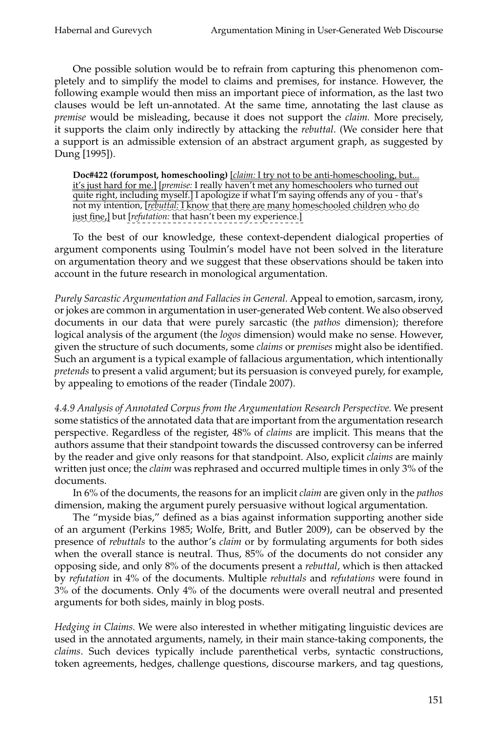One possible solution would be to refrain from capturing this phenomenon completely and to simplify the model to claims and premises, for instance. However, the following example would then miss an important piece of information, as the last two clauses would be left un-annotated. At the same time, annotating the last clause as *premise* would be misleading, because it does not support the *claim.* More precisely, it supports the claim only indirectly by attacking the *rebuttal*. (We consider here that a support is an admissible extension of an abstract argument graph, as suggested by Dung [1995]).

**Doc#422 (forumpost, homeschooling)** [*claim:* I try not to be anti-homeschooling, but... it's just hard for me.] [*premise:* I really haven't met any homeschoolers who turned out quite right, including myself.] I apologize if what I'm saying offends any of you - that's not my intention, [*rebuttal:* I know that there are many homeschooled children who do j<u>ust fine,]</u> but <u>[*refutation:* that hasn't been my experience.]</u>

To the best of our knowledge, these context-dependent dialogical properties of argument components using Toulmin's model have not been solved in the literature on argumentation theory and we suggest that these observations should be taken into account in the future research in monological argumentation.

*Purely Sarcastic Argumentation and Fallacies in General.* Appeal to emotion, sarcasm, irony, or jokes are common in argumentation in user-generated Web content. We also observed documents in our data that were purely sarcastic (the *pathos* dimension); therefore logical analysis of the argument (the *logos* dimension) would make no sense. However, given the structure of such documents, some *claims* or *premises* might also be identified. Such an argument is a typical example of fallacious argumentation, which intentionally *pretends* to present a valid argument; but its persuasion is conveyed purely, for example, by appealing to emotions of the reader (Tindale 2007).

*4.4.9 Analysis of Annotated Corpus from the Argumentation Research Perspective.* We present some statistics of the annotated data that are important from the argumentation research perspective. Regardless of the register, 48% of *claims* are implicit. This means that the authors assume that their standpoint towards the discussed controversy can be inferred by the reader and give only reasons for that standpoint. Also, explicit *claims* are mainly written just once; the *claim* was rephrased and occurred multiple times in only 3% of the documents.

In 6% of the documents, the reasons for an implicit *claim* are given only in the *pathos* dimension, making the argument purely persuasive without logical argumentation.

The "myside bias," defined as a bias against information supporting another side of an argument (Perkins 1985; Wolfe, Britt, and Butler 2009), can be observed by the presence of *rebuttals* to the author's *claim* or by formulating arguments for both sides when the overall stance is neutral. Thus, 85% of the documents do not consider any opposing side, and only 8% of the documents present a *rebuttal*, which is then attacked by *refutation* in 4% of the documents. Multiple *rebuttals* and *refutations* were found in 3% of the documents. Only 4% of the documents were overall neutral and presented arguments for both sides, mainly in blog posts.

*Hedging in Claims.* We were also interested in whether mitigating linguistic devices are used in the annotated arguments, namely, in their main stance-taking components, the *claims*. Such devices typically include parenthetical verbs, syntactic constructions, token agreements, hedges, challenge questions, discourse markers, and tag questions,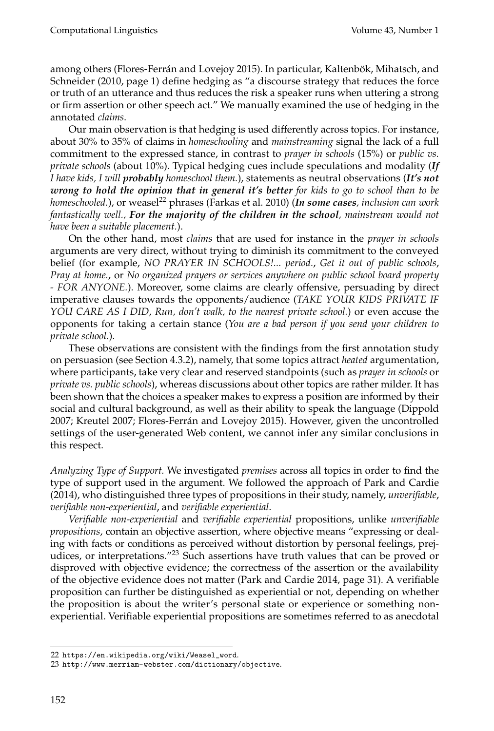among others (Flores-Ferrán and Lovejoy 2015). In particular, Kaltenbök, Mihatsch, and Schneider (2010, page 1) define hedging as "a discourse strategy that reduces the force or truth of an utterance and thus reduces the risk a speaker runs when uttering a strong or firm assertion or other speech act." We manually examined the use of hedging in the annotated *claims*.

Our main observation is that hedging is used differently across topics. For instance, about 30% to 35% of claims in *homeschooling* and *mainstreaming* signal the lack of a full commitment to the expressed stance, in contrast to *prayer in schools* (15%) or *public vs. private schools* (about 10%). Typical hedging cues include speculations and modality (*If I have kids, I will probably homeschool them.*), statements as neutral observations (*It's not wrong to hold the opinion that in general it's better for kids to go to school than to be homeschooled.*), or weasel<sup>22</sup> phrases (Farkas et al. 2010) (*In some cases*, *inclusion can work fantastically well., For the majority of the children in the school, mainstream would not have been a suitable placement.*).

On the other hand, most *claims* that are used for instance in the *prayer in schools* arguments are very direct, without trying to diminish its commitment to the conveyed belief (for example, *NO PRAYER IN SCHOOLS!... period.*, *Get it out of public schools*, *Pray at home.*, or *No organized prayers or services anywhere on public school board property - FOR ANYONE.*). Moreover, some claims are clearly offensive, persuading by direct imperative clauses towards the opponents/audience (*TAKE YOUR KIDS PRIVATE IF YOU CARE AS I DID*, *Run, don't walk, to the nearest private school.*) or even accuse the opponents for taking a certain stance (*You are a bad person if you send your children to private school.*).

These observations are consistent with the findings from the first annotation study on persuasion (see Section 4.3.2), namely, that some topics attract *heated* argumentation, where participants, take very clear and reserved standpoints (such as *prayer in schools* or *private vs. public schools*), whereas discussions about other topics are rather milder. It has been shown that the choices a speaker makes to express a position are informed by their social and cultural background, as well as their ability to speak the language (Dippold 2007; Kreutel 2007; Flores-Ferran and Lovejoy 2015). However, given the uncontrolled ´ settings of the user-generated Web content, we cannot infer any similar conclusions in this respect.

*Analyzing Type of Support.* We investigated *premises* across all topics in order to find the type of support used in the argument. We followed the approach of Park and Cardie (2014), who distinguished three types of propositions in their study, namely, *unverifiable*, *verifiable non-experiential*, and *verifiable experiential*.

*Verifiable non-experiential* and *verifiable experiential* propositions, unlike *unverifiable propositions*, contain an objective assertion, where objective means "expressing or dealing with facts or conditions as perceived without distortion by personal feelings, prejudices, or interpretations."<sup>23</sup> Such assertions have truth values that can be proved or disproved with objective evidence; the correctness of the assertion or the availability of the objective evidence does not matter (Park and Cardie 2014, page 31). A verifiable proposition can further be distinguished as experiential or not, depending on whether the proposition is about the writer's personal state or experience or something nonexperiential. Verifiable experiential propositions are sometimes referred to as anecdotal

<sup>22</sup> https://en.wikipedia.org/wiki/Weasel\_word.

<sup>23</sup> http://www.merriam-webster.com/dictionary/objective.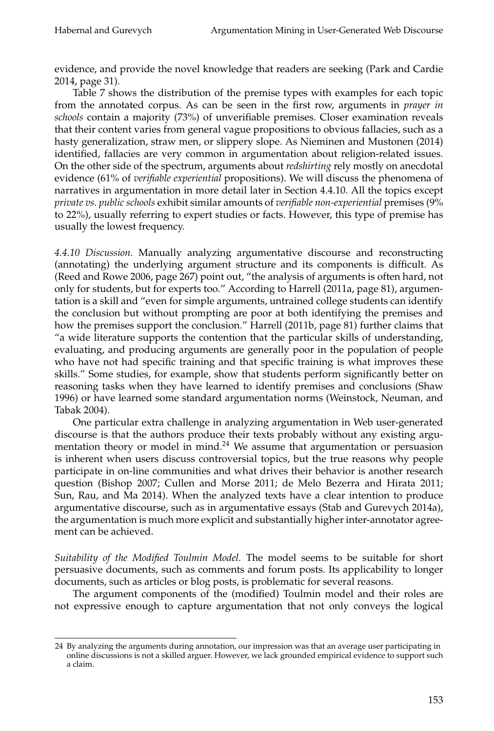evidence, and provide the novel knowledge that readers are seeking (Park and Cardie 2014, page 31).

Table 7 shows the distribution of the premise types with examples for each topic from the annotated corpus. As can be seen in the first row, arguments in *prayer in schools* contain a majority (73%) of unverifiable premises. Closer examination reveals that their content varies from general vague propositions to obvious fallacies, such as a hasty generalization, straw men, or slippery slope. As Nieminen and Mustonen (2014) identified, fallacies are very common in argumentation about religion-related issues. On the other side of the spectrum, arguments about *redshirting* rely mostly on anecdotal evidence (61% of *verifiable experiential* propositions). We will discuss the phenomena of narratives in argumentation in more detail later in Section 4.4.10. All the topics except *private vs. public schools* exhibit similar amounts of *verifiable non-experiential* premises (9% to 22%), usually referring to expert studies or facts. However, this type of premise has usually the lowest frequency.

*4.4.10 Discussion.* Manually analyzing argumentative discourse and reconstructing (annotating) the underlying argument structure and its components is difficult. As (Reed and Rowe 2006, page 267) point out, "the analysis of arguments is often hard, not only for students, but for experts too." According to Harrell (2011a, page 81), argumentation is a skill and "even for simple arguments, untrained college students can identify the conclusion but without prompting are poor at both identifying the premises and how the premises support the conclusion." Harrell (2011b, page 81) further claims that "a wide literature supports the contention that the particular skills of understanding, evaluating, and producing arguments are generally poor in the population of people who have not had specific training and that specific training is what improves these skills." Some studies, for example, show that students perform significantly better on reasoning tasks when they have learned to identify premises and conclusions (Shaw 1996) or have learned some standard argumentation norms (Weinstock, Neuman, and Tabak 2004).

One particular extra challenge in analyzing argumentation in Web user-generated discourse is that the authors produce their texts probably without any existing argumentation theory or model in mind.<sup>24</sup> We assume that argumentation or persuasion is inherent when users discuss controversial topics, but the true reasons why people participate in on-line communities and what drives their behavior is another research question (Bishop 2007; Cullen and Morse 2011; de Melo Bezerra and Hirata 2011; Sun, Rau, and Ma 2014). When the analyzed texts have a clear intention to produce argumentative discourse, such as in argumentative essays (Stab and Gurevych 2014a), the argumentation is much more explicit and substantially higher inter-annotator agreement can be achieved.

*Suitability of the Modified Toulmin Model.* The model seems to be suitable for short persuasive documents, such as comments and forum posts. Its applicability to longer documents, such as articles or blog posts, is problematic for several reasons.

The argument components of the (modified) Toulmin model and their roles are not expressive enough to capture argumentation that not only conveys the logical

<sup>24</sup> By analyzing the arguments during annotation, our impression was that an average user participating in online discussions is not a skilled arguer. However, we lack grounded empirical evidence to support such a claim.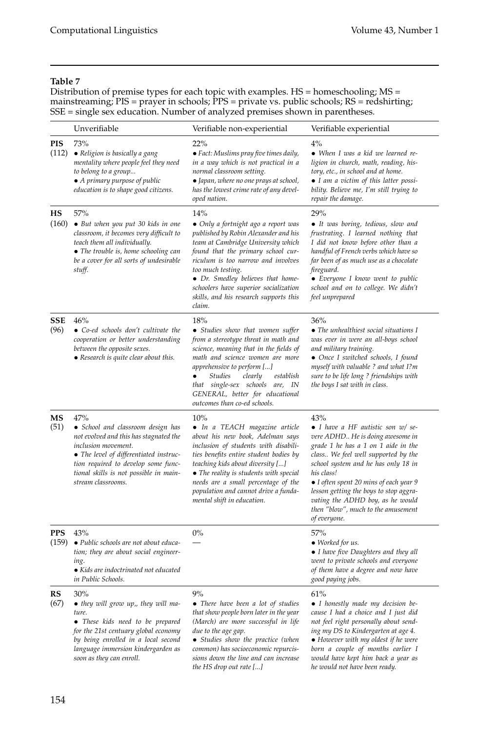### **Table 7**

Distribution of premise types for each topic with examples. HS = homeschooling; MS = mainstreaming; PIS = prayer in schools; PPS = private vs. public schools; RS = redshirting; SSE = single sex education. Number of analyzed premises shown in parentheses.

|                     | Unverifiable                                                                                                                                                                                                                                               | Verifiable non-experiential                                                                                                                                                                                                                                                                                                                                 | Verifiable experiential                                                                                                                                                                                                                                                                                                                                                                               |
|---------------------|------------------------------------------------------------------------------------------------------------------------------------------------------------------------------------------------------------------------------------------------------------|-------------------------------------------------------------------------------------------------------------------------------------------------------------------------------------------------------------------------------------------------------------------------------------------------------------------------------------------------------------|-------------------------------------------------------------------------------------------------------------------------------------------------------------------------------------------------------------------------------------------------------------------------------------------------------------------------------------------------------------------------------------------------------|
| <b>PIS</b><br>(112) | 73%<br>· Religion is basically a gang<br>mentality where people feel they need<br>to belong to a group<br>$\bullet$ A primary purpose of public<br>education is to shape good citizens.                                                                    | 22%<br>• Fact: Muslims pray five times daily,<br>in a way which is not practical in a<br>normal classroom setting.<br>• Japan, where no one prays at school,<br>has the lowest crime rate of any devel-<br>oped nation.                                                                                                                                     | 4%<br>$\bullet$ When I was a kid we learned re-<br>ligion in church, math, reading, his-<br>tory, etc., in school and at home.<br>• I am a victim of this latter possi-<br>bility. Believe me, I'm still trying to<br>repair the damage.                                                                                                                                                              |
| HS<br>(160)         | 57%<br>• But when you put 30 kids in one<br>classroom, it becomes very difficult to<br>teach them all individually.<br>• The trouble is, home schooling can<br>be a cover for all sorts of undesirable<br>stuff.                                           | 14%<br>• Only a fortnight ago a report was<br>published by Robin Alexander and his<br>team at Cambridge University which<br>found that the primary school cur-<br>riculum is too narrow and involves<br>too much testing.<br>• Dr. Smedley believes that home-<br>schoolers have superior socialization<br>skills, and his research supports this<br>claim. | 29%<br>• It was boring, tedious, slow and<br>frustrating. I learned nothing that<br>I did not know before other than a<br>handful of French verbs which have so<br>far been of as much use as a chocolate<br>fireguard.<br>• Everyone I know went to public<br>school and on to college. We didn't<br>feel unprepared                                                                                 |
| <b>SSE</b><br>(96)  | 46%<br>• Co-ed schools don't cultivate the<br>cooperation or better understanding<br>between the opposite sexes.<br>• Research is quite clear about this.                                                                                                  | 18%<br>• Studies show that women suffer<br>from a stereotype threat in math and<br>science, meaning that in the fields of<br>math and science women are more<br>apprehensive to perform []<br>clearly<br>establish<br>$\bullet$<br>Studies<br>that single-sex schools are, IN<br>GENERAL, better for educational<br>outcomes than co-ed schools.            | 36%<br>• The unhealthiest social situations I<br>was ever in were an all-boys school<br>and military training.<br>• Once I switched schools, I found<br>myself with valuable ? and what I?m<br>sure to be life long ? friendships with<br>the boys I sat with in class.                                                                                                                               |
| MS<br>(51)          | 47%<br>• School and classroom design has<br>not evolved and this has stagnated the<br>inclusion movement.<br>• The level of differentiated instruc-<br>tion required to develop some func-<br>tional skills is not possible in main-<br>stream classrooms. | 10%<br>· In a TEACH magazine article<br>about his new book, Adelman says<br>inclusion of students with disabili-<br>ties benefits entire student bodies by<br>teaching kids about diversity []<br>• The reality is students with special<br>needs are a small percentage of the<br>population and cannot drive a funda-<br>mental shift in education.       | 43%<br>$\bullet$ I have a HF autistic son w/ se-<br>vere ADHD He is doing awesome in<br>grade 1 he has a 1 on 1 aide in the<br>class We feel well supported by the<br>school system and he has only 18 in<br>his class!<br>• I often spent 20 mins of each year 9<br>lesson getting the boys to stop aggra-<br>vating the ADHD boy, as he would<br>then "blow", much to the amusement<br>of everyone. |
| <b>PPS</b><br>(159) | 43%<br>• Public schools are not about educa-<br>tion; they are about social engineer-<br>ing.<br>$\bullet$ Kids are indoctrinated not educated<br>in Public Schools.                                                                                       | $0\%$                                                                                                                                                                                                                                                                                                                                                       | 57%<br>$\bullet$ Worked for us.<br>• I have five Daughters and they all<br>went to private schools and everyone<br>of them have a degree and now have<br>good paying jobs.                                                                                                                                                                                                                            |
| RS<br>(67)          | 30%<br>• they will grow up,, they will ma-<br>ture.<br>• These kids need to be prepared<br>for the 21st centuary global economy<br>by being enrolled in a local second<br>language immersion kindergarden as<br>soon as they can enroll.                   | $9\%$<br>• There have been a lot of studies<br>that show people born later in the year<br>(March) are more successful in life<br>due to the age gap.<br>• Studies show the practice (when<br>common) has socioeconomic repurcis-<br>sions down the line and can increase<br>the HS drop out rate $[]$                                                       | 61%<br>• I honestly made my decision be-<br>cause I had a choice and I just did<br>not feel right personally about send-<br>ing my DS to Kindergarten at age 4.<br>• However with my oldest if he were<br>born a couple of months earlier I<br>would have kept him back a year as<br>he would not have been ready.                                                                                    |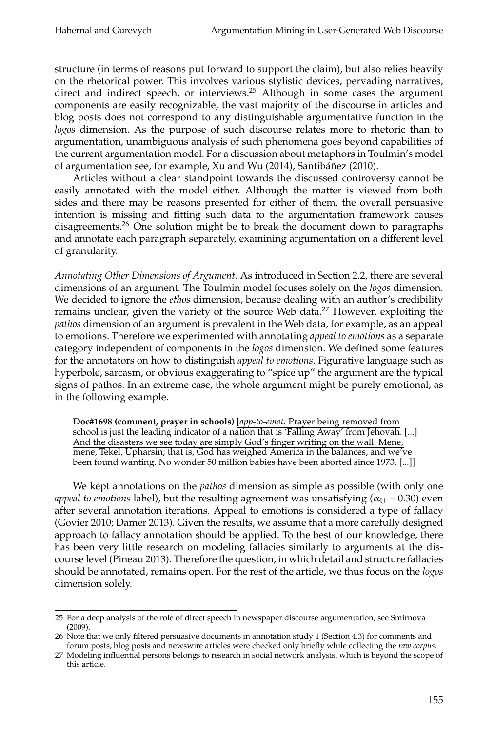structure (in terms of reasons put forward to support the claim), but also relies heavily on the rhetorical power. This involves various stylistic devices, pervading narratives, direct and indirect speech, or interviews.<sup>25</sup> Although in some cases the argument components are easily recognizable, the vast majority of the discourse in articles and blog posts does not correspond to any distinguishable argumentative function in the *logos* dimension. As the purpose of such discourse relates more to rhetoric than to argumentation, unambiguous analysis of such phenomena goes beyond capabilities of the current argumentation model. For a discussion about metaphors in Toulmin's model of argumentation see, for example, Xu and Wu (2014), Santibáñez (2010).

Articles without a clear standpoint towards the discussed controversy cannot be easily annotated with the model either. Although the matter is viewed from both sides and there may be reasons presented for either of them, the overall persuasive intention is missing and fitting such data to the argumentation framework causes disagreements.<sup>26</sup> One solution might be to break the document down to paragraphs and annotate each paragraph separately, examining argumentation on a different level of granularity.

*Annotating Other Dimensions of Argument.* As introduced in Section 2.2, there are several dimensions of an argument. The Toulmin model focuses solely on the *logos* dimension. We decided to ignore the *ethos* dimension, because dealing with an author's credibility remains unclear, given the variety of the source Web data.<sup>27</sup> However, exploiting the *pathos* dimension of an argument is prevalent in the Web data, for example, as an appeal to emotions. Therefore we experimented with annotating *appeal to emotions* as a separate category independent of components in the *logos* dimension. We defined some features for the annotators on how to distinguish *appeal to emotions*. Figurative language such as hyperbole, sarcasm, or obvious exaggerating to "spice up" the argument are the typical signs of pathos. In an extreme case, the whole argument might be purely emotional, as in the following example.

**Doc#1698 (comment, prayer in schools)** [*app-to-emot:* Prayer being removed from school is just the leading indicator of a nation that is 'Falling Away' from Jehovah. [...] And the disasters we see today are simply God's finger writing on the wall: Mene, mene, Tekel, Upharsin; that is, God has weighed America in the balances, and we've been found wanting. No wonder 50 million babies have been aborted since 1973. [...]]

We kept annotations on the *pathos* dimension as simple as possible (with only one *appeal to emotions* label), but the resulting agreement was unsatisfying ( $\alpha_{U} = 0.30$ ) even after several annotation iterations. Appeal to emotions is considered a type of fallacy (Govier 2010; Damer 2013). Given the results, we assume that a more carefully designed approach to fallacy annotation should be applied. To the best of our knowledge, there has been very little research on modeling fallacies similarly to arguments at the discourse level (Pineau 2013). Therefore the question, in which detail and structure fallacies should be annotated, remains open. For the rest of the article, we thus focus on the *logos* dimension solely.

<sup>25</sup> For a deep analysis of the role of direct speech in newspaper discourse argumentation, see Smirnova (2009).

<sup>26</sup> Note that we only filtered persuasive documents in annotation study 1 (Section 4.3) for comments and forum posts; blog posts and newswire articles were checked only briefly while collecting the *raw corpus*.

<sup>27</sup> Modeling influential persons belongs to research in social network analysis, which is beyond the scope of this article.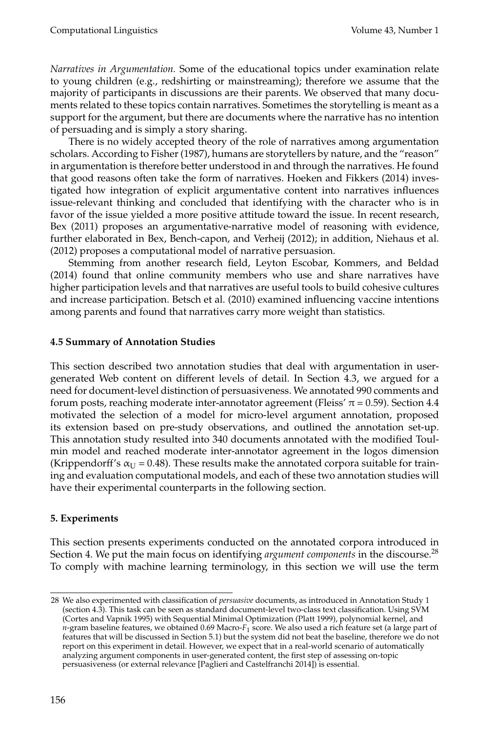*Narratives in Argumentation.* Some of the educational topics under examination relate to young children (e.g., redshirting or mainstreaming); therefore we assume that the majority of participants in discussions are their parents. We observed that many documents related to these topics contain narratives. Sometimes the storytelling is meant as a support for the argument, but there are documents where the narrative has no intention of persuading and is simply a story sharing.

There is no widely accepted theory of the role of narratives among argumentation scholars. According to Fisher (1987), humans are storytellers by nature, and the "reason" in argumentation is therefore better understood in and through the narratives. He found that good reasons often take the form of narratives. Hoeken and Fikkers (2014) investigated how integration of explicit argumentative content into narratives influences issue-relevant thinking and concluded that identifying with the character who is in favor of the issue yielded a more positive attitude toward the issue. In recent research, Bex (2011) proposes an argumentative-narrative model of reasoning with evidence, further elaborated in Bex, Bench-capon, and Verheij (2012); in addition, Niehaus et al. (2012) proposes a computational model of narrative persuasion.

Stemming from another research field, Leyton Escobar, Kommers, and Beldad (2014) found that online community members who use and share narratives have higher participation levels and that narratives are useful tools to build cohesive cultures and increase participation. Betsch et al. (2010) examined influencing vaccine intentions among parents and found that narratives carry more weight than statistics.

# **4.5 Summary of Annotation Studies**

This section described two annotation studies that deal with argumentation in usergenerated Web content on different levels of detail. In Section 4.3, we argued for a need for document-level distinction of persuasiveness. We annotated 990 comments and forum posts, reaching moderate inter-annotator agreement (Fleiss'  $\pi$  = 0.59). Section 4.4 motivated the selection of a model for micro-level argument annotation, proposed its extension based on pre-study observations, and outlined the annotation set-up. This annotation study resulted into 340 documents annotated with the modified Toulmin model and reached moderate inter-annotator agreement in the logos dimension (Krippendorff's  $\alpha_U = 0.48$ ). These results make the annotated corpora suitable for training and evaluation computational models, and each of these two annotation studies will have their experimental counterparts in the following section.

# **5. Experiments**

This section presents experiments conducted on the annotated corpora introduced in Section 4. We put the main focus on identifying *argument components* in the discourse.<sup>28</sup> To comply with machine learning terminology, in this section we will use the term

<sup>28</sup> We also experimented with classification of *persuasive* documents, as introduced in Annotation Study 1 (section 4.3). This task can be seen as standard document-level two-class text classification. Using SVM (Cortes and Vapnik 1995) with Sequential Minimal Optimization (Platt 1999), polynomial kernel, and *n*-gram baseline features, we obtained 0.69 Macro-*F*<sup>1</sup> score. We also used a rich feature set (a large part of features that will be discussed in Section 5.1) but the system did not beat the baseline, therefore we do not report on this experiment in detail. However, we expect that in a real-world scenario of automatically analyzing argument components in user-generated content, the first step of assessing on-topic persuasiveness (or external relevance [Paglieri and Castelfranchi 2014]) is essential.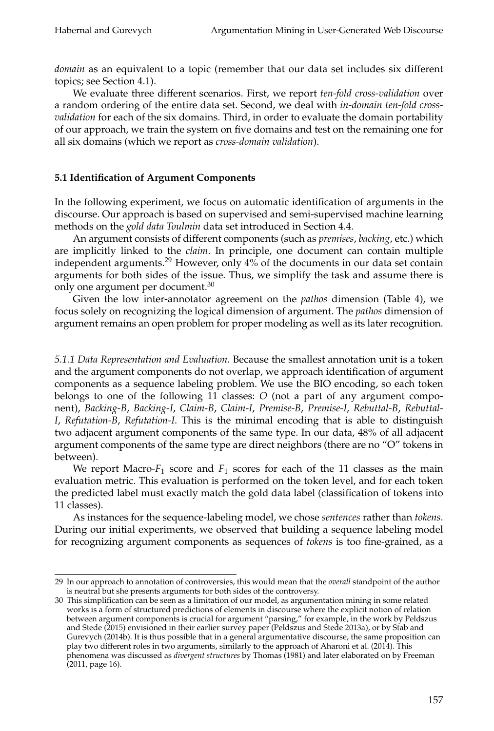*domain* as an equivalent to a topic (remember that our data set includes six different topics; see Section 4.1).

We evaluate three different scenarios. First, we report *ten-fold cross-validation* over a random ordering of the entire data set. Second, we deal with *in-domain ten-fold crossvalidation* for each of the six domains. Third, in order to evaluate the domain portability of our approach, we train the system on five domains and test on the remaining one for all six domains (which we report as *cross-domain validation*).

### **5.1 Identification of Argument Components**

In the following experiment, we focus on automatic identification of arguments in the discourse. Our approach is based on supervised and semi-supervised machine learning methods on the *gold data Toulmin* data set introduced in Section 4.4.

An argument consists of different components (such as *premises*, *backing*, etc.) which are implicitly linked to the *claim*. In principle, one document can contain multiple independent arguments.<sup>29</sup> However, only 4% of the documents in our data set contain arguments for both sides of the issue. Thus, we simplify the task and assume there is only one argument per document.<sup>30</sup>

Given the low inter-annotator agreement on the *pathos* dimension (Table 4), we focus solely on recognizing the logical dimension of argument. The *pathos* dimension of argument remains an open problem for proper modeling as well as its later recognition.

*5.1.1 Data Representation and Evaluation.* Because the smallest annotation unit is a token and the argument components do not overlap, we approach identification of argument components as a sequence labeling problem. We use the BIO encoding, so each token belongs to one of the following 11 classes: *O* (not a part of any argument component), *Backing-B*, *Backing-I*, *Claim-B*, *Claim-I*, *Premise-B*, *Premise-I*, *Rebuttal-B*, *Rebuttal-I*, *Refutation-B*, *Refutation-I*. This is the minimal encoding that is able to distinguish two adjacent argument components of the same type. In our data, 48% of all adjacent argument components of the same type are direct neighbors (there are no "O" tokens in between).

We report Macro- $F_1$  score and  $F_1$  scores for each of the 11 classes as the main evaluation metric. This evaluation is performed on the token level, and for each token the predicted label must exactly match the gold data label (classification of tokens into 11 classes).

As instances for the sequence-labeling model, we chose *sentences* rather than *tokens*. During our initial experiments, we observed that building a sequence labeling model for recognizing argument components as sequences of *tokens* is too fine-grained, as a

<sup>29</sup> In our approach to annotation of controversies, this would mean that the *overall* standpoint of the author is neutral but she presents arguments for both sides of the controversy.

<sup>30</sup> This simplification can be seen as a limitation of our model, as argumentation mining in some related works is a form of structured predictions of elements in discourse where the explicit notion of relation between argument components is crucial for argument "parsing," for example, in the work by Peldszus and Stede (2015) envisioned in their earlier survey paper (Peldszus and Stede 2013a), or by Stab and Gurevych (2014b). It is thus possible that in a general argumentative discourse, the same proposition can play two different roles in two arguments, similarly to the approach of Aharoni et al. (2014). This phenomena was discussed as *divergent structures* by Thomas (1981) and later elaborated on by Freeman (2011, page 16).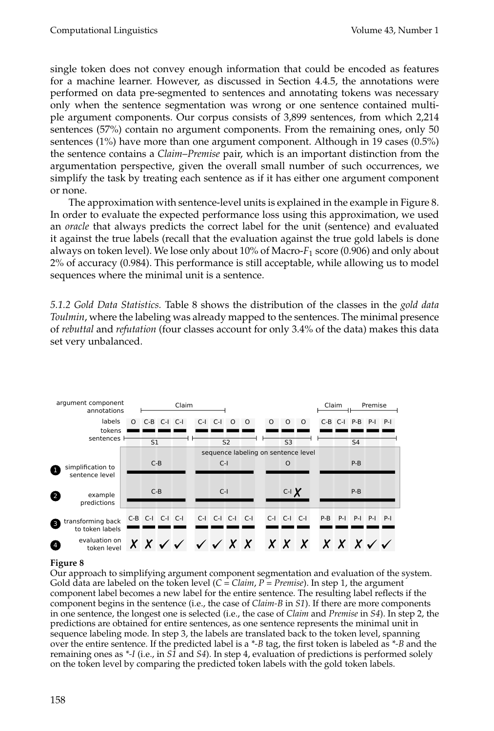single token does not convey enough information that could be encoded as features for a machine learner. However, as discussed in Section 4.4.5, the annotations were performed on data pre-segmented to sentences and annotating tokens was necessary only when the sentence segmentation was wrong or one sentence contained multiple argument components. Our corpus consists of 3,899 sentences, from which 2,214 sentences (57%) contain no argument components. From the remaining ones, only 50 sentences (1%) have more than one argument component. Although in 19 cases (0.5%) the sentence contains a *Claim*–*Premise* pair, which is an important distinction from the argumentation perspective, given the overall small number of such occurrences, we simplify the task by treating each sentence as if it has either one argument component or none.

The approximation with sentence-level units is explained in the example in Figure 8. In order to evaluate the expected performance loss using this approximation, we used an *oracle* that always predicts the correct label for the unit (sentence) and evaluated it against the true labels (recall that the evaluation against the true gold labels is done always on token level). We lose only about 10% of Macro-*F*<sup>1</sup> score (0.906) and only about 2% of accuracy (0.984). This performance is still acceptable, while allowing us to model sequences where the minimal unit is a sentence.

*5.1.2 Gold Data Statistics.* Table 8 shows the distribution of the classes in the *gold data Toulmin*, where the labeling was already mapped to the sentences. The minimal presence of *rebuttal* and *refutation* (four classes account for only 3.4% of the data) makes this data set very unbalanced.



# **Figure 8**

Our approach to simplifying argument component segmentation and evaluation of the system. Gold data are labeled on the token level  $(C = Claim, P = Premise)$ . In step 1, the argument component label becomes a new label for the entire sentence. The resulting label reflects if the component begins in the sentence (i.e., the case of *Claim-B* in *S1*). If there are more components in one sentence, the longest one is selected (i.e., the case of *Claim* and *Premise* in *S4*). In step 2, the predictions are obtained for entire sentences, as one sentence represents the minimal unit in sequence labeling mode. In step 3, the labels are translated back to the token level, spanning over the entire sentence. If the predicted label is a *\*-B* tag, the first token is labeled as *\*-B* and the remaining ones as *\*-I* (i.e., in *S1* and *S4*). In step 4, evaluation of predictions is performed solely on the token level by comparing the predicted token labels with the gold token labels.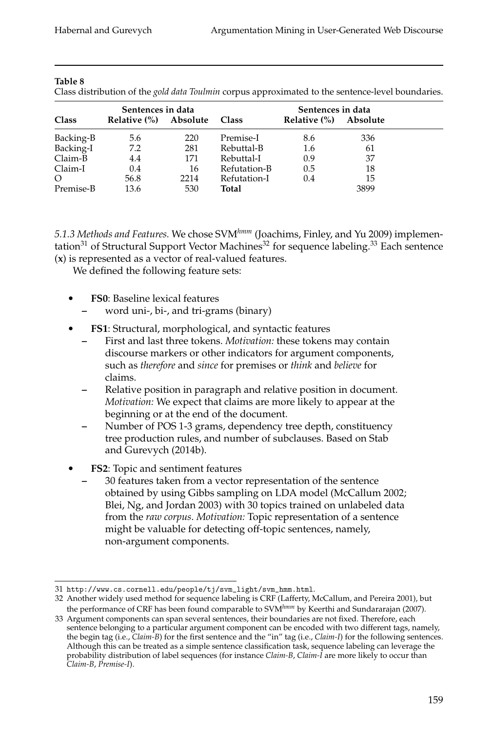|              | Sentences in data |          |              |              |          |  |
|--------------|-------------------|----------|--------------|--------------|----------|--|
| <b>Class</b> | Relative (%)      | Absolute | <b>Class</b> | Relative (%) | Absolute |  |
| Backing-B    | 5.6               | 220      | Premise-I    | 8.6          | 336      |  |
| Backing-I    | 7.2               | 281      | Rebuttal-B   | 1.6          | 61       |  |
| Claim-B      | 4.4               | 171      | Rebuttal-I   | 0.9          | 37       |  |
| Claim-I      | 0.4               | 16       | Refutation-B | 0.5          | 18       |  |
| $\Omega$     | 56.8              | 2214     | Refutation-I | 0.4          | 15       |  |
| Premise-B    | 13.6              | 530      | Total        |              | 3899     |  |

#### **Table 8**

Class distribution of the *gold data Toulmin* corpus approximated to the sentence-level boundaries.

*5.1.3 Methods and Features.* We chose SVM*hmm* (Joachims, Finley, and Yu 2009) implementation<sup>31</sup> of Structural Support Vector Machines<sup>32</sup> for sequence labeling.<sup>33</sup> Each sentence (**x**) is represented as a vector of real-valued features.

We defined the following feature sets:

- **FS0**: Baseline lexical features
	- **–** word uni-, bi-, and tri-grams (binary)
- r **FS1**: Structural, morphological, and syntactic features
	- **–** First and last three tokens. *Motivation:* these tokens may contain discourse markers or other indicators for argument components, such as *therefore* and *since* for premises or *think* and *believe* for claims.
	- **–** Relative position in paragraph and relative position in document. *Motivation:* We expect that claims are more likely to appear at the beginning or at the end of the document.
	- **–** Number of POS 1-3 grams, dependency tree depth, constituency tree production rules, and number of subclauses. Based on Stab and Gurevych (2014b).
- **FS2**: Topic and sentiment features
	- **–** 30 features taken from a vector representation of the sentence obtained by using Gibbs sampling on LDA model (McCallum 2002; Blei, Ng, and Jordan 2003) with 30 topics trained on unlabeled data from the *raw corpus*. *Motivation:* Topic representation of a sentence might be valuable for detecting off-topic sentences, namely, non-argument components.

<sup>31</sup> http://www.cs.cornell.edu/people/tj/svm\_light/svm\_hmm.html.

<sup>32</sup> Another widely used method for sequence labeling is CRF (Lafferty, McCallum, and Pereira 2001), but the performance of CRF has been found comparable to SVM*hmm* by Keerthi and Sundararajan (2007).

<sup>33</sup> Argument components can span several sentences, their boundaries are not fixed. Therefore, each sentence belonging to a particular argument component can be encoded with two different tags, namely, the begin tag (i.e., *Claim-B*) for the first sentence and the "in" tag (i.e., *Claim-I*) for the following sentences. Although this can be treated as a simple sentence classification task, sequence labeling can leverage the probability distribution of label sequences (for instance *Claim-B*, *Claim-I* are more likely to occur than *Claim-B*, *Premise-I*).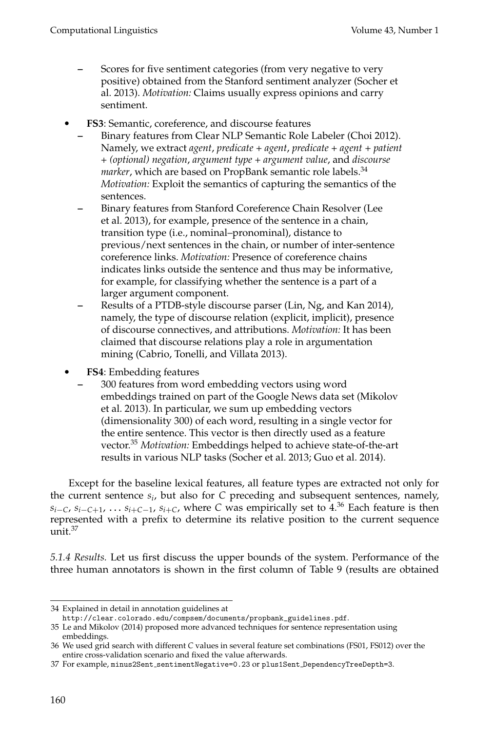- **–** Scores for five sentiment categories (from very negative to very positive) obtained from the Stanford sentiment analyzer (Socher et al. 2013). *Motivation:* Claims usually express opinions and carry sentiment.
- **FS3**: Semantic, coreference, and discourse features
	- **–** Binary features from Clear NLP Semantic Role Labeler (Choi 2012). Namely, we extract *agent*, *predicate + agent*, *predicate + agent + patient + (optional) negation*, *argument type + argument value*, and *discourse marker*, which are based on PropBank semantic role labels.<sup>34</sup> *Motivation:* Exploit the semantics of capturing the semantics of the sentences.
	- **–** Binary features from Stanford Coreference Chain Resolver (Lee et al. 2013), for example, presence of the sentence in a chain, transition type (i.e., nominal–pronominal), distance to previous/next sentences in the chain, or number of inter-sentence coreference links. *Motivation:* Presence of coreference chains indicates links outside the sentence and thus may be informative, for example, for classifying whether the sentence is a part of a larger argument component.
	- **–** Results of a PTDB-style discourse parser (Lin, Ng, and Kan 2014), namely, the type of discourse relation (explicit, implicit), presence of discourse connectives, and attributions. *Motivation:* It has been claimed that discourse relations play a role in argumentation mining (Cabrio, Tonelli, and Villata 2013).
- r **FS4**: Embedding features
	- **–** 300 features from word embedding vectors using word embeddings trained on part of the Google News data set (Mikolov et al. 2013). In particular, we sum up embedding vectors (dimensionality 300) of each word, resulting in a single vector for the entire sentence. This vector is then directly used as a feature vector.<sup>35</sup> *Motivation:* Embeddings helped to achieve state-of-the-art results in various NLP tasks (Socher et al. 2013; Guo et al. 2014).

Except for the baseline lexical features, all feature types are extracted not only for the current sentence *s<sup>i</sup>* , but also for *C* preceding and subsequent sentences, namely,  $s_{i-C}$ ,  $s_{i-C+1}$ , ...  $s_{i+C-1}$ ,  $s_{i+C}$ , where  $C$  was empirically set to  $4^{.36}$  Each feature is then represented with a prefix to determine its relative position to the current sequence unit.<sup>37</sup>

*5.1.4 Results.* Let us first discuss the upper bounds of the system. Performance of the three human annotators is shown in the first column of Table 9 (results are obtained

<sup>34</sup> Explained in detail in annotation guidelines at

http://clear.colorado.edu/compsem/documents/propbank\_guidelines.pdf.

<sup>35</sup> Le and Mikolov (2014) proposed more advanced techniques for sentence representation using embeddings.

<sup>36</sup> We used grid search with different *C* values in several feature set combinations (FS01, FS012) over the entire cross-validation scenario and fixed the value afterwards.

<sup>37</sup> For example, minus2Sent sentimentNegative=0.23 or plus1Sent DependencyTreeDepth=3.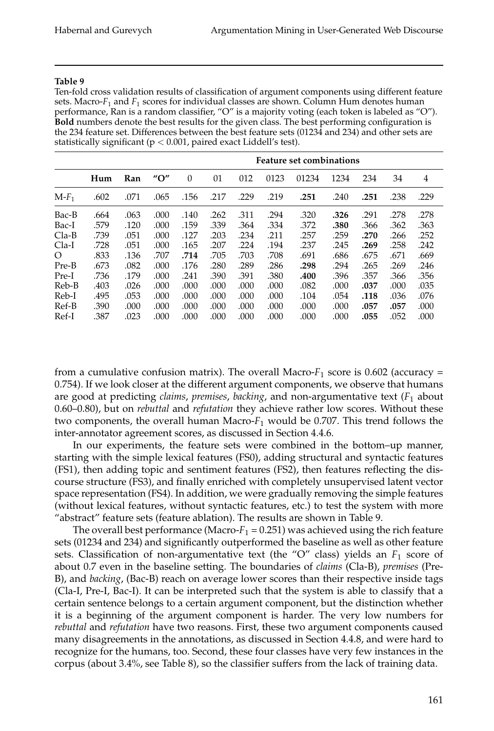#### **Table 9**

Ten-fold cross validation results of classification of argument components using different feature sets. Macro- $F_1$  and  $F_1$  scores for individual classes are shown. Column Hum denotes human performance, Ran is a random classifier, "O" is a majority voting (each token is labeled as "O"). **Bold** numbers denote the best results for the given class. The best performing configuration is the 234 feature set. Differences between the best feature sets (01234 and 234) and other sets are statistically significant ( $p < 0.001$ , paired exact Liddell's test).

|         |      |      |      | <b>Feature set combinations</b> |      |      |      |       |      |      |      |      |  |
|---------|------|------|------|---------------------------------|------|------|------|-------|------|------|------|------|--|
|         | Hum  | Ran  | "O"  | 0                               | 01   | 012  | 0123 | 01234 | 1234 | 234  | 34   | 4    |  |
| $M-F_1$ | .602 | .071 | .065 | .156                            | .217 | .229 | .219 | .251  | .240 | .251 | .238 | .229 |  |
| Bac-B   | .664 | .063 | .000 | .140                            | .262 | .311 | .294 | .320  | .326 | .291 | .278 | .278 |  |
| Bac-I   | .579 | .120 | .000 | .159                            | .339 | .364 | .334 | .372  | .380 | .366 | .362 | .363 |  |
| $Cla-B$ | .739 | .051 | .000 | .127                            | .203 | .234 | .211 | .257  | .259 | .270 | .266 | .252 |  |
| $Cla-I$ | .728 | .051 | .000 | .165                            | .207 | .224 | .194 | .237  | .245 | .269 | .258 | .242 |  |
| O       | .833 | .136 | .707 | .714                            | .705 | .703 | .708 | .691  | .686 | .675 | .671 | .669 |  |
| Pre-B   | .673 | .082 | .000 | .176                            | .280 | .289 | .286 | .298  | .294 | .265 | .269 | .246 |  |
| Pre-I   | .736 | .179 | .000 | .241                            | .390 | .391 | .380 | .400  | .396 | .357 | .366 | .356 |  |
| Reb-B   | .403 | .026 | .000 | .000                            | .000 | .000 | .000 | .082  | .000 | .037 | .000 | .035 |  |
| Reb-I   | .495 | .053 | .000 | .000                            | .000 | .000 | .000 | .104  | .054 | .118 | .036 | .076 |  |
| Ref-B   | .390 | .000 | .000 | .000                            | .000 | .000 | .000 | .000  | .000 | .057 | .057 | .000 |  |
| Ref-I   | .387 | .023 | .000 | .000                            | .000 | .000 | .000 | .000  | .000 | .055 | .052 | .000 |  |

from a cumulative confusion matrix). The overall Macro- $F_1$  score is 0.602 (accuracy = 0.754). If we look closer at the different argument components, we observe that humans are good at predicting *claims*, *premises*, *backing*, and non-argumentative text (*F*<sup>1</sup> about 0.60–0.80), but on *rebuttal* and *refutation* they achieve rather low scores. Without these two components, the overall human Macro-*F*<sup>1</sup> would be 0.707. This trend follows the inter-annotator agreement scores, as discussed in Section 4.4.6.

In our experiments, the feature sets were combined in the bottom–up manner, starting with the simple lexical features (FS0), adding structural and syntactic features (FS1), then adding topic and sentiment features (FS2), then features reflecting the discourse structure (FS3), and finally enriched with completely unsupervised latent vector space representation (FS4). In addition, we were gradually removing the simple features (without lexical features, without syntactic features, etc.) to test the system with more "abstract" feature sets (feature ablation). The results are shown in Table 9.

The overall best performance (Macro- $F_1$  = 0.251) was achieved using the rich feature sets (01234 and 234) and significantly outperformed the baseline as well as other feature sets. Classification of non-argumentative text (the "O" class) yields an *F*<sup>1</sup> score of about 0.7 even in the baseline setting. The boundaries of *claims* (Cla-B), *premises* (Pre-B), and *backing*, (Bac-B) reach on average lower scores than their respective inside tags (Cla-I, Pre-I, Bac-I). It can be interpreted such that the system is able to classify that a certain sentence belongs to a certain argument component, but the distinction whether it is a beginning of the argument component is harder. The very low numbers for *rebuttal* and *refutation* have two reasons. First, these two argument components caused many disagreements in the annotations, as discussed in Section 4.4.8, and were hard to recognize for the humans, too. Second, these four classes have very few instances in the corpus (about 3.4%, see Table 8), so the classifier suffers from the lack of training data.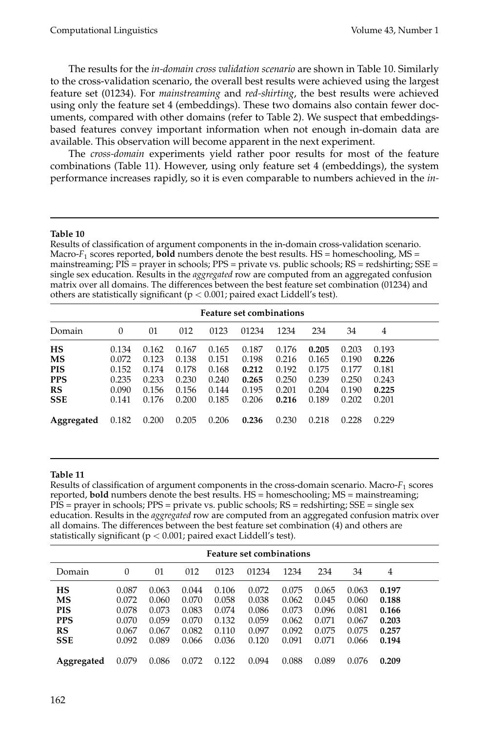The results for the *in-domain cross validation scenario* are shown in Table 10. Similarly to the cross-validation scenario, the overall best results were achieved using the largest feature set (01234). For *mainstreaming* and *red-shirting*, the best results were achieved using only the feature set 4 (embeddings). These two domains also contain fewer documents, compared with other domains (refer to Table 2). We suspect that embeddingsbased features convey important information when not enough in-domain data are available. This observation will become apparent in the next experiment.

The *cross-domain* experiments yield rather poor results for most of the feature combinations (Table 11). However, using only feature set 4 (embeddings), the system performance increases rapidly, so it is even comparable to numbers achieved in the *in-*

### **Table 10**

Results of classification of argument components in the in-domain cross-validation scenario. Macro- $F_1$  scores reported, **bold** numbers denote the best results. HS = homeschooling, MS = mainstreaming; PIS = prayer in schools; PPS = private vs. public schools; RS = redshirting; SSE = single sex education. Results in the *aggregated* row are computed from an aggregated confusion matrix over all domains. The differences between the best feature set combination (01234) and others are statistically significant ( $p < 0.001$ ; paired exact Liddell's test).

|                  | <b>Feature set combinations</b> |                |                |                |                |                |                |                |                |  |  |  |
|------------------|---------------------------------|----------------|----------------|----------------|----------------|----------------|----------------|----------------|----------------|--|--|--|
| Domain           | 0                               | 01             | 012            | 0123           | 01234          | 1234           | 234            | 34             | 4              |  |  |  |
| <b>HS</b>        | 0.134                           | 0.162          | 0.167          | 0.165          | 0.187          | 0.176          | 0.205          | 0.203          | 0.193          |  |  |  |
| MS<br><b>PIS</b> | 0.072<br>0.152                  | 0.123<br>0.174 | 0.138<br>0.178 | 0.151<br>0.168 | 0.198<br>0.212 | 0.216<br>0.192 | 0.165<br>0.175 | 0.190<br>0.177 | 0.226<br>0.181 |  |  |  |
| <b>PPS</b><br>RS | 0.235<br>0.090                  | 0.233<br>0.156 | 0.230<br>0.156 | 0.240<br>0.144 | 0.265<br>0.195 | 0.250<br>0.201 | 0.239<br>0.204 | 0.250<br>0.190 | 0.243<br>0.225 |  |  |  |
| <b>SSE</b>       | 0.141                           | 0.176          | 0.200          | 0.185          | 0.206          | 0.216          | 0.189          | 0.202          | 0.201          |  |  |  |
| Aggregated       | 0.182                           | 0.200          | 0.205          | 0.206          | 0.236          | 0.230          | 0.218          | 0.228          | 0.229          |  |  |  |

#### **Table 11**

Results of classification of argument components in the cross-domain scenario. Macro-*F*<sup>1</sup> scores reported, **bold** numbers denote the best results. HS = homeschooling; MS = mainstreaming;  $PIS =$  prayer in schools; PPS = private vs. public schools; RS = redshirting; SSE = single sex education. Results in the *aggregated* row are computed from an aggregated confusion matrix over all domains. The differences between the best feature set combination (4) and others are statistically significant ( $p < 0.001$ ; paired exact Liddell's test).

|                                                                 | <b>Feature set combinations</b>                    |                                                    |                                                    |                                                    |                                                    |                                                    |                                                    |                                                    |                                                    |  |  |  |  |
|-----------------------------------------------------------------|----------------------------------------------------|----------------------------------------------------|----------------------------------------------------|----------------------------------------------------|----------------------------------------------------|----------------------------------------------------|----------------------------------------------------|----------------------------------------------------|----------------------------------------------------|--|--|--|--|
| Domain                                                          | 0                                                  | 01                                                 | 012                                                | 0123                                               | 01234                                              | 1234                                               | 234                                                | 34                                                 | 4                                                  |  |  |  |  |
| HS<br><b>MS</b><br><b>PIS</b><br><b>PPS</b><br>RS<br><b>SSE</b> | 0.087<br>0.072<br>0.078<br>0.070<br>0.067<br>0.092 | 0.063<br>0.060<br>0.073<br>0.059<br>0.067<br>0.089 | 0.044<br>0.070<br>0.083<br>0.070<br>0.082<br>0.066 | 0.106<br>0.058<br>0.074<br>0.132<br>0.110<br>0.036 | 0.072<br>0.038<br>0.086<br>0.059<br>0.097<br>0.120 | 0.075<br>0.062<br>0.073<br>0.062<br>0.092<br>0.091 | 0.065<br>0.045<br>0.096<br>0.071<br>0.075<br>0.071 | 0.063<br>0.060<br>0.081<br>0.067<br>0.075<br>0.066 | 0.197<br>0.188<br>0.166<br>0.203<br>0.257<br>0.194 |  |  |  |  |
| Aggregated                                                      | 0.079                                              | 0.086                                              | 0.072                                              | 0.122                                              | 0.094                                              | 0.088                                              | 0.089                                              | 0.076                                              | 0.209                                              |  |  |  |  |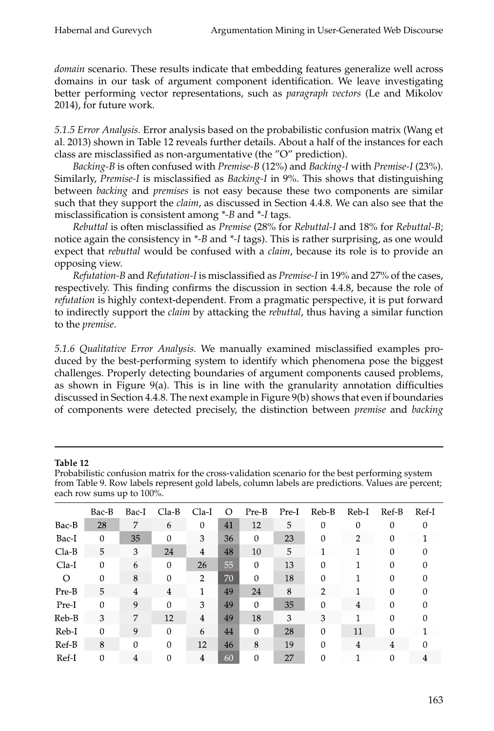*domain* scenario. These results indicate that embedding features generalize well across domains in our task of argument component identification. We leave investigating better performing vector representations, such as *paragraph vectors* (Le and Mikolov 2014), for future work.

*5.1.5 Error Analysis.* Error analysis based on the probabilistic confusion matrix (Wang et al. 2013) shown in Table 12 reveals further details. About a half of the instances for each class are misclassified as non-argumentative (the "O" prediction).

*Backing-B* is often confused with *Premise-B* (12%) and *Backing-I* with *Premise-I* (23%). Similarly, *Premise-I* is misclassified as *Backing-I* in 9%. This shows that distinguishing between *backing* and *premises* is not easy because these two components are similar such that they support the *claim*, as discussed in Section 4.4.8. We can also see that the misclassification is consistent among *\*-B* and *\*-I* tags.

*Rebuttal* is often misclassified as *Premise* (28% for *Rebuttal-I* and 18% for *Rebuttal-B*; notice again the consistency in *\*-B* and *\*-I* tags). This is rather surprising, as one would expect that *rebuttal* would be confused with a *claim*, because its role is to provide an opposing view.

*Refutation-B* and *Refutation-I* is misclassified as *Premise-I* in 19% and 27% of the cases, respectively. This finding confirms the discussion in section 4.4.8, because the role of *refutation* is highly context-dependent. From a pragmatic perspective, it is put forward to indirectly support the *claim* by attacking the *rebuttal*, thus having a similar function to the *premise*.

*5.1.6 Qualitative Error Analysis.* We manually examined misclassified examples produced by the best-performing system to identify which phenomena pose the biggest challenges. Properly detecting boundaries of argument components caused problems, as shown in Figure 9(a). This is in line with the granularity annotation difficulties discussed in Section 4.4.8. The next example in Figure 9(b) shows that even if boundaries of components were detected precisely, the distinction between *premise* and *backing*

### **Table 12**

Probabilistic confusion matrix for the cross-validation scenario for the best performing system from Table 9. Row labels represent gold labels, column labels are predictions. Values are percent; each row sums up to 100%.

|         | Bac-B    | Bac-I          | $Cla-B$      | $Cla-I$        | O  | Pre-B    | Pre-I | Reb-B    | Reb-I          | Ref-B          | Ref-I    |
|---------|----------|----------------|--------------|----------------|----|----------|-------|----------|----------------|----------------|----------|
| Bac-B   | 28       | 7              | 6            | $\mathbf{0}$   | 41 | 12       | 5     | 0        | $\theta$       | $\Omega$       | 0        |
| Bac-I   | $\theta$ | 35             | $\theta$     | 3              | 36 | $\Omega$ | 23    | $\theta$ | $\overline{2}$ | $\Omega$       |          |
| $Cla-B$ | 5        | 3              | 24           | 4              | 48 | 10       | 5     | 1        |                | $\Omega$       |          |
| $Cla-I$ | $\theta$ | 6              | $\mathbf{0}$ | 26             | 55 | $\Omega$ | 13    | $\theta$ |                | $\Omega$       |          |
| O       | $\Omega$ | 8              | $\theta$     | $\overline{2}$ | 70 | $\Omega$ | 18    | $\theta$ |                | ∩              |          |
| Pre-B   | 5        | $\overline{4}$ | 4            |                | 49 | 24       | 8     | 2        |                |                |          |
| Pre-I   | $\Omega$ | 9              | $\theta$     | 3              | 49 | $\theta$ | 35    | $\theta$ | 4              | 0              |          |
| Reb-B   | 3        | 7              | 12           | $\overline{4}$ | 49 | 18       | 3     | 3        |                | 0              |          |
| Reb-I   | $\theta$ | 9              | $\theta$     | 6              | 44 | $\Omega$ | 28    | $\theta$ | 11             | 0              |          |
| Ref-B   | 8        | $\theta$       | $\Omega$     | 12             | 46 | 8        | 19    | $\theta$ | 4              | $\overline{4}$ | $\theta$ |
| Ref-I   | 0        | 4              | 0            | 4              | 60 | $\Omega$ | 27    | $\Omega$ | 1              |                | 4        |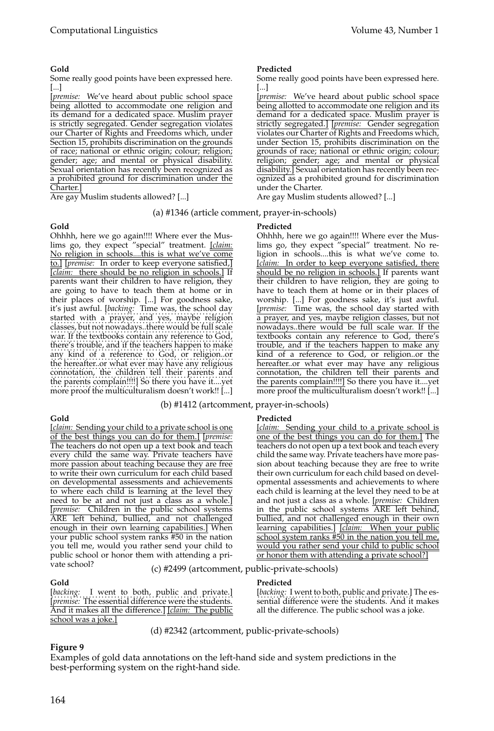#### **Gold**

Some really good points have been expressed here. [...]

[*premise:* We've heard about public school space being allotted to accommodate one religion and its demand for a dedicated space. Muslim prayer is strictly segregated. Gender segregation violates our Charter of Rights and Freedoms which, under Section 15, prohibits discrimination on the grounds of race; national or ethnic origin; colour; religion; gender; age; and mental or physical disability. Sexual orientation has recently been recognized as a prohibited ground for discrimination under the Charter.]

lims go, they expect "special" treatment. [*claim:* No religion in schools....this is what we've come to.] [*premise:* In order to keep everyone satisfied,] [*claim:* there should be no religion in schools.] If parents want their children to have religion, they are going to have to teach them at home or in their places of worship. [...] For goodness sake, it's just awful. [*backing*: Time was, the school day started with a prayer, and yes, maybe religion classes, but not nowadays..there would be full scale war. If the textbooks contain any reference to God, . . . . . . . . . . . . . . . . . . . . . . . . . . . . . . . . . . . . . . . . . . . . . . there's trouble, and if the teachers happen to make any kind of a reference to God, or religion..or . . . . the . . . . . . . . . . . . . . hereafter..or . . . . . . what . . . . . . ever . . . . . . may . . . . . . have . . . . . any. . . . . . . . . . . religious connotation, the children tell their parents and<br> $\ldots$ . . . . the . . . . . . . . . parents . . . . . . . . . . . . . . . complain!!!!] So there you have it....yet more proof the multiculturalism doesn't work!! [...]

Are gay Muslim students allowed? [...]

#### (a) #1346 (article comment, prayer-in-schools)

#### **Gold** Ohhhh, here we go again!!!! Where ever the Mus-

#### **Predicted**

under the Charter.

Are gay Muslim students allowed? [...]

**Predicted**

[...]

Ohhhh, here we go again!!!! Where ever the Muslims go, they expect "special" treatment. No religion in schools....this is what we've come to. [*claim:* In order to keep everyone satisfied, there should be no religion in schools.] If parents want their children to have religion, they are going to have to teach them at home or in their places of worship. [...] For goodness sake, it's just awful. [*premise:* Time was, the school day started with a prayer, and yes, maybe religion classes, but not nowadays..there would be full scale war. If the textbooks contain any reference to God, there's trouble, and if the teachers happen to make any kind of a reference to God, or religion..or the hereafter..or what ever may have any religious connotation, the children tell their parents and the parents complain!!!!] So there you have it....yet more proof the multiculturalism doesn't work!! [...]

Some really good points have been expressed here.

[*premise:* We've heard about public school space being allotted to accommodate one religion and its demand for a dedicated space. Muslim prayer is strictly segregated.] [*premise:* Gender segregation violates our Charter of Rights and Freedoms which, under Section 15, prohibits discrimination on the grounds of race; national or ethnic origin; colour; religion; gender; age; and mental or physical disability.] Sexual orientation has recently been recognized as a prohibited ground for discrimination

### **Gold**

[*claim:* Sending your child to a private school is one of the best things you can do for them.] [*premise:* The teachers do not open up a text book and teach every child the same way. Private teachers have more passion about teaching because they are free to write their own curriculum for each child based on developmental assessments and achievements to where each child is learning at the level they need to be at and not just a class as a whole.] [*premise:* Children in the public school systems ARE left behind, bullied, and not challenged enough in their own learning capabilities.] When your public school system ranks #50 in the nation you tell me, would you rather send your child to public school or honor them with attending a private school?

# **Predicted**

(b) #1412 (artcomment, prayer-in-schools)

[*claim:* Sending your child to a private school is one of the best things you can do for them.] The teachers do not open up a text book and teach every child the same way. Private teachers have more passion about teaching because they are free to write their own curriculum for each child based on developmental assessments and achievements to where each child is learning at the level they need to be at and not just a class as a whole. [*premise:* Children in the public school systems ARE left behind, bullied, and not challenged enough in their own learning capabilities.] [*claim:* When your public school system ranks #50 in the nation you tell me, would you rather send your child to public school or honor them with attending a private school?]

#### **Gold**

[backing: I went to both, public and private.] [*premise:* The essential difference were the students. And it makes all the difference.] [*claim:* The public school was a joke.]

**Predicted**

[backing: I went to both, public and private.] The essential difference were the students. And it makes all the difference. The public school was a joke.

(d) #2342 (artcomment, public-private-schools)

(c) #2499 (artcomment, public-private-schools)

#### **Figure 9**

Examples of gold data annotations on the left-hand side and system predictions in the best-performing system on the right-hand side.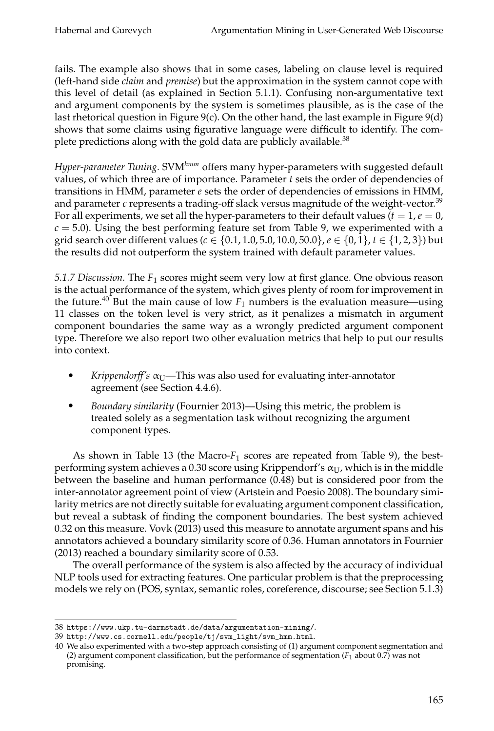fails. The example also shows that in some cases, labeling on clause level is required (left-hand side *claim* and *premise*) but the approximation in the system cannot cope with this level of detail (as explained in Section 5.1.1). Confusing non-argumentative text and argument components by the system is sometimes plausible, as is the case of the last rhetorical question in Figure 9(c). On the other hand, the last example in Figure 9(d) shows that some claims using figurative language were difficult to identify. The complete predictions along with the gold data are publicly available.<sup>38</sup>

*Hyper-parameter Tuning.* SVM<sup>*hmm*</sup> offers many hyper-parameters with suggested default values, of which three are of importance. Parameter *t* sets the order of dependencies of transitions in HMM, parameter *e* sets the order of dependencies of emissions in HMM, and parameter  $c$  represents a trading-off slack versus magnitude of the weight-vector.<sup>39</sup> For all experiments, we set all the hyper-parameters to their default values ( $t = 1$ ,  $e = 0$ ,  $c = 5.0$ ). Using the best performing feature set from Table 9, we experimented with a grid search over different values ( $c \in \{0.1, 1.0, 5.0, 10.0, 50.0\}, e \in \{0.1\}, t \in \{1, 2, 3\}$ ) but the results did not outperform the system trained with default parameter values.

*5.1.7 Discussion.* The *F*<sup>1</sup> scores might seem very low at first glance. One obvious reason is the actual performance of the system, which gives plenty of room for improvement in the future.<sup>40</sup> But the main cause of low  $F_1$  numbers is the evaluation measure—using 11 classes on the token level is very strict, as it penalizes a mismatch in argument component boundaries the same way as a wrongly predicted argument component type. Therefore we also report two other evaluation metrics that help to put our results into context.

- *Krippendorff's*  $\alpha_U$ —This was also used for evaluating inter-annotator agreement (see Section 4.4.6).
- r *Boundary similarity* (Fournier 2013)—Using this metric, the problem is treated solely as a segmentation task without recognizing the argument component types.

As shown in Table 13 (the Macro- $F_1$  scores are repeated from Table 9), the bestperforming system achieves a 0.30 score using Krippendorf's  $\alpha_{U}$ , which is in the middle between the baseline and human performance (0.48) but is considered poor from the inter-annotator agreement point of view (Artstein and Poesio 2008). The boundary similarity metrics are not directly suitable for evaluating argument component classification, but reveal a subtask of finding the component boundaries. The best system achieved 0.32 on this measure. Vovk (2013) used this measure to annotate argument spans and his annotators achieved a boundary similarity score of 0.36. Human annotators in Fournier (2013) reached a boundary similarity score of 0.53.

The overall performance of the system is also affected by the accuracy of individual NLP tools used for extracting features. One particular problem is that the preprocessing models we rely on (POS, syntax, semantic roles, coreference, discourse; see Section 5.1.3)

<sup>38</sup> https://www.ukp.tu-darmstadt.de/data/argumentation-mining/.

<sup>39</sup> http://www.cs.cornell.edu/people/tj/svm\_light/svm\_hmm.html.

<sup>40</sup> We also experimented with a two-step approach consisting of (1) argument component segmentation and (2) argument component classification, but the performance of segmentation  $(F_1$  about 0.7) was not promising.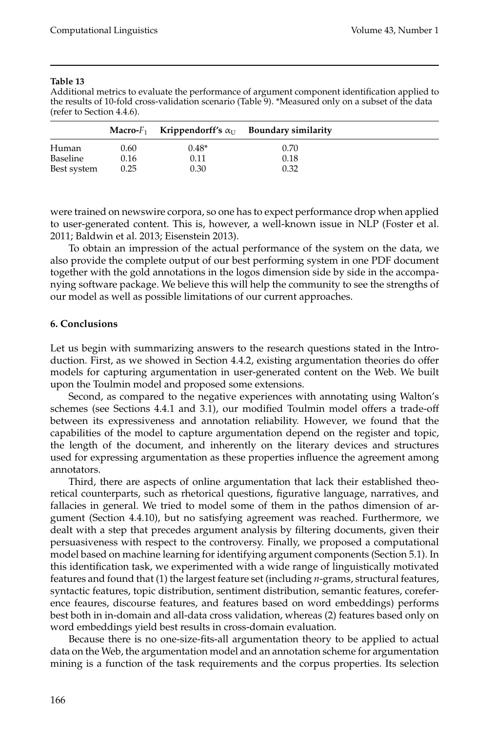#### **Table 13**

Additional metrics to evaluate the performance of argument component identification applied to the results of 10-fold cross-validation scenario (Table 9). \*Measured only on a subset of the data (refer to Section 4.4.6).

|             |      |         | Macro- $F_1$ Krippendorff's $\alpha_U$ Boundary similarity |  |
|-------------|------|---------|------------------------------------------------------------|--|
| Human       | 0.60 | $0.48*$ | 0.70                                                       |  |
| Baseline    | 0.16 | 0.11    | 0.18                                                       |  |
| Best system | 0.25 | 0.30    | 0.32                                                       |  |

were trained on newswire corpora, so one has to expect performance drop when applied to user-generated content. This is, however, a well-known issue in NLP (Foster et al. 2011; Baldwin et al. 2013; Eisenstein 2013).

To obtain an impression of the actual performance of the system on the data, we also provide the complete output of our best performing system in one PDF document together with the gold annotations in the logos dimension side by side in the accompanying software package. We believe this will help the community to see the strengths of our model as well as possible limitations of our current approaches.

### **6. Conclusions**

Let us begin with summarizing answers to the research questions stated in the Introduction. First, as we showed in Section 4.4.2, existing argumentation theories do offer models for capturing argumentation in user-generated content on the Web. We built upon the Toulmin model and proposed some extensions.

Second, as compared to the negative experiences with annotating using Walton's schemes (see Sections 4.4.1 and 3.1), our modified Toulmin model offers a trade-off between its expressiveness and annotation reliability. However, we found that the capabilities of the model to capture argumentation depend on the register and topic, the length of the document, and inherently on the literary devices and structures used for expressing argumentation as these properties influence the agreement among annotators.

Third, there are aspects of online argumentation that lack their established theoretical counterparts, such as rhetorical questions, figurative language, narratives, and fallacies in general. We tried to model some of them in the pathos dimension of argument (Section 4.4.10), but no satisfying agreement was reached. Furthermore, we dealt with a step that precedes argument analysis by filtering documents, given their persuasiveness with respect to the controversy. Finally, we proposed a computational model based on machine learning for identifying argument components (Section 5.1). In this identification task, we experimented with a wide range of linguistically motivated features and found that (1) the largest feature set (including *n*-grams, structural features, syntactic features, topic distribution, sentiment distribution, semantic features, coreference feaures, discourse features, and features based on word embeddings) performs best both in in-domain and all-data cross validation, whereas (2) features based only on word embeddings yield best results in cross-domain evaluation.

Because there is no one-size-fits-all argumentation theory to be applied to actual data on the Web, the argumentation model and an annotation scheme for argumentation mining is a function of the task requirements and the corpus properties. Its selection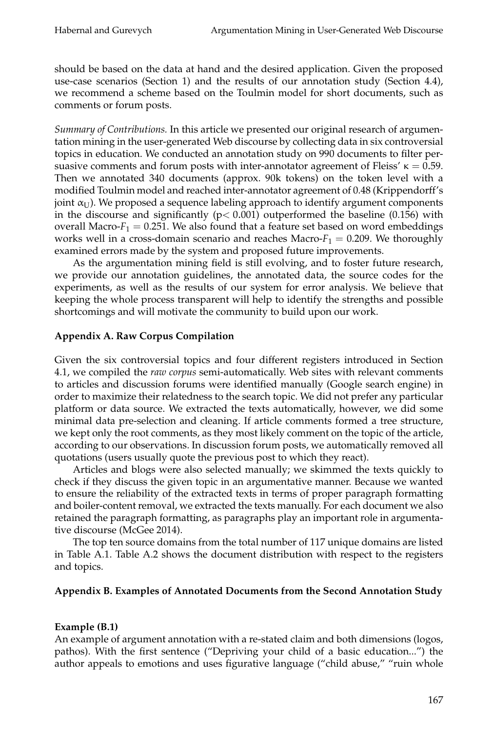should be based on the data at hand and the desired application. Given the proposed use-case scenarios (Section 1) and the results of our annotation study (Section 4.4), we recommend a scheme based on the Toulmin model for short documents, such as comments or forum posts.

*Summary of Contributions.* In this article we presented our original research of argumentation mining in the user-generated Web discourse by collecting data in six controversial topics in education. We conducted an annotation study on 990 documents to filter persuasive comments and forum posts with inter-annotator agreement of Fleiss'  $\kappa = 0.59$ . Then we annotated 340 documents (approx. 90k tokens) on the token level with a modified Toulmin model and reached inter-annotator agreement of 0.48 (Krippendorff's joint  $\alpha_{\text{U}}$ ). We proposed a sequence labeling approach to identify argument components in the discourse and significantly  $(p< 0.001)$  outperformed the baseline  $(0.156)$  with overall Macro- $F_1 = 0.251$ . We also found that a feature set based on word embeddings works well in a cross-domain scenario and reaches Macro- $F_1 = 0.209$ . We thoroughly examined errors made by the system and proposed future improvements.

As the argumentation mining field is still evolving, and to foster future research, we provide our annotation guidelines, the annotated data, the source codes for the experiments, as well as the results of our system for error analysis. We believe that keeping the whole process transparent will help to identify the strengths and possible shortcomings and will motivate the community to build upon our work.

# **Appendix A. Raw Corpus Compilation**

Given the six controversial topics and four different registers introduced in Section 4.1, we compiled the *raw corpus* semi-automatically. Web sites with relevant comments to articles and discussion forums were identified manually (Google search engine) in order to maximize their relatedness to the search topic. We did not prefer any particular platform or data source. We extracted the texts automatically, however, we did some minimal data pre-selection and cleaning. If article comments formed a tree structure, we kept only the root comments, as they most likely comment on the topic of the article, according to our observations. In discussion forum posts, we automatically removed all quotations (users usually quote the previous post to which they react).

Articles and blogs were also selected manually; we skimmed the texts quickly to check if they discuss the given topic in an argumentative manner. Because we wanted to ensure the reliability of the extracted texts in terms of proper paragraph formatting and boiler-content removal, we extracted the texts manually. For each document we also retained the paragraph formatting, as paragraphs play an important role in argumentative discourse (McGee 2014).

The top ten source domains from the total number of 117 unique domains are listed in Table A.1. Table A.2 shows the document distribution with respect to the registers and topics.

# **Appendix B. Examples of Annotated Documents from the Second Annotation Study**

# **Example (B.1)**

An example of argument annotation with a re-stated claim and both dimensions (logos, pathos). With the first sentence ("Depriving your child of a basic education...") the author appeals to emotions and uses figurative language ("child abuse," "ruin whole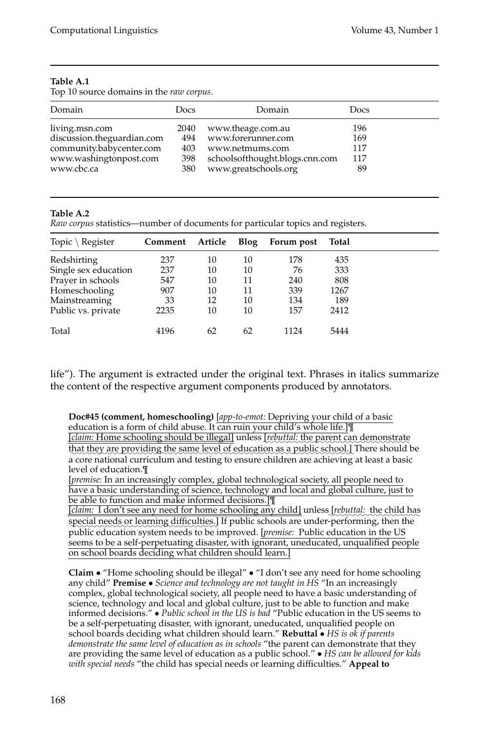### **Table A.1**

Top 10 source domains in the *raw corpus*.

| Domain                     | Docs | Domain                         | Docs |  |
|----------------------------|------|--------------------------------|------|--|
| living.msn.com             | 2040 | www.theage.com.au              | 196  |  |
| discussion.theguardian.com | 494  | www.forerunner.com             | 169  |  |
| community.babycenter.com   | 403  | www.netmums.com                | 117  |  |
| www.washingtonpost.com     | 398  | schoolsofthought.blogs.cnn.com | 117  |  |
| www.cbc.ca                 | 380  | www.greatschools.org           | 89   |  |

### **Table A.2**

*Raw corpus* statistics—number of documents for particular topics and registers.

| Topic $\setminus$ Register | Comment | Article | <b>Blog</b> | Forum post | Total |  |
|----------------------------|---------|---------|-------------|------------|-------|--|
| Redshirting                | 237     | 10      | 10          | 178        | 435   |  |
| Single sex education       | 237     | 10      | 10          | 76         | 333   |  |
| Prayer in schools          | 547     | 10      | 11          | 240        | 808   |  |
| Homeschooling              | 907     | 10      | 11          | 339        | 1267  |  |
| Mainstreaming              | 33      | 12      | 10          | 134        | 189   |  |
| Public vs. private         | 2235    | 10      | 10          | 157        | 2412  |  |
| Total                      | 4196    | 62      | 62          | 1124       | 5444  |  |

life"). The argument is extracted under the original text. Phrases in italics summarize the content of the respective argument components produced by annotators.

**Doc#45 (comment, homeschooling)** [*app-to-emot:* Depriving your child of a basic education is a form of child abuse. It can ruin your child's whole life.] [*claim:* Home schooling should be illegal] unless [*rebuttal:* the parent can demonstrate that they are providing the same level of education as a public school.] There should be a core national curriculum and testing to ensure children are achieving at least a basic level of education.¶

[*premise:* In an increasingly complex, global technological society, all people need to have a basic understanding of science, technology and local and global culture, just to be able to function and make informed decisions.]¶

[*claim: I don't see any need for home schooling any child] unless [<i>rebuttal: the child has* special needs or learning difficulties.] If public schools are under-performing, then the public education system needs to be improved. [*premise:* Public education in the US seems to be a self-perpetuating disaster, with ignorant, uneducated, unqualified people on school boards deciding what children should learn.]

**Claim** • "Home schooling should be illegal" • "I don't see any need for home schooling any child" **Premise** • *Science and technology are not taught in HS* "In an increasingly complex, global technological society, all people need to have a basic understanding of science, technology and local and global culture, just to be able to function and make informed decisions." • *Public school in the US is bad* "Public education in the US seems to be a self-perpetuating disaster, with ignorant, uneducated, unqualified people on school boards deciding what children should learn." **Rebuttal** • *HS is ok if parents demonstrate the same level of education as in schools* "the parent can demonstrate that they are providing the same level of education as a public school." • *HS can be allowed for kids with special needs* "the child has special needs or learning difficulties." **Appeal to**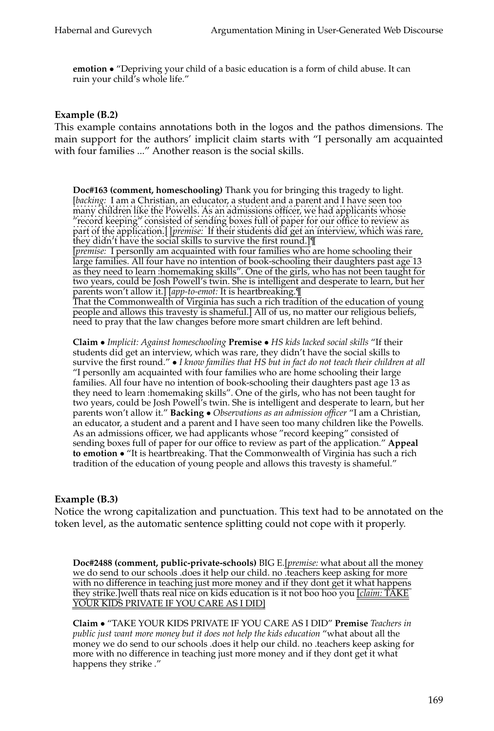**emotion** • "Depriving your child of a basic education is a form of child abuse. It can ruin your child's whole life."

### **Example (B.2)**

This example contains annotations both in the logos and the pathos dimensions. The main support for the authors' implicit claim starts with "I personally am acquainted with four families ..." Another reason is the social skills.

**Doc#163 (comment, homeschooling)** Thank you for bringing this tragedy to light. [backing: I am a Christian, an educator, a student and a parent and I have seen too many children like the Powells. As an admissions officer, we had applicants whose<br>"  $\alpha$  record keeping" consisted of sending boxes full of paper for our office to review as part of the application.] [*premise*: If their students did get an interview, which was rare, they didn't have the social skills to survive the first round.]¶ [*premise:* I personlly am acquainted with four families who are home schooling their large families. All four have no intention of book-schooling their daughters past age 13 as they need to learn :homemaking skills". One of the girls, who has not been taught for two years, could be Josh Powell's twin. She is intelligent and desperate to learn, but her

parents won't allow it.] [*app-to-emot:* It is heartbreaking.¶ That the Commonwealth of Virginia has such a rich tradition of the education of young people and allows this travesty is shameful.] All of us, no matter our religious beliefs, need to pray that the law changes before more smart children are left behind.

**Claim** • *Implicit: Against homeschooling* **Premise** • *HS kids lacked social skills* "If their students did get an interview, which was rare, they didn't have the social skills to survive the first round." • *I know families that HS but in fact do not teach their children at all* "I personlly am acquainted with four families who are home schooling their large families. All four have no intention of book-schooling their daughters past age 13 as they need to learn :homemaking skills". One of the girls, who has not been taught for two years, could be Josh Powell's twin. She is intelligent and desperate to learn, but her parents won't allow it." **Backing** • *Observations as an admission officer* "I am a Christian, an educator, a student and a parent and I have seen too many children like the Powells. As an admissions officer, we had applicants whose "record keeping" consisted of sending boxes full of paper for our office to review as part of the application." **Appeal to emotion** • "It is heartbreaking. That the Commonwealth of Virginia has such a rich tradition of the education of young people and allows this travesty is shameful."

# **Example (B.3)**

Notice the wrong capitalization and punctuation. This text had to be annotated on the token level, as the automatic sentence splitting could not cope with it properly.

**Doc#2488 (comment, public-private-schools)** BIG E.[*premise:* what about all the money we do send to our schools .does it help our child. no .teachers keep asking for more with no difference in teaching just more money and if they dont get it what happens they strike.]well thats real nice on kids education is it not boo hoo you [*claim:* TAKE YOUR KIDS PRIVATE IF YOU CARE AS I DID]

**Claim** • "TAKE YOUR KIDS PRIVATE IF YOU CARE AS I DID" **Premise** *Teachers in public just want more money but it does not help the kids education* "what about all the money we do send to our schools .does it help our child. no .teachers keep asking for more with no difference in teaching just more money and if they dont get it what happens they strike ."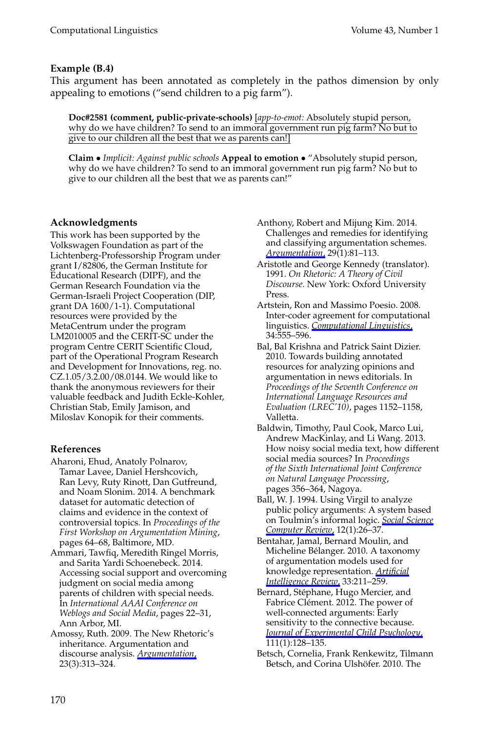# **Example (B.4)**

This argument has been annotated as completely in the pathos dimension by only appealing to emotions ("send children to a pig farm").

**Doc#2581 (comment, public-private-schools)** [*app-to-emot:* Absolutely stupid person, why do we have children? To send to an immoral government run pig farm? No but to give to our children all the best that we as parents can!]

**Claim** • *Implicit: Against public schools* **Appeal to emotion** • "Absolutely stupid person, why do we have children? To send to an immoral government run pig farm? No but to give to our children all the best that we as parents can!"

# **Acknowledgments**

This work has been supported by the Volkswagen Foundation as part of the Lichtenberg-Professorship Program under grant I/82806, the German Institute for Educational Research (DIPF), and the German Research Foundation via the German-Israeli Project Cooperation (DIP, grant DA 1600/1-1). Computational resources were provided by the MetaCentrum under the program LM2010005 and the CERIT-SC under the program Centre CERIT Scientific Cloud, part of the Operational Program Research and Development for Innovations, reg. no. CZ.1.05/3.2.00/08.0144. We would like to thank the anonymous reviewers for their valuable feedback and Judith Eckle-Kohler, Christian Stab, Emily Jamison, and Miloslav Konopik for their comments.

# **References**

- Aharoni, Ehud, Anatoly Polnarov, Tamar Lavee, Daniel Hershcovich, Ran Levy, Ruty Rinott, Dan Gutfreund, and Noam Slonim. 2014. A benchmark dataset for automatic detection of claims and evidence in the context of controversial topics. In *Proceedings of the First Workshop on Argumentation Mining*, pages 64–68, Baltimore, MD.
- Ammari, Tawfiq, Meredith Ringel Morris, and Sarita Yardi Schoenebeck. 2014. Accessing social support and overcoming judgment on social media among parents of children with special needs. In *International AAAI Conference on Weblogs and Social Media*, pages 22–31, Ann Arbor, MI.
- Amossy, Ruth. 2009. The New Rhetoric's inheritance. Argumentation and discourse analysis. *[Argumentation](http://www.mitpressjournals.org/action/showLinks?crossref=10.1007%2Fs10503-009-9154-y)*, 23(3):313–324.
- Anthony, Robert and Mijung Kim. 2014. Challenges and remedies for identifying and classifying argumentation schemes. *[Argumentation](http://www.mitpressjournals.org/action/showLinks?crossref=10.1007%2Fs10503-014-9335-1)*, 29(1):81–113.
- Aristotle and George Kennedy (translator). 1991. *On Rhetoric: A Theory of Civil Discourse*. New York: Oxford University Press.
- Artstein, Ron and Massimo Poesio. 2008. Inter-coder agreement for computational linguistics. *[Computational Linguistics](http://www.mitpressjournals.org/action/showLinks?system=10.1162%2Fcoli.07-034-R2)*, 34:555–596.
- Bal, Bal Krishna and Patrick Saint Dizier. 2010. Towards building annotated resources for analyzing opinions and argumentation in news editorials. In *Proceedings of the Seventh Conference on International Language Resources and Evaluation (LREC'10)*, pages 1152–1158, Valletta.
- Baldwin, Timothy, Paul Cook, Marco Lui, Andrew MacKinlay, and Li Wang. 2013. How noisy social media text, how different social media sources? In *Proceedings of the Sixth International Joint Conference on Natural Language Processing*, pages 356–364, Nagoya.
- Ball, W. J. 1994. Using Virgil to analyze public policy arguments: A system based on Toulmin's informal logic. *[Social Science](http://www.mitpressjournals.org/action/showLinks?crossref=10.1177%2F089443939401200102) [Computer Review](http://www.mitpressjournals.org/action/showLinks?crossref=10.1177%2F089443939401200102)*, 12(1):26–37.
- Bentahar, Jamal, Bernard Moulin, and Micheline Belanger. 2010. A taxonomy ´ of argumentation models used for knowledge representation. *[Artificial](http://www.mitpressjournals.org/action/showLinks?crossref=10.1007%2Fs10462-010-9154-1) [Intelligence Review](http://www.mitpressjournals.org/action/showLinks?crossref=10.1007%2Fs10462-010-9154-1)*, 33:211–259.
- Bernard, Stephane, Hugo Mercier, and ´ Fabrice Clément. 2012. The power of well-connected arguments: Early sensitivity to the connective because. *[Journal of Experimental Child Psychology](http://www.mitpressjournals.org/action/showLinks?crossref=10.1016%2Fj.jecp.2011.07.003)*, 111(1):128–135.
- Betsch, Cornelia, Frank Renkewitz, Tilmann Betsch, and Corina Ulshöfer. 2010. The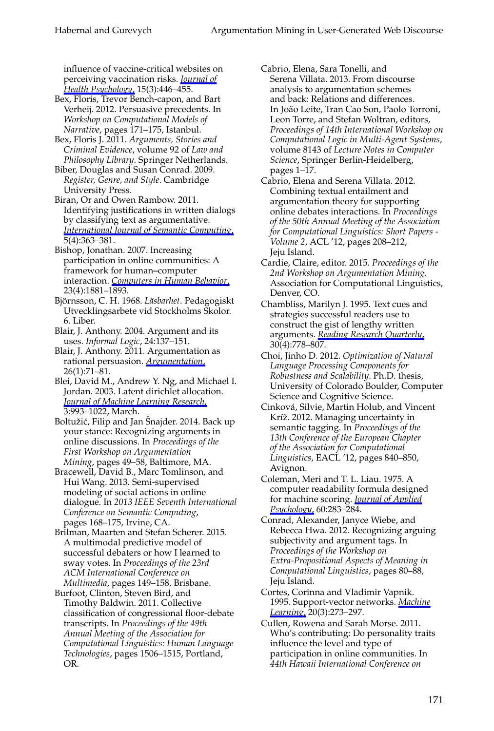influence of vaccine-critical websites on perceiving vaccination risks. *[Journal of](http://www.mitpressjournals.org/action/showLinks?crossref=10.1177%2F1359105309353647) [Health Psychology](http://www.mitpressjournals.org/action/showLinks?crossref=10.1177%2F1359105309353647)*, 15(3):446–455.

- Bex, Floris, Trevor Bench-capon, and Bart Verheij. 2012. Persuasive precedents. In *Workshop on Computational Models of Narrative*, pages 171–175, Istanbul.
- Bex, Floris J. 2011. *Arguments, Stories and Criminal Evidence*, volume 92 of *Law and Philosophy Library*. Springer Netherlands.
- Biber, Douglas and Susan Conrad. 2009. *Register, Genre, and Style*. Cambridge University Press.
- Biran, Or and Owen Rambow. 2011. Identifying justifications in written dialogs by classifying text as argumentative. *[International Journal of Semantic Computing](http://www.mitpressjournals.org/action/showLinks?crossref=10.1142%2FS1793351X11001328)*, 5(4):363–381.
- Bishop, Jonathan. 2007. Increasing participation in online communities: A framework for human**–**computer interaction. *[Computers in Human Behavior](http://www.mitpressjournals.org/action/showLinks?crossref=10.1016%2Fj.chb.2005.11.004)*, 23(4):1881–1893.
- Björnsson, C. H. 1968. Läsbarhet. Pedagogiskt Utvecklingsarbete vid Stockholms Skolor. 6. Liber.
- Blair, J. Anthony. 2004. Argument and its uses. *Informal Logic*, 24:137–151.
- Blair, J. Anthony. 2011. Argumentation as rational persuasion. *[Argumentation](http://www.mitpressjournals.org/action/showLinks?crossref=10.1007%2Fs10503-011-9235-6)*, 26(1):71–81.
- Blei, David M., Andrew Y. Ng, and Michael I. Jordan. 2003. Latent dirichlet allocation. *[Journal of Machine Learning Research](http://www.mitpressjournals.org/action/showLinks?crossref=10.1162%2Fjmlr.2003.3.4-5.993)*, 3:993–1022, March.
- Boltužić, Filip and Jan Šnajder. 2014. Back up your stance: Recognizing arguments in online discussions. In *Proceedings of the First Workshop on Argumentation Mining*, pages 49–58, Baltimore, MA.
- Bracewell, David B., Marc Tomlinson, and Hui Wang. 2013. Semi-supervised modeling of social actions in online dialogue. In *2013 IEEE Seventh International Conference on Semantic Computing*, pages 168–175, Irvine, CA.
- Brilman, Maarten and Stefan Scherer. 2015. A multimodal predictive model of successful debaters or how I learned to sway votes. In *Proceedings of the 23rd ACM International Conference on Multimedia*, pages 149–158, Brisbane.
- Burfoot, Clinton, Steven Bird, and Timothy Baldwin. 2011. Collective classification of congressional floor-debate transcripts. In *Proceedings of the 49th Annual Meeting of the Association for Computational Linguistics: Human Language Technologies*, pages 1506–1515, Portland, OR.
- Cabrio, Elena, Sara Tonelli, and Serena Villata. 2013. From discourse analysis to argumentation schemes and back: Relations and differences. In João Leite, Tran Cao Son, Paolo Torroni, Leon Torre, and Stefan Woltran, editors, *Proceedings of 14th International Workshop on Computational Logic in Multi-Agent Systems*, volume 8143 of *Lecture Notes in Computer Science*, Springer Berlin-Heidelberg, pages  $1-\overline{17}$ .
- Cabrio, Elena and Serena Villata. 2012. Combining textual entailment and argumentation theory for supporting online debates interactions. In *Proceedings of the 50th Annual Meeting of the Association for Computational Linguistics: Short Papers - Volume 2*, ACL '12, pages 208–212, Jeju Island.
- Cardie, Claire, editor. 2015. *Proceedings of the 2nd Workshop on Argumentation Mining*. Association for Computational Linguistics, Denver, CO.
- Chambliss, Marilyn J. 1995. Text cues and strategies successful readers use to construct the gist of lengthy written arguments. *[Reading Research Quarterly](http://www.mitpressjournals.org/action/showLinks?crossref=10.2307%2F748198)*, 30(4):778–807.
- Choi, Jinho D. 2012. *Optimization of Natural Language Processing Components for Robustness and Scalability*. Ph.D. thesis, University of Colorado Boulder, Computer Science and Cognitive Science.
- Cinkova, Silvie, Martin Holub, and Vincent ´ Kríž. 2012. Managing uncertainty in semantic tagging. In *Proceedings of the 13th Conference of the European Chapter of the Association for Computational Linguistics*, EACL '12, pages 840–850, Avignon.
- Coleman, Meri and T. L. Liau. 1975. A computer readability formula designed for machine scoring. *[Journal of Applied](http://www.mitpressjournals.org/action/showLinks?crossref=10.1037%2Fh0076540) [Psychology](http://www.mitpressjournals.org/action/showLinks?crossref=10.1037%2Fh0076540)*, 60:283–284.
- Conrad, Alexander, Janyce Wiebe, and Rebecca Hwa. 2012. Recognizing arguing subjectivity and argument tags. In *Proceedings of the Workshop on Extra-Propositional Aspects of Meaning in Computational Linguistics*, pages 80–88, Jeju Island.
- Cortes, Corinna and Vladimir Vapnik. 1995. Support-vector networks. *[Machine](http://www.mitpressjournals.org/action/showLinks?crossref=10.1007%2FBF00994018) [Learning](http://www.mitpressjournals.org/action/showLinks?crossref=10.1007%2FBF00994018)*, 20(3):273–297.
- Cullen, Rowena and Sarah Morse. 2011. Who's contributing: Do personality traits influence the level and type of participation in online communities. In *44th Hawaii International Conference on*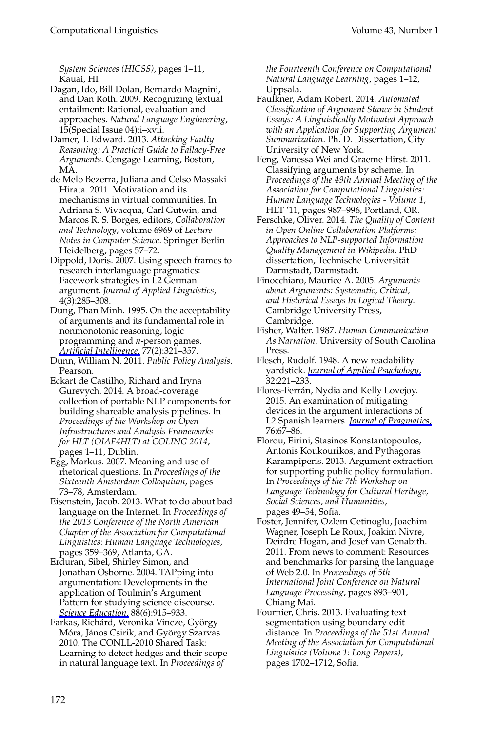*System Sciences (HICSS)*, pages 1–11, Kauai, HI

Dagan, Ido, Bill Dolan, Bernardo Magnini, and Dan Roth. 2009. Recognizing textual entailment: Rational, evaluation and approaches. *Natural Language Engineering*, 15(Special Issue 04):i–xvii.

Damer, T. Edward. 2013. *Attacking Faulty Reasoning: A Practical Guide to Fallacy-Free Arguments*. Cengage Learning, Boston, MA.

de Melo Bezerra, Juliana and Celso Massaki Hirata. 2011. Motivation and its mechanisms in virtual communities. In Adriana S. Vivacqua, Carl Gutwin, and Marcos R. S. Borges, editors, *Collaboration and Technology*, volume 6969 of *Lecture Notes in Computer Science*. Springer Berlin Heidelberg, pages 57–72.

Dippold, Doris. 2007. Using speech frames to research interlanguage pragmatics: Facework strategies in L2 German argument. *Journal of Applied Linguistics*, 4(3):285–308.

Dung, Phan Minh. 1995. On the acceptability of arguments and its fundamental role in nonmonotonic reasoning, logic programming and *n*-person games. *[Artificial Intelligence](http://www.mitpressjournals.org/action/showLinks?crossref=10.1016%2F0004-3702%2894%2900041-X)*, 77(2):321–357.

Dunn, William N. 2011. *Public Policy Analysis*. Pearson.

Eckart de Castilho, Richard and Iryna Gurevych. 2014. A broad-coverage collection of portable NLP components for building shareable analysis pipelines. In *Proceedings of the Workshop on Open Infrastructures and Analysis Frameworks for HLT (OIAF4HLT) at COLING 2014*, pages 1–11, Dublin.

Egg, Markus. 2007. Meaning and use of rhetorical questions. In *Proceedings of the Sixteenth Amsterdam Colloquium*, pages 73–78, Amsterdam.

Eisenstein, Jacob. 2013. What to do about bad language on the Internet. In *Proceedings of the 2013 Conference of the North American Chapter of the Association for Computational Linguistics: Human Language Technologies*, pages 359–369, Atlanta, GA.

Erduran, Sibel, Shirley Simon, and Jonathan Osborne. 2004. TAPping into argumentation: Developments in the application of Toulmin's Argument Pattern for studying science discourse. *[Science Education](http://www.mitpressjournals.org/action/showLinks?crossref=10.1002%2Fsce.20012)*, 88(6):915–933.

Farkas, Richárd, Veronika Vincze, György Móra, János Csirik, and György Szarvas. 2010. The CONLL-2010 Shared Task: Learning to detect hedges and their scope in natural language text. In *Proceedings of*

*the Fourteenth Conference on Computational Natural Language Learning*, pages 1–12, Uppsala.

Faulkner, Adam Robert. 2014. *Automated Classification of Argument Stance in Student Essays: A Linguistically Motivated Approach with an Application for Supporting Argument Summarization*. Ph. D. Dissertation, City University of New York.

Feng, Vanessa Wei and Graeme Hirst. 2011. Classifying arguments by scheme. In *Proceedings of the 49th Annual Meeting of the Association for Computational Linguistics: Human Language Technologies - Volume 1*, HLT '11, pages 987–996, Portland, OR.

Ferschke, Oliver. 2014. *The Quality of Content in Open Online Collaboration Platforms: Approaches to NLP-supported Information Quality Management in Wikipedia*. PhD dissertation, Technische Universitat¨ Darmstadt, Darmstadt.

Finocchiaro, Maurice A. 2005. *Arguments about Arguments: Systematic, Critical, and Historical Essays In Logical Theory*. Cambridge University Press, Cambridge.

Fisher, Walter. 1987. *Human Communication As Narration*. University of South Carolina Press.

Flesch, Rudolf. 1948. A new readability yardstick. *[Journal of Applied Psychology](http://www.mitpressjournals.org/action/showLinks?crossref=10.1037%2Fh0057532)*, 32:221–233.

Flores-Ferrán, Nydia and Kelly Lovejoy. 2015. An examination of mitigating devices in the argument interactions of L2 Spanish learners. *[Journal of Pragmatics](http://www.mitpressjournals.org/action/showLinks?crossref=10.1016%2Fj.pragma.2014.11.005)*, 76:67–86.

Florou, Eirini, Stasinos Konstantopoulos, Antonis Koukourikos, and Pythagoras Karampiperis. 2013. Argument extraction for supporting public policy formulation. In *Proceedings of the 7th Workshop on Language Technology for Cultural Heritage, Social Sciences, and Humanities*, pages 49–54, Sofia.

Foster, Jennifer, Ozlem Cetinoglu, Joachim Wagner, Joseph Le Roux, Joakim Nivre, Deirdre Hogan, and Josef van Genabith. 2011. From news to comment: Resources and benchmarks for parsing the language of Web 2.0. In *Proceedings of 5th International Joint Conference on Natural Language Processing*, pages 893–901, Chiang Mai.

Fournier, Chris. 2013. Evaluating text segmentation using boundary edit distance. In *Proceedings of the 51st Annual Meeting of the Association for Computational Linguistics (Volume 1: Long Papers)*, pages 1702–1712, Sofia.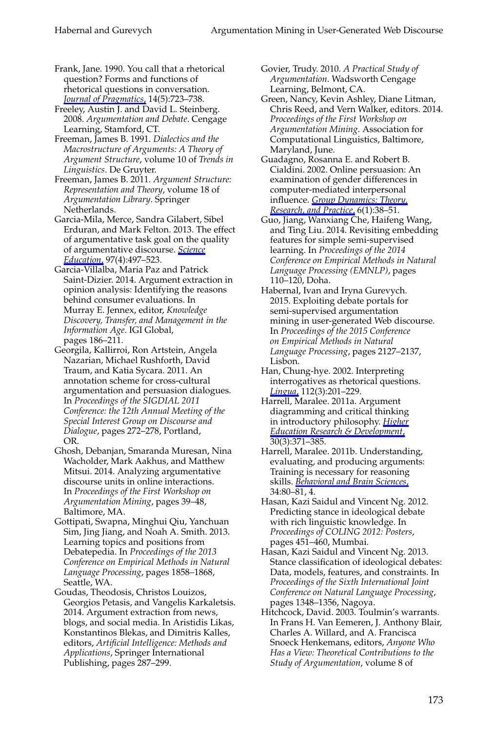Frank, Jane. 1990. You call that a rhetorical question? Forms and functions of rhetorical questions in conversation. *[Journal of Pragmatics](http://www.mitpressjournals.org/action/showLinks?crossref=10.1016%2F0378-2166%2890%2990003-V)*, 14(5):723–738.

Freeley, Austin J. and David L. Steinberg. 2008. *Argumentation and Debate*. Cengage Learning, Stamford, CT.

Freeman, James B. 1991. *Dialectics and the Macrostructure of Arguments: A Theory of Argument Structure*, volume 10 of *Trends in Linguistics*. De Gruyter.

Freeman, James B. 2011. *Argument Structure: Representation and Theory*, volume 18 of *Argumentation Library*. Springer Netherlands.

Garcia-Mila, Merce, Sandra Gilabert, Sibel Erduran, and Mark Felton. 2013. The effect of argumentative task goal on the quality of argumentative discourse. *[Science](http://www.mitpressjournals.org/action/showLinks?crossref=10.1002%2Fsce.21057) [Education](http://www.mitpressjournals.org/action/showLinks?crossref=10.1002%2Fsce.21057)*, 97(4):497–523.

Garcia-Villalba, Maria Paz and Patrick Saint-Dizier. 2014. Argument extraction in opinion analysis: Identifying the reasons behind consumer evaluations. In Murray E. Jennex, editor, *Knowledge Discovery, Transfer, and Management in the Information Age*. IGI Global, pages 186–211.

Georgila, Kallirroi, Ron Artstein, Angela Nazarian, Michael Rushforth, David Traum, and Katia Sycara. 2011. An annotation scheme for cross-cultural argumentation and persuasion dialogues. In *Proceedings of the SIGDIAL 2011 Conference: the 12th Annual Meeting of the Special Interest Group on Discourse and Dialogue*, pages 272–278, Portland, OR.

Ghosh, Debanjan, Smaranda Muresan, Nina Wacholder, Mark Aakhus, and Matthew Mitsui. 2014. Analyzing argumentative discourse units in online interactions. In *Proceedings of the First Workshop on Argumentation Mining*, pages 39–48, Baltimore, MA.

Gottipati, Swapna, Minghui Qiu, Yanchuan Sim, Jing Jiang, and Noah A. Smith. 2013. Learning topics and positions from Debatepedia. In *Proceedings of the 2013 Conference on Empirical Methods in Natural Language Processing*, pages 1858–1868, Seattle, WA.

Goudas, Theodosis, Christos Louizos, Georgios Petasis, and Vangelis Karkaletsis. 2014. Argument extraction from news, blogs, and social media. In Aristidis Likas, Konstantinos Blekas, and Dimitris Kalles, editors, *Artificial Intelligence: Methods and Applications*, Springer International Publishing, pages 287–299.

Govier, Trudy. 2010. *A Practical Study of Argumentation*. Wadsworth Cengage Learning, Belmont, CA.

Green, Nancy, Kevin Ashley, Diane Litman, Chris Reed, and Vern Walker, editors. 2014. *Proceedings of the First Workshop on Argumentation Mining*. Association for Computational Linguistics, Baltimore, Maryland, June.

Guadagno, Rosanna E. and Robert B. Cialdini. 2002. Online persuasion: An examination of gender differences in computer-mediated interpersonal influence. *[Group Dynamics: Theory,](http://www.mitpressjournals.org/action/showLinks?crossref=10.1037%2F1089-2699.6.1.38) [Research, and Practice](http://www.mitpressjournals.org/action/showLinks?crossref=10.1037%2F1089-2699.6.1.38)*, 6(1):38–51.

Guo, Jiang, Wanxiang Che, Haifeng Wang, and Ting Liu. 2014. Revisiting embedding features for simple semi-supervised learning. In *Proceedings of the 2014 Conference on Empirical Methods in Natural Language Processing (EMNLP)*, pages 110–120, Doha.

Habernal, Ivan and Iryna Gurevych. 2015. Exploiting debate portals for semi-supervised argumentation mining in user-generated Web discourse. In *Proceedings of the 2015 Conference on Empirical Methods in Natural Language Processing*, pages 2127–2137, Lisbon.

Han, Chung-hye. 2002. Interpreting interrogatives as rhetorical questions. *[Lingua](http://www.mitpressjournals.org/action/showLinks?crossref=10.1016%2FS0024-3841%2801%2900044-4)*, 112(3):201–229.

Harrell, Maralee. 2011a. Argument diagramming and critical thinking in introductory philosophy. *[Higher](http://www.mitpressjournals.org/action/showLinks?crossref=10.1080%2F07294360.2010.502559) [Education Research & Development](http://www.mitpressjournals.org/action/showLinks?crossref=10.1080%2F07294360.2010.502559)*, 30(3):371–385.

Harrell, Maralee. 2011b. Understanding, evaluating, and producing arguments: Training is necessary for reasoning skills. *[Behavioral and Brain Sciences](http://www.mitpressjournals.org/action/showLinks?crossref=10.1017%2FS0140525X1000292X)*, 34:80–81, 4.

Hasan, Kazi Saidul and Vincent Ng. 2012. Predicting stance in ideological debate with rich linguistic knowledge. In *Proceedings of COLING 2012: Posters*, pages 451–460, Mumbai.

Hasan, Kazi Saidul and Vincent Ng. 2013. Stance classification of ideological debates: Data, models, features, and constraints. In *Proceedings of the Sixth International Joint Conference on Natural Language Processing*, pages 1348–1356, Nagoya.

Hitchcock, David. 2003. Toulmin's warrants. In Frans H. Van Eemeren, J. Anthony Blair, Charles A. Willard, and A. Francisca Snoeck Henkemans, editors, *Anyone Who Has a View: Theoretical Contributions to the Study of Argumentation*, volume 8 of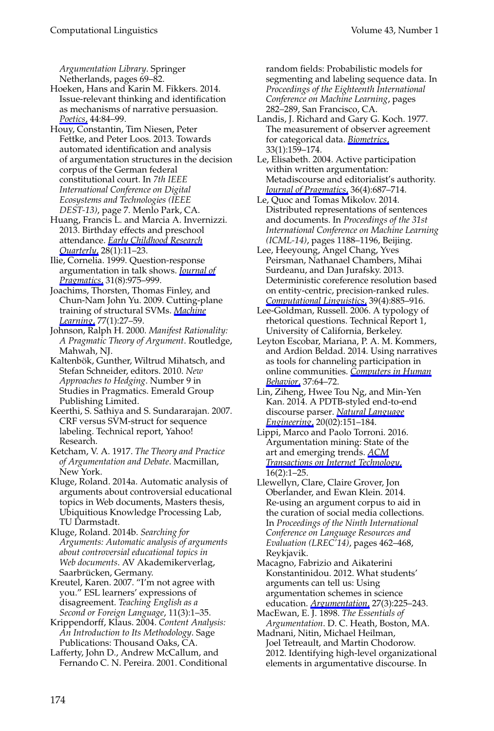*Argumentation Library*. Springer Netherlands, pages 69–82.

- Hoeken, Hans and Karin M. Fikkers. 2014. Issue-relevant thinking and identification as mechanisms of narrative persuasion. *[Poetics](http://www.mitpressjournals.org/action/showLinks?crossref=10.1016%2Fj.poetic.2014.05.001)*, 44:84–99.
- Houy, Constantin, Tim Niesen, Peter Fettke, and Peter Loos. 2013. Towards automated identification and analysis of argumentation structures in the decision corpus of the German federal constitutional court. In *7th IEEE International Conference on Digital Ecosystems and Technologies (IEEE DEST-13)*, page 7. Menlo Park, CA.

Huang, Francis L. and Marcia A. Invernizzi. 2013. Birthday effects and preschool attendance. *[Early Childhood Research](http://www.mitpressjournals.org/action/showLinks?crossref=10.1016%2Fj.ecresq.2012.03.002) [Quarterly](http://www.mitpressjournals.org/action/showLinks?crossref=10.1016%2Fj.ecresq.2012.03.002)*, 28(1):11–23.

Ilie, Cornelia. 1999. Question-response argumentation in talk shows. *[Journal of](http://www.mitpressjournals.org/action/showLinks?crossref=10.1016%2FS0378-2166%2899%2900056-9) [Pragmatics](http://www.mitpressjournals.org/action/showLinks?crossref=10.1016%2FS0378-2166%2899%2900056-9)*, 31(8):975–999.

Joachims, Thorsten, Thomas Finley, and Chun-Nam John Yu. 2009. Cutting-plane training of structural SVMs. *[Machine](http://www.mitpressjournals.org/action/showLinks?crossref=10.1007%2Fs10994-009-5108-8) [Learning](http://www.mitpressjournals.org/action/showLinks?crossref=10.1007%2Fs10994-009-5108-8)*, 77(1):27–59.

Johnson, Ralph H. 2000. *Manifest Rationality: A Pragmatic Theory of Argument*. Routledge, Mahwah, NJ.

Kaltenbök, Gunther, Wiltrud Mihatsch, and Stefan Schneider, editors. 2010. *New Approaches to Hedging*. Number 9 in Studies in Pragmatics. Emerald Group Publishing Limited.

Keerthi, S. Sathiya and S. Sundararajan. 2007. CRF versus SVM-struct for sequence labeling. Technical report, Yahoo! Research.

Ketcham, V. A. 1917. *The Theory and Practice of Argumentation and Debate*. Macmillan, New York.

Kluge, Roland. 2014a. Automatic analysis of arguments about controversial educational topics in Web documents, Masters thesis, Ubiquitious Knowledge Processing Lab, TU Darmstadt.

Kluge, Roland. 2014b. *Searching for Arguments: Automatic analysis of arguments about controversial educational topics in Web documents*. AV Akademikerverlag, Saarbrücken, Germany.

Kreutel, Karen. 2007. "I'm not agree with you." ESL learners' expressions of disagreement. *Teaching English as a Second or Foreign Language*, 11(3):1–35.

Krippendorff, Klaus. 2004. *Content Analysis: An Introduction to Its Methodology*. Sage Publications: Thousand Oaks, CA.

Lafferty, John D., Andrew McCallum, and Fernando C. N. Pereira. 2001. Conditional random fields: Probabilistic models for segmenting and labeling sequence data. In *Proceedings of the Eighteenth International Conference on Machine Learning*, pages 282–289, San Francisco, CA.

Landis, J. Richard and Gary G. Koch. 1977. The measurement of observer agreement for categorical data. *[Biometrics](http://www.mitpressjournals.org/action/showLinks?crossref=10.2307%2F2529310)*, 33(1):159–174.

Le, Elisabeth. 2004. Active participation within written argumentation: Metadiscourse and editorialist's authority. *[Journal of Pragmatics](http://www.mitpressjournals.org/action/showLinks?crossref=10.1016%2FS0378-2166%2803%2900032-8)*, 36(4):687–714.

Le, Quoc and Tomas Mikolov. 2014. Distributed representations of sentences and documents. In *Proceedings of the 31st International Conference on Machine Learning (ICML-14)*, pages 1188–1196, Beijing.

Lee, Heeyoung, Angel Chang, Yves Peirsman, Nathanael Chambers, Mihai Surdeanu, and Dan Jurafsky. 2013. Deterministic coreference resolution based on entity-centric, precision-ranked rules. *[Computational Linguistics](http://www.mitpressjournals.org/action/showLinks?system=10.1162%2FCOLI_a_00152)*, 39(4):885–916.

Lee-Goldman, Russell. 2006. A typology of rhetorical questions. Technical Report 1, University of California, Berkeley.

Leyton Escobar, Mariana, P. A. M. Kommers, and Ardion Beldad. 2014. Using narratives as tools for channeling participation in online communities. *[Computers in Human](http://www.mitpressjournals.org/action/showLinks?crossref=10.1016%2Fj.chb.2014.04.013) [Behavior](http://www.mitpressjournals.org/action/showLinks?crossref=10.1016%2Fj.chb.2014.04.013)*, 37:64–72.

Lin, Ziheng, Hwee Tou Ng, and Min-Yen Kan. 2014. A PDTB-styled end-to-end discourse parser. *[Natural Language](http://www.mitpressjournals.org/action/showLinks?crossref=10.1017%2FS1351324912000307) [Engineering](http://www.mitpressjournals.org/action/showLinks?crossref=10.1017%2FS1351324912000307)*, 20(02):151–184.

Lippi, Marco and Paolo Torroni. 2016. Argumentation mining: State of the art and emerging trends. *[ACM](http://www.mitpressjournals.org/action/showLinks?crossref=10.1145%2F2850417) [Transactions on Internet Technology](http://www.mitpressjournals.org/action/showLinks?crossref=10.1145%2F2850417)*, 16(2):1–25.

Llewellyn, Clare, Claire Grover, Jon Oberlander, and Ewan Klein. 2014. Re-using an argument corpus to aid in the curation of social media collections. In *Proceedings of the Ninth International Conference on Language Resources and Evaluation (LREC'14)*, pages 462–468, Reykjavik.

Macagno, Fabrizio and Aikaterini Konstantinidou. 2012. What students' arguments can tell us: Using argumentation schemes in science education. *[Argumentation](http://www.mitpressjournals.org/action/showLinks?crossref=10.1007%2Fs10503-012-9284-5)*, 27(3):225–243.

MacEwan, E. J. 1898. *The Essentials of Argumentation*. D. C. Heath, Boston, MA. Madnani, Nitin, Michael Heilman,

Joel Tetreault, and Martin Chodorow. 2012. Identifying high-level organizational elements in argumentative discourse. In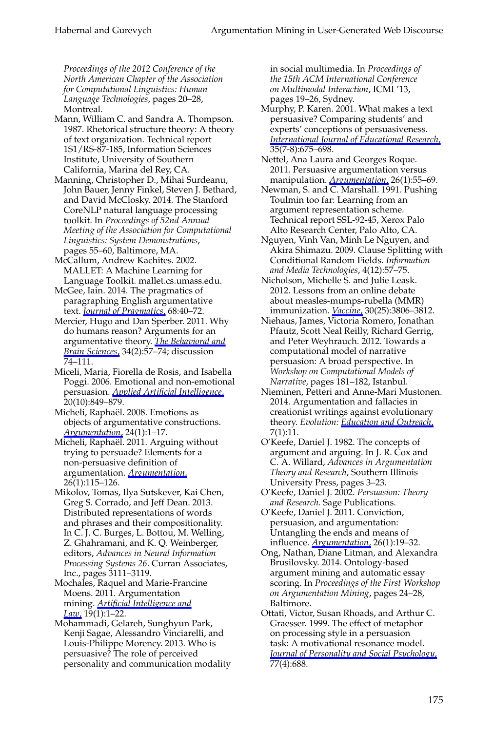*Proceedings of the 2012 Conference of the North American Chapter of the Association for Computational Linguistics: Human Language Technologies*, pages 20–28, Montreal.

- Mann, William C. and Sandra A. Thompson. 1987. Rhetorical structure theory: A theory of text organization. Technical report 1S1/RS-87-185, Information Sciences Institute, University of Southern California, Marina del Rey, CA.
- Manning, Christopher D., Mihai Surdeanu, John Bauer, Jenny Finkel, Steven J. Bethard, and David McClosky. 2014. The Stanford CoreNLP natural language processing toolkit. In *Proceedings of 52nd Annual Meeting of the Association for Computational Linguistics: System Demonstrations*, pages 55–60, Baltimore, MA.
- McCallum, Andrew Kachites. 2002. MALLET: A Machine Learning for Language Toolkit. mallet.cs.umass.edu.
- McGee, Iain. 2014. The pragmatics of paragraphing English argumentative text. *[Journal of Pragmatics](http://www.mitpressjournals.org/action/showLinks?crossref=10.1016%2Fj.pragma.2014.04.002)*, 68:40–72.
- Mercier, Hugo and Dan Sperber. 2011. Why do humans reason? Arguments for an argumentative theory. *[The Behavioral and](http://www.mitpressjournals.org/action/showLinks?crossref=10.1017%2FS0140525X10000968) [Brain Sciences](http://www.mitpressjournals.org/action/showLinks?crossref=10.1017%2FS0140525X10000968)*, 34(2):57–74; discussion 74–111.
- Miceli, Maria, Fiorella de Rosis, and Isabella Poggi. 2006. Emotional and non-emotional persuasion. *[Applied Artificial Intelligence](http://www.mitpressjournals.org/action/showLinks?crossref=10.1080%2F08839510600938193)*, 20(10):849–879.
- Micheli, Raphaël. 2008. Emotions as objects of argumentative constructions. *[Argumentation](http://www.mitpressjournals.org/action/showLinks?crossref=10.1007%2Fs10503-008-9120-0)*, 24(1):1–17.
- Micheli*,* Raphaël. 2011. Arguing without trying to persuade? Elements for a non-persuasive definition of argumentation. *[Argumentation](http://www.mitpressjournals.org/action/showLinks?crossref=10.1007%2Fs10503-011-9240-9)*, 26(1):115–126.
- Mikolov, Tomas, Ilya Sutskever, Kai Chen, Greg S. Corrado, and Jeff Dean. 2013. Distributed representations of words and phrases and their compositionality. In C. J. C. Burges, L. Bottou, M. Welling, Z. Ghahramani, and K. Q. Weinberger, editors, *Advances in Neural Information Processing Systems 26*. Curran Associates, Inc., pages 3111–3119.
- Mochales, Raquel and Marie-Francine Moens. 2011. Argumentation mining. *[Artificial Intelligence and](http://www.mitpressjournals.org/action/showLinks?crossref=10.1007%2Fs10506-010-9104-x) [Law](http://www.mitpressjournals.org/action/showLinks?crossref=10.1007%2Fs10506-010-9104-x)*, 19(1):1–22.
- Mohammadi, Gelareh, Sunghyun Park, Kenji Sagae, Alessandro Vinciarelli, and Louis-Philippe Morency. 2013. Who is persuasive? The role of perceived personality and communication modality

in social multimedia. In *Proceedings of the 15th ACM International Conference on Multimodal Interaction*, ICMI '13, pages 19–26, Sydney.

- Murphy, P. Karen. 2001. What makes a text persuasive? Comparing students' and experts' conceptions of persuasiveness. *[International Journal of Educational Research](http://www.mitpressjournals.org/action/showLinks?crossref=10.1016%2FS0883-0355%2802%2900009-5)*, 35(7-8):675–698.
- Nettel, Ana Laura and Georges Roque. 2011. Persuasive argumentation versus manipulation. *[Argumentation](http://www.mitpressjournals.org/action/showLinks?crossref=10.1007%2Fs10503-011-9241-8)*, 26(1):55–69.
- Newman, S. and C. Marshall. 1991. Pushing Toulmin too far: Learning from an argument representation scheme. Technical report SSL-92-45, Xerox Palo Alto Research Center, Palo Alto, CA.
- Nguyen, Vinh Van, Minh Le Nguyen, and Akira Shimazu. 2009. Clause Splitting with Conditional Random Fields. *Information and Media Technologies*, 4(12):57–75.
- Nicholson, Michelle S. and Julie Leask. 2012. Lessons from an online debate about measles-mumps-rubella (MMR) immunization. *[Vaccine](http://www.mitpressjournals.org/action/showLinks?crossref=10.1016%2Fj.vaccine.2011.10.072)*, 30(25):3806–3812.
- Niehaus, James, Victoria Romero, Jonathan Pfautz, Scott Neal Reilly, Richard Gerrig, and Peter Weyhrauch. 2012. Towards a computational model of narrative persuasion: A broad perspective. In *Workshop on Computational Models of Narrative*, pages 181–182, Istanbul.
- Nieminen, Petteri and Anne-Mari Mustonen. 2014. Argumentation and fallacies in creationist writings against evolutionary theory. *Evolution: [Education and Outreach](http://www.mitpressjournals.org/action/showLinks?crossref=10.1186%2Fs12052-014-0011-6)*, 7(1):11.
- O'Keefe, Daniel J. 1982. The concepts of argument and arguing. In J. R. Cox and C. A. Willard, *Advances in Argumentation Theory and Research*, Southern Illinois University Press, pages 3–23.
- O'Keefe, Daniel J. 2002. *Persuasion: Theory and Research*. Sage Publications.
- O'Keefe, Daniel J. 2011. Conviction, persuasion, and argumentation: Untangling the ends and means of influence. *[Argumentation](http://www.mitpressjournals.org/action/showLinks?crossref=10.1007%2Fs10503-011-9242-7)*, 26(1):19–32.
- Ong, Nathan, Diane Litman, and Alexandra Brusilovsky. 2014. Ontology-based argument mining and automatic essay scoring. In *Proceedings of the First Workshop on Argumentation Mining*, pages 24–28, Baltimore.
- Ottati, Victor, Susan Rhoads, and Arthur C. Graesser. 1999. The effect of metaphor on processing style in a persuasion task: A motivational resonance model. *[Journal of Personality and Social Psychology](http://www.mitpressjournals.org/action/showLinks?crossref=10.1037%2F0022-3514.77.4.688)*, 77(4):688.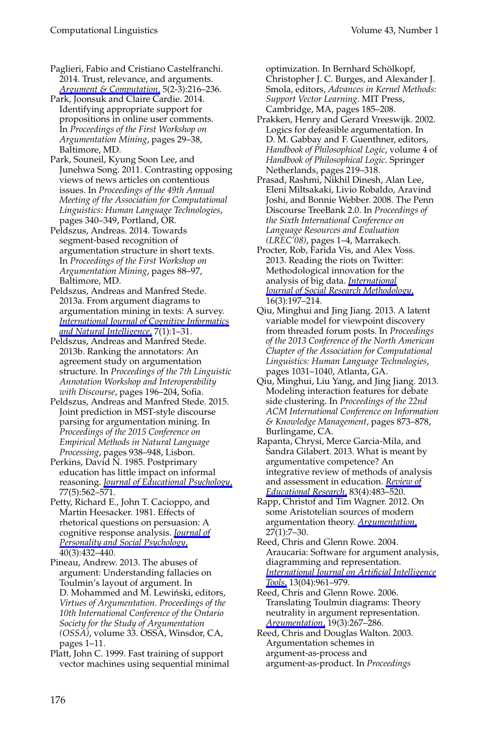- Paglieri, Fabio and Cristiano Castelfranchi. 2014. Trust, relevance, and arguments. *[Argument & Computation](http://www.mitpressjournals.org/action/showLinks?crossref=10.1080%2F19462166.2014.899270)*, 5(2-3):216–236.
- Park, Joonsuk and Claire Cardie. 2014. Identifying appropriate support for propositions in online user comments. In *Proceedings of the First Workshop on Argumentation Mining*, pages 29–38, Baltimore, MD.
- Park, Souneil, Kyung Soon Lee, and Junehwa Song. 2011. Contrasting opposing views of news articles on contentious issues. In *Proceedings of the 49th Annual Meeting of the Association for Computational Linguistics: Human Language Technologies*, pages 340–349, Portland, OR.
- Peldszus, Andreas. 2014. Towards segment-based recognition of argumentation structure in short texts. In *Proceedings of the First Workshop on Argumentation Mining*, pages 88–97, Baltimore, MD.
- Peldszus, Andreas and Manfred Stede. 2013a. From argument diagrams to argumentation mining in texts: A survey. *[International Journal of Cognitive Informatics](http://www.mitpressjournals.org/action/showLinks?crossref=10.4018%2Fjcini.2013010101) [and Natural Intelligence](http://www.mitpressjournals.org/action/showLinks?crossref=10.4018%2Fjcini.2013010101)*, 7(1):1–31.
- Peldszus, Andreas and Manfred Stede. 2013b. Ranking the annotators: An agreement study on argumentation structure. In *Proceedings of the 7th Linguistic Annotation Workshop and Interoperability with Discourse*, pages 196–204, Sofia.
- Peldszus, Andreas and Manfred Stede. 2015. Joint prediction in MST-style discourse parsing for argumentation mining. In *Proceedings of the 2015 Conference on Empirical Methods in Natural Language Processing*, pages 938–948, Lisbon.
- Perkins, David N. 1985. Postprimary education has little impact on informal reasoning. *[Journal of Educational Psychology](http://www.mitpressjournals.org/action/showLinks?crossref=10.1037%2F0022-0663.77.5.562)*, 77(5):562–571.
- Petty, Richard E., John T. Cacioppo, and Martin Heesacker. 1981. Effects of rhetorical questions on persuasion: A cognitive response analysis. *[Journal of](http://www.mitpressjournals.org/action/showLinks?crossref=10.1037%2F0022-3514.40.3.432) [Personality and Social Psychology](http://www.mitpressjournals.org/action/showLinks?crossref=10.1037%2F0022-3514.40.3.432)*, 40(3):432–440.
- Pineau, Andrew. 2013. The abuses of argument: Understanding fallacies on Toulmin's layout of argument. In D. Mohammed and M. Lewiński, editors, *Virtues of Argumentation. Proceedings of the 10th International Conference of the Ontario Society for the Study of Argumentation (OSSA)*, volume 33. OSSA, Winsdor, CA, pages 1–11.
- Platt, John C. 1999. Fast training of support vector machines using sequential minimal

optimization. In Bernhard Schölkopf, Christopher J. C. Burges, and Alexander J. Smola, editors, *Advances in Kernel Methods: Support Vector Learning*. MIT Press, Cambridge, MA, pages 185–208.

- Prakken, Henry and Gerard Vreeswijk. 2002. Logics for defeasible argumentation. In D. M. Gabbay and F. Guenthner, editors, *Handbook of Philosophical Logic*, volume 4 of *Handbook of Philosophical Logic*. Springer Netherlands, pages 219–318.
- Prasad, Rashmi, Nikhil Dinesh, Alan Lee, Eleni Miltsakaki, Livio Robaldo, Aravind Joshi, and Bonnie Webber. 2008. The Penn Discourse TreeBank 2.0. In *Proceedings of the Sixth International Conference on Language Resources and Evaluation (LREC'08)*, pages 1–4, Marrakech.
- Procter, Rob, Farida Vis, and Alex Voss. 2013. Reading the riots on Twitter: Methodological innovation for the analysis of big data. *[International](http://www.mitpressjournals.org/action/showLinks?crossref=10.1080%2F13645579.2013.774172) [Journal of Social Research Methodology](http://www.mitpressjournals.org/action/showLinks?crossref=10.1080%2F13645579.2013.774172)*,  $16(3):197-214.$
- Qiu, Minghui and Jing Jiang. 2013. A latent variable model for viewpoint discovery from threaded forum posts. In *Proceedings of the 2013 Conference of the North American Chapter of the Association for Computational Linguistics: Human Language Technologies*, pages 1031–1040, Atlanta, GA.
- Qiu, Minghui, Liu Yang, and Jing Jiang. 2013. Modeling interaction features for debate side clustering. In *Proceedings of the 22nd ACM International Conference on Information & Knowledge Management*, pages 873–878, Burlingame, CA.
- Rapanta, Chrysi, Merce Garcia-Mila, and Sandra Gilabert. 2013. What is meant by argumentative competence? An integrative review of methods of analysis and assessment in education. *[Review of](http://www.mitpressjournals.org/action/showLinks?crossref=10.3102%2F0034654313487606) [Educational Research](http://www.mitpressjournals.org/action/showLinks?crossref=10.3102%2F0034654313487606)*, 83(4):483–520.
- Rapp, Christof and Tim Wagner. 2012. On some Aristotelian sources of modern argumentation theory. *[Argumentation](http://www.mitpressjournals.org/action/showLinks?crossref=10.1007%2Fs10503-012-9280-9)*, 27(1):7–30.

Reed, Chris and Glenn Rowe. 2004. Araucaria: Software for argument analysis, diagramming and representation. *[International Journal on Artificial Intelligence](http://www.mitpressjournals.org/action/showLinks?crossref=10.1142%2FS0218213004001922) [Tools](http://www.mitpressjournals.org/action/showLinks?crossref=10.1142%2FS0218213004001922)*, 13(04):961–979.

- Reed, Chris and Glenn Rowe. 2006. Translating Toulmin diagrams: Theory neutrality in argument representation. *[Argumentation](http://www.mitpressjournals.org/action/showLinks?crossref=10.1007%2Fs10503-005-4416-9)*, 19(3):267–286.
- Reed, Chris and Douglas Walton. 2003. Argumentation schemes in argument-as-process and argument-as-product. In *Proceedings*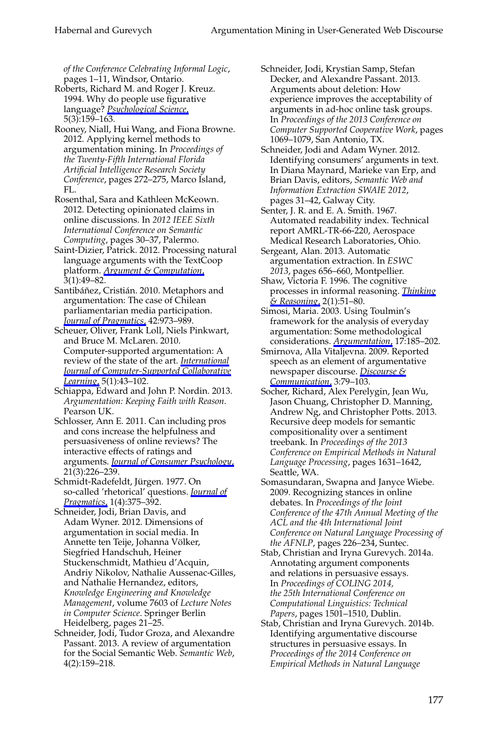*of the Conference Celebrating Informal Logic*, pages 1–11, Windsor, Ontario.

- Roberts, Richard M. and Roger J. Kreuz. 1994. Why do people use figurative language? *[Psychological Science](http://www.mitpressjournals.org/action/showLinks?crossref=10.1111%2Fj.1467-9280.1994.tb00653.x)*, 5(3):159–163.
- Rooney, Niall, Hui Wang, and Fiona Browne. 2012. Applying kernel methods to argumentation mining. In *Proceedings of the Twenty-Fifth International Florida Artificial Intelligence Research Society Conference*, pages 272–275, Marco Island, FL.
- Rosenthal, Sara and Kathleen McKeown. 2012. Detecting opinionated claims in online discussions. In *2012 IEEE Sixth International Conference on Semantic Computing*, pages 30–37, Palermo.
- Saint-Dizier, Patrick. 2012. Processing natural language arguments with the TextCoop platform. *[Argument & Computation](http://www.mitpressjournals.org/action/showLinks?crossref=10.1080%2F19462166.2012.663539)*, 3(1):49–82.
- Santibáñez, Cristián. 2010. Metaphors and argumentation: The case of Chilean parliamentarian media participation. *[Journal of Pragmatics](http://www.mitpressjournals.org/action/showLinks?crossref=10.1016%2Fj.pragma.2009.08.019)*, 42:973–989.
- Scheuer, Oliver, Frank Loll, Niels Pinkwart, and Bruce M. McLaren. 2010. Computer-supported argumentation: A review of the state of the art. *[International](http://www.mitpressjournals.org/action/showLinks?crossref=10.1007%2Fs11412-009-9080-x) [Journal of Computer-Supported Collaborative](http://www.mitpressjournals.org/action/showLinks?crossref=10.1007%2Fs11412-009-9080-x) [Learning](http://www.mitpressjournals.org/action/showLinks?crossref=10.1007%2Fs11412-009-9080-x)*, 5(1):43–102.
- Schiappa, Edward and John P. Nordin. 2013. *Argumentation: Keeping Faith with Reason*. Pearson UK.
- Schlosser, Ann E. 2011. Can including pros and cons increase the helpfulness and persuasiveness of online reviews? The interactive effects of ratings and arguments. *[Journal of Consumer Psychology](http://www.mitpressjournals.org/action/showLinks?crossref=10.1016%2Fj.jcps.2011.04.002)*, 21(3):226–239.
- Schmidt-Radefeldt, Jürgen. 1977. On so-called 'rhetorical' questions. *[Journal of](http://www.mitpressjournals.org/action/showLinks?crossref=10.1016%2F0378-2166%2877%2990029-7) [Pragmatics](http://www.mitpressjournals.org/action/showLinks?crossref=10.1016%2F0378-2166%2877%2990029-7)*, 1(4):375–392.
- Schneider, Jodi, Brian Davis, and Adam Wyner. 2012. Dimensions of argumentation in social media. In Annette ten Teije, Johanna Volker, ¨ Siegfried Handschuh, Heiner Stuckenschmidt, Mathieu d'Acquin, Andriy Nikolov, Nathalie Aussenac-Gilles, and Nathalie Hernandez, editors, *Knowledge Engineering and Knowledge Management*, volume 7603 of *Lecture Notes in Computer Science*. Springer Berlin Heidelberg, pages 21–25.
- Schneider, Jodi, Tudor Groza, and Alexandre Passant. 2013. A review of argumentation for the Social Semantic Web. *Semantic Web*, 4(2):159–218.
- Schneider, Jodi, Krystian Samp, Stefan Decker, and Alexandre Passant. 2013. Arguments about deletion: How experience improves the acceptability of arguments in ad-hoc online task groups. In *Proceedings of the 2013 Conference on Computer Supported Cooperative Work*, pages 1069–1079, San Antonio, TX.
- Schneider, Jodi and Adam Wyner. 2012. Identifying consumers' arguments in text. In Diana Maynard, Marieke van Erp, and Brian Davis, editors, *Semantic Web and Information Extraction SWAIE 2012*, pages 31–42, Galway City.
- Senter, J. R. and E. A. Smith. 1967. Automated readability index. Technical report AMRL-TR-66-220, Aerospace Medical Research Laboratories, Ohio.
- Sergeant, Alan. 2013. Automatic argumentation extraction. In *ESWC 2013*, pages 656–660, Montpellier.
- Shaw, Victoria F. 1996. The cognitive processes in informal reasoning. *[Thinking](http://www.mitpressjournals.org/action/showLinks?crossref=10.1080%2F135467896394564) [& Reasoning](http://www.mitpressjournals.org/action/showLinks?crossref=10.1080%2F135467896394564)*, 2(1):51–80.
- Simosi, Maria. 2003. Using Toulmin's framework for the analysis of everyday argumentation: Some methodological considerations. *[Argumentation](http://www.mitpressjournals.org/action/showLinks?crossref=10.1023%2FA%3A1024059024337)*, 17:185–202.
- Smirnova, Alla Vitaljevna. 2009. Reported speech as an element of argumentative newspaper discourse. *[Discourse &](http://www.mitpressjournals.org/action/showLinks?crossref=10.1177%2F1750481308098765) [Communication](http://www.mitpressjournals.org/action/showLinks?crossref=10.1177%2F1750481308098765)*, 3:79–103.
- Socher, Richard, Alex Perelygin, Jean Wu, Jason Chuang, Christopher D. Manning, Andrew Ng, and Christopher Potts. 2013. Recursive deep models for semantic compositionality over a sentiment treebank. In *Proceedings of the 2013 Conference on Empirical Methods in Natural Language Processing*, pages 1631–1642, Seattle, WA.
- Somasundaran, Swapna and Janyce Wiebe. 2009. Recognizing stances in online debates. In *Proceedings of the Joint Conference of the 47th Annual Meeting of the ACL and the 4th International Joint Conference on Natural Language Processing of the AFNLP*, pages 226–234, Suntec.
- Stab, Christian and Iryna Gurevych. 2014a. Annotating argument components and relations in persuasive essays. In *Proceedings of COLING 2014, the 25th International Conference on Computational Linguistics: Technical Papers*, pages 1501–1510, Dublin.
- Stab, Christian and Iryna Gurevych. 2014b. Identifying argumentative discourse structures in persuasive essays. In *Proceedings of the 2014 Conference on Empirical Methods in Natural Language*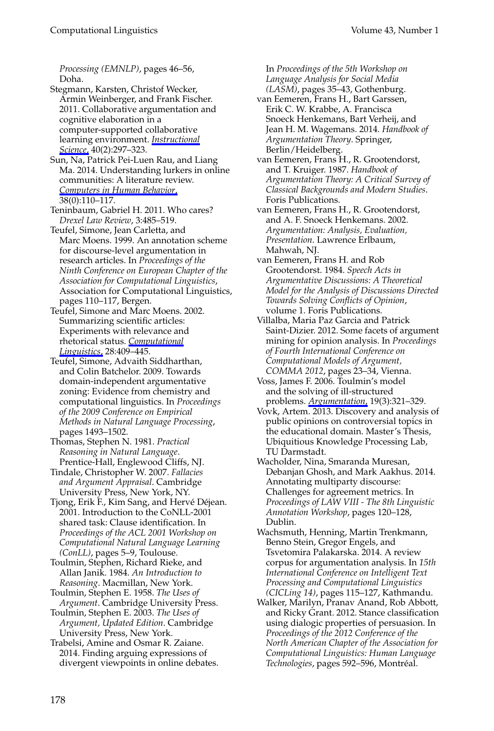*Processing (EMNLP)*, pages 46–56, Doha.

- Stegmann, Karsten, Christof Wecker, Armin Weinberger, and Frank Fischer. 2011. Collaborative argumentation and cognitive elaboration in a computer-supported collaborative learning environment. *[Instructional](http://www.mitpressjournals.org/action/showLinks?crossref=10.1007%2Fs11251-011-9174-5) [Science](http://www.mitpressjournals.org/action/showLinks?crossref=10.1007%2Fs11251-011-9174-5)*, 40(2):297–323.
- Sun, Na, Patrick Pei-Luen Rau, and Liang Ma. 2014. Understanding lurkers in online communities: A literature review. *[Computers in Human Behavior](http://www.mitpressjournals.org/action/showLinks?crossref=10.1016%2Fj.chb.2014.05.022)*, 38(0):110–117.
- Teninbaum, Gabriel H. 2011. Who cares? *Drexel Law Review*, 3:485–519.
- Teufel, Simone, Jean Carletta, and Marc Moens. 1999. An annotation scheme for discourse-level argumentation in research articles. In *Proceedings of the Ninth Conference on European Chapter of the Association for Computational Linguistics*, Association for Computational Linguistics, pages 110–117, Bergen.
- Teufel, Simone and Marc Moens. 2002. Summarizing scientific articles: Experiments with relevance and rhetorical status. *[Computational](http://www.mitpressjournals.org/action/showLinks?system=10.1162%2F089120102762671936) [Linguistics](http://www.mitpressjournals.org/action/showLinks?system=10.1162%2F089120102762671936)*, 28:409–445.
- Teufel, Simone, Advaith Siddharthan, and Colin Batchelor. 2009. Towards domain-independent argumentative zoning: Evidence from chemistry and computational linguistics. In *Proceedings of the 2009 Conference on Empirical Methods in Natural Language Processing*, pages 1493–1502.
- Thomas, Stephen N. 1981. *Practical Reasoning in Natural Language*. Prentice-Hall, Englewood Cliffs, NJ.
- Tindale, Christopher W. 2007. *Fallacies and Argument Appraisal*. Cambridge University Press, New York, NY.
- Tjong, Erik F., Kim Sang, and Hervé Déjean. 2001. Introduction to the CoNLL-2001 shared task: Clause identification. In *Proceedings of the ACL 2001 Workshop on Computational Natural Language Learning (ConLL)*, pages 5–9, Toulouse.
- Toulmin, Stephen, Richard Rieke, and Allan Janik. 1984. *An Introduction to Reasoning*. Macmillan, New York.
- Toulmin, Stephen E. 1958. *The Uses of Argument*. Cambridge University Press.
- Toulmin, Stephen E. 2003. *The Uses of Argument, Updated Edition*. Cambridge University Press, New York.
- Trabelsi, Amine and Osmar R. Zaiane. 2014. Finding arguing expressions of divergent viewpoints in online debates.

In *Proceedings of the 5th Workshop on Language Analysis for Social Media (LASM)*, pages 35–43, Gothenburg.

- van Eemeren, Frans H., Bart Garssen, Erik C. W. Krabbe, A. Francisca Snoeck Henkemans, Bart Verheij, and Jean H. M. Wagemans. 2014. *Handbook of Argumentation Theory*. Springer, Berlin/Heidelberg.
- van Eemeren, Frans H., R. Grootendorst, and T. Kruiger. 1987. *Handbook of Argumentation Theory: A Critical Survey of Classical Backgrounds and Modern Studies*. Foris Publications.
- van Eemeren, Frans H., R. Grootendorst, and A. F. Snoeck Henkemans. 2002. *Argumentation: Analysis, Evaluation, Presentation*. Lawrence Erlbaum, Mahwah, NJ.
- van Eemeren, Frans H. and Rob Grootendorst. 1984. *Speech Acts in Argumentative Discussions: A Theoretical Model for the Analysis of Discussions Directed Towards Solving Conflicts of Opinion*, volume 1. Foris Publications.
- Villalba, Maria Paz Garcia and Patrick Saint-Dizier. 2012. Some facets of argument mining for opinion analysis. In *Proceedings of Fourth International Conference on Computational Models of Argument, COMMA 2012*, pages 23–34, Vienna.
- Voss, James F. 2006. Toulmin's model and the solving of ill-structured problems. *[Argumentation](http://www.mitpressjournals.org/action/showLinks?crossref=10.1007%2Fs10503-005-4419-6)*, 19(3):321–329.
- Vovk, Artem. 2013. Discovery and analysis of public opinions on controversial topics in the educational domain. Master's Thesis, Ubiquitious Knowledge Processing Lab, TU Darmstadt.
- Wacholder, Nina, Smaranda Muresan, Debanjan Ghosh, and Mark Aakhus. 2014. Annotating multiparty discourse: Challenges for agreement metrics. In *Proceedings of LAW VIII - The 8th Linguistic Annotation Workshop*, pages 120–128, Dublin.
- Wachsmuth, Henning, Martin Trenkmann, Benno Stein, Gregor Engels, and Tsvetomira Palakarska. 2014. A review corpus for argumentation analysis. In *15th International Conference on Intelligent Text Processing and Computational Linguistics (CICLing 14)*, pages 115–127, Kathmandu.
- Walker, Marilyn, Pranav Anand, Rob Abbott, and Ricky Grant. 2012. Stance classification using dialogic properties of persuasion. In *Proceedings of the 2012 Conference of the North American Chapter of the Association for Computational Linguistics: Human Language Technologies*, pages 592–596, Montreal. ´